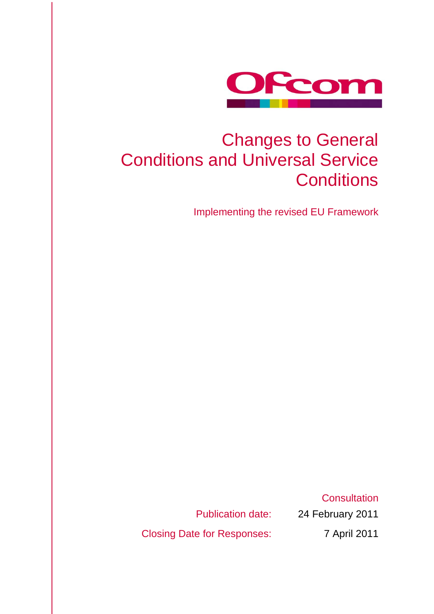

# Changes to General Conditions and Universal Service **Conditions**

Implementing the revised EU Framework

Publication date: 24 February 2011 Closing Date for Responses: 7 April 2011

**Consultation**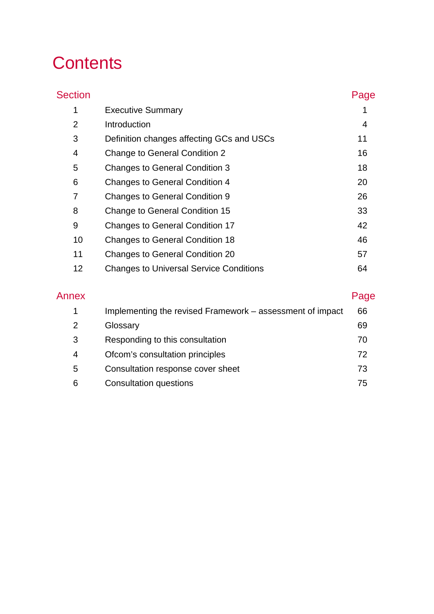# **Contents**

| <b>Section</b> |                                                | Page |
|----------------|------------------------------------------------|------|
| 1              | <b>Executive Summary</b>                       |      |
| $\overline{2}$ | Introduction                                   | 4    |
| 3              | Definition changes affecting GCs and USCs      | 11   |
| 4              | <b>Change to General Condition 2</b>           | 16   |
| 5              | <b>Changes to General Condition 3</b>          | 18   |
| 6              | <b>Changes to General Condition 4</b>          | 20   |
| 7              | <b>Changes to General Condition 9</b>          | 26   |
| 8              | <b>Change to General Condition 15</b>          | 33   |
| 9              | <b>Changes to General Condition 17</b>         | 42   |
| 10             | <b>Changes to General Condition 18</b>         | 46   |
| 11             | <b>Changes to General Condition 20</b>         | 57   |
| 12             | <b>Changes to Universal Service Conditions</b> | 64   |
|                |                                                |      |

| Annex | Page |
|-------|------|
|-------|------|

| ×<br>- -<br>×<br>$\sim$ |
|-------------------------|
|-------------------------|

|   | Implementing the revised Framework - assessment of impact | 66  |
|---|-----------------------------------------------------------|-----|
|   | Glossary                                                  | 69  |
|   | Responding to this consultation                           | 70  |
| 4 | Ofcom's consultation principles                           | 72. |
| 5 | Consultation response cover sheet                         | 73  |
| 6 | <b>Consultation questions</b>                             | 75  |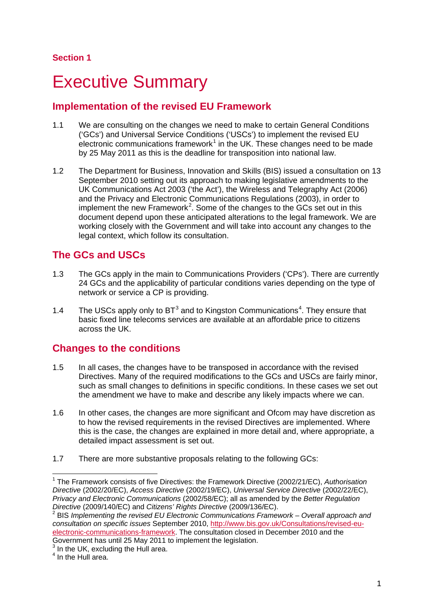# <span id="page-3-0"></span>**Executive Summary**

# **Implementation of the revised EU Framework**

- 1.1 We are consulting on the changes we need to make to certain General Conditions ('GCs') and Universal Service Conditions ('USCs') to implement the revised EU electronic communications framework $1$  in the UK. These changes need to be made by 25 May 2011 as this is the deadline for transposition into national law.
- 1.2 The Department for Business, Innovation and Skills (BIS) issued a consultation on 13 September 2010 setting out its approach to making legislative amendments to the UK Communications Act 2003 ('the Act'), the Wireless and Telegraphy Act (2006) and the Privacy and Electronic Communications Regulations (2003), in order to implement the new Framework<sup>[2](#page-3-1)</sup>. Some of the changes to the GCs set out in this document depend upon these anticipated alterations to the legal framework. We are working closely with the Government and will take into account any changes to the legal context, which follow its consultation.

# **The GCs and USCs**

- 1.3 The GCs apply in the main to Communications Providers ('CPs'). There are currently 24 GCs and the applicability of particular conditions varies depending on the type of network or service a CP is providing.
- 1.[4](#page-3-1) The USCs apply only to  $BT^3$  $BT^3$  and to Kingston Communications<sup>4</sup>. They ensure that basic fixed line telecoms services are available at an affordable price to citizens across the UK.

# **Changes to the conditions**

- 1.5 In all cases, the changes have to be transposed in accordance with the revised Directives. Many of the required modifications to the GCs and USCs are fairly minor, such as small changes to definitions in specific conditions. In these cases we set out the amendment we have to make and describe any likely impacts where we can.
- 1.6 In other cases, the changes are more significant and Ofcom may have discretion as to how the revised requirements in the revised Directives are implemented. Where this is the case, the changes are explained in more detail and, where appropriate, a detailed impact assessment is set out.
- 1.7 There are more substantive proposals relating to the following GCs:

<span id="page-3-1"></span> <sup>1</sup> The Framework consists of five Directives: the Framework Directive (2002/21/EC), *Authorisation Directive* (2002/20/EC), *Access Directive* (2002/19/EC), *Universal Service Directive* (2002/22/EC), *Privacy and Electronic Communications* (2002/58/EC); all as amended by the *Better Regulation* 

<sup>&</sup>lt;sup>2</sup> BIS *Implementing the revised EU Electronic Communications Framework – Overall approach and consultation on specific issues* September 2010, [http://www.bis.gov.uk/Consultations/revised-eu](http://www.bis.gov.uk/Consultations/revised-eu-electronic-communications-framework)[electronic-communications-framework.](http://www.bis.gov.uk/Consultations/revised-eu-electronic-communications-framework) The consultation closed in December 2010 and the Government has until 25 May 2011 to implement the legislation.

<sup>&</sup>lt;sup>3</sup> In the UK, excluding the Hull area.

<sup>&</sup>lt;sup>4</sup> In the Hull area.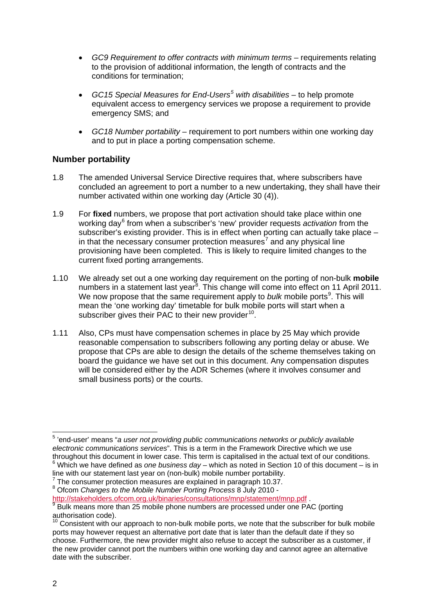- *GC9 Requirement to offer contracts with minimum terms*  requirements relating to the provision of additional information, the length of contracts and the conditions for termination;
- *GC15 Special Measures for End-Users[5](#page-4-0) with disabilities* to help promote equivalent access to emergency services we propose a requirement to provide emergency SMS; and
- *GC18 Number portability* requirement to port numbers within one working day and to put in place a porting compensation scheme.

#### **Number portability**

- 1.8 The amended Universal Service Directive requires that, where subscribers have concluded an agreement to port a number to a new undertaking, they shall have their number activated within one working day (Article 30 (4)).
- 1.9 For **fixed** numbers, we propose that port activation should take place within one working day[6](#page-4-1) from when a subscriber's 'new' provider requests *activation* from the subscriber's existing provider. This is in effect when porting can actually take place – in that the necessary consumer protection measures<sup>[7](#page-4-2)</sup> and any physical line provisioning have been completed. This is likely to require limited changes to the current fixed porting arrangements.
- 1.10 We already set out a one working day requirement on the porting of non-bulk **mobile** numbers in a statement last year<sup>[8](#page-4-3)</sup>. This change will come into effect on 11 April 2011. We now propose that the same requirement apply to bulk mobile ports<sup>[9](#page-4-4)</sup>. This will mean the 'one working day' timetable for bulk mobile ports will start when a subscriber gives their PAC to their new provider $^{10}$  $^{10}$  $^{10}$ .
- 1.11 Also, CPs must have compensation schemes in place by 25 May which provide reasonable compensation to subscribers following any porting delay or abuse. We propose that CPs are able to design the details of the scheme themselves taking on board the guidance we have set out in this document. Any compensation disputes will be considered either by the ADR Schemes (where it involves consumer and small business ports) or the courts.

<span id="page-4-0"></span> <sup>5</sup> 'end-user' means "*a user not providing public communications networks or publicly available electronic communications services*". This is a term in the Framework Directive which we use throughout this document in lower case. This term is capitalised in the actual text of our conditions. <sup>6</sup> Which we have defined as *one business day* – which as noted in Section 10 of this document – is in

<span id="page-4-2"></span><span id="page-4-1"></span>line with our statement last year on (non-bulk) mobile number portability. <sup>7</sup> The consumer protection measures are explained in paragraph 10.37. <sup>8</sup> Ofcom *Changes to the Mobile Number Porting Process* 8 July 2010 -

<span id="page-4-4"></span><span id="page-4-3"></span><http://stakeholders.ofcom.org.uk/binaries/consultations/mnp/statement/mnp.pdf> .<br><sup>9</sup> Bulk means more than 25 mobile phone numbers are processed under one PAC (porting authorisation code).

<span id="page-4-5"></span> $10$  Consistent with our approach to non-bulk mobile ports, we note that the subscriber for bulk mobile ports may however request an alternative port date that is later than the default date if they so choose. Furthermore, the new provider might also refuse to accept the subscriber as a customer, if the new provider cannot port the numbers within one working day and cannot agree an alternative date with the subscriber.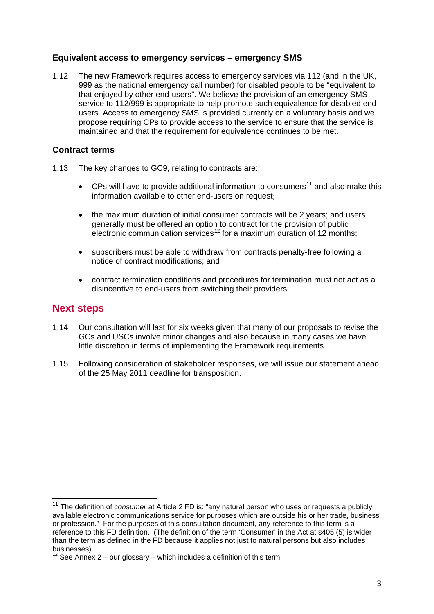## **Equivalent access to emergency services – emergency SMS**

1.12 The new Framework requires access to emergency services via 112 (and in the UK, 999 as the national emergency call number) for disabled people to be "equivalent to that enjoyed by other end-users". We believe the provision of an emergency SMS service to 112/999 is appropriate to help promote such equivalence for disabled endusers. Access to emergency SMS is provided currently on a voluntary basis and we propose requiring CPs to provide access to the service to ensure that the service is maintained and that the requirement for equivalence continues to be met.

## **Contract terms**

- 1.13 The key changes to GC9, relating to contracts are:
	- CPs will have to provide additional information to consumers<sup>[11](#page-5-0)</sup> and also make this information available to other end-users on request;
	- the maximum duration of initial consumer contracts will be 2 years; and users generally must be offered an option to contract for the provision of public electronic communication services<sup>[12](#page-5-1)</sup> for a maximum duration of 12 months;
	- subscribers must be able to withdraw from contracts penalty-free following a notice of contract modifications; and
	- contract termination conditions and procedures for termination must not act as a disincentive to end-users from switching their providers.

## **Next steps**

- 1.14 Our consultation will last for six weeks given that many of our proposals to revise the GCs and USCs involve minor changes and also because in many cases we have little discretion in terms of implementing the Framework requirements.
- 1.15 Following consideration of stakeholder responses, we will issue our statement ahead of the 25 May 2011 deadline for transposition.

<span id="page-5-0"></span><sup>&</sup>lt;sup>11</sup> The definition of *consumer* at Article 2 FD is: "any natural person who uses or requests a publicly available electronic communications service for purposes which are outside his or her trade, business or profession." For the purposes of this consultation document, any reference to this term is a reference to this FD definition. (The definition of the term 'Consumer' in the Act at s405 (5) is wider than the term as defined in the FD because it applies not just to natural persons but also includes businesses).

<span id="page-5-1"></span><sup>&</sup>lt;sup>12</sup> See Annex 2 – our glossary – which includes a definition of this term.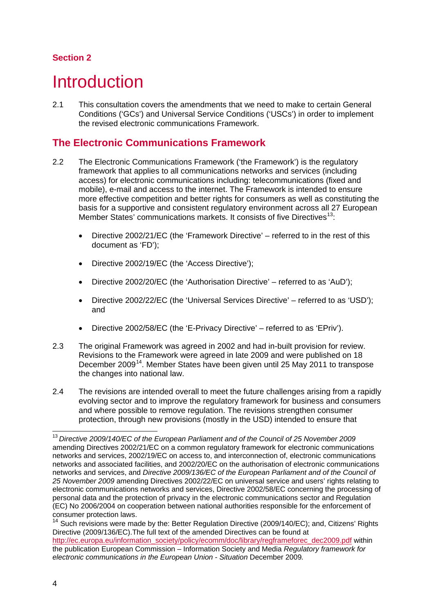## **Section 2**

# <span id="page-6-0"></span>**Introduction**

2.1 This consultation covers the amendments that we need to make to certain General Conditions ('GCs') and Universal Service Conditions ('USCs') in order to implement the revised electronic communications Framework.

# **The Electronic Communications Framework**

- 2.2 The Electronic Communications Framework ('the Framework') is the regulatory framework that applies to all communications networks and services (including access) for electronic communications including: telecommunications (fixed and mobile), e-mail and access to the internet. The Framework is intended to ensure more effective competition and better rights for consumers as well as constituting the basis for a supportive and consistent regulatory environment across all 27 European Member States' communications markets. It consists of five Directives<sup>[13](#page-6-1)</sup>:
	- Directive 2002/21/EC (the 'Framework Directive' referred to in the rest of this document as 'FD');
	- Directive 2002/19/EC (the 'Access Directive');
	- Directive 2002/20/EC (the 'Authorisation Directive' referred to as 'AuD');
	- Directive 2002/22/EC (the 'Universal Services Directive' referred to as 'USD'); and
	- Directive 2002/58/EC (the 'E-Privacy Directive' referred to as 'EPriv').
- 2.3 The original Framework was agreed in 2002 and had in-built provision for review. Revisions to the Framework were agreed in late 2009 and were published on 18 December 2009<sup>[14](#page-6-2)</sup>. Member States have been given until 25 May 2011 to transpose the changes into national law.
- 2.4 The revisions are intended overall to meet the future challenges arising from a rapidly evolving sector and to improve the regulatory framework for business and consumers and where possible to remove regulation. The revisions strengthen consumer protection, through new provisions (mostly in the USD) intended to ensure that

<span id="page-6-1"></span> <sup>13</sup> *Directive 2009/140/EC of the European Parliament and of the Council of 25 November 2009* amending Directives 2002/21/EC on a common regulatory framework for electronic communications networks and services, 2002/19/EC on access to, and interconnection of, electronic communications networks and associated facilities, and 2002/20/EC on the authorisation of electronic communications networks and services, and *Directive 2009/136/EC of the European Parliament and of the Council of 25 November 2009* amending Directives 2002/22/EC on universal service and users' rights relating to electronic communications networks and services, Directive 2002/58/EC concerning the processing of personal data and the protection of privacy in the electronic communications sector and Regulation (EC) No 2006/2004 on cooperation between national authorities responsible for the enforcement of consumer protection laws.

<span id="page-6-2"></span><sup>&</sup>lt;sup>14</sup> Such revisions were made by the: Better Regulation Directive (2009/140/EC); and, Citizens' Rights Directive (2009/136/EC).The full text of the amended Directives can be found at [http://ec.europa.eu/information\\_society/policy/ecomm/doc/library/regframeforec\\_dec2009.pdf](http://ec.europa.eu/information_society/policy/ecomm/doc/library/regframeforec_dec2009.pdf) within the publication European Commission – Information Society and Media *Regulatory framework for electronic communications in the European Union - Situation* December 2009*.*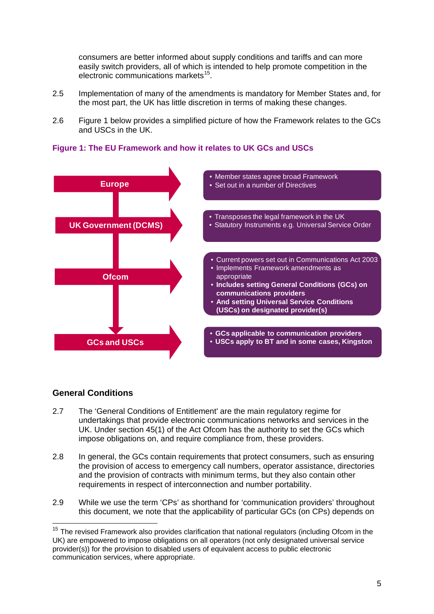consumers are better informed about supply conditions and tariffs and can more easily switch providers, all of which is intended to help promote competition in the electronic communications markets<sup>[15](#page-7-1)</sup>.

- 2.5 Implementation of many of the amendments is mandatory for Member States and, for the most part, the UK has little discretion in terms of making these changes.
- 2.6 [Figure 1](#page-7-0) below provides a simplified picture of how the Framework relates to the GCs and USCs in the UK.



<span id="page-7-0"></span>**Figure 1: The EU Framework and how it relates to UK GCs and USCs**

## **General Conditions**

- 2.7 The 'General Conditions of Entitlement' are the main regulatory regime for undertakings that provide electronic communications networks and services in the UK. Under section 45(1) of the Act Ofcom has the authority to set the GCs which impose obligations on, and require compliance from, these [providers.](http://wiki/wiki/Communications_provider)
- 2.8 In general, the GCs contain requirements that protect consumers, such as ensuring the provision of access to emergency call numbers, operator assistance, directories and the provision of contracts with minimum terms, but they also contain other requirements in respect of interconnection and number portability.
- 2.9 While we use the term 'CPs' as shorthand for 'communication providers' throughout this document, we note that the applicability of particular GCs (on CPs) depends on

<span id="page-7-1"></span><sup>&</sup>lt;sup>15</sup> The revised Framework also provides clarification that national regulators (including Ofcom in the UK) are empowered to impose obligations on all operators (not only designated universal service provider(s)) for the provision to disabled users of equivalent access to public electronic communication services, where appropriate.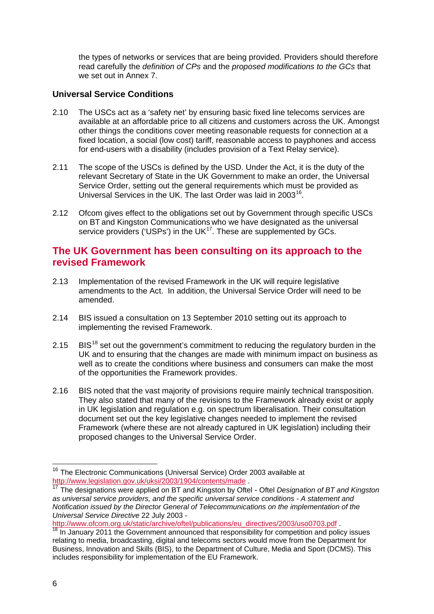the types of networks or services that are being provided. Providers should therefore read carefully the *definition of CPs* and the *proposed modifications to the GCs* that we set out in Annex 7.

## **Universal Service Conditions**

- 2.10 The USCs act as a 'safety net' by ensuring basic fixed line telecoms services are available at an affordable price to all citizens and customers across the UK. Amongst other things the conditions cover meeting reasonable requests for connection at a fixed location, a social (low cost) tariff, reasonable access to payphones and access for end-users with a disability (includes provision of a Text Relay service).
- 2.11 The scope of the USCs is defined by the USD. Under the Act, it is the duty of the relevant Secretary of State in the UK Government to make an order, the Universal Service Order, setting out the general requirements which must be provided as Universal Services in the UK. The last Order was laid in 2003<sup>16</sup>.
- 2.12 Ofcom gives effect to the obligations set out by Government through specific USCs on BT and Kingston Communications who we have designated as the universal service providers ('USPs') in the UK $^{17}$  $^{17}$  $^{17}$ . These are supplemented by GCs.

## **The UK Government has been consulting on its approach to the revised Framework**

- 2.13 Implementation of the revised Framework in the UK will require legislative amendments to the Act. In addition, the Universal Service Order will need to be amended.
- 2.14 BIS issued a consultation on 13 September 2010 setting out its approach to implementing the revised Framework.
- 2.15 BIS<sup>[18](#page-8-2)</sup> set out the government's commitment to reducing the regulatory burden in the UK and to ensuring that the changes are made with minimum impact on business as well as to create the conditions where business and consumers can make the most of the opportunities the Framework provides.
- 2.16 BIS noted that the vast majority of provisions require mainly technical transposition. They also stated that many of the revisions to the Framework already exist or apply in UK legislation and regulation e.g. on spectrum liberalisation. Their consultation document set out the key legislative changes needed to implement the revised Framework (where these are not already captured in UK legislation) including their proposed changes to the Universal Service Order.

<span id="page-8-2"></span>

<span id="page-8-0"></span><sup>&</sup>lt;sup>16</sup> The Electronic Communications (Universal Service) Order 2003 available at http://www.legislation.gov.uk/uksi/2003/1904/contents/made

<span id="page-8-1"></span>fthe designations were applied on BT and Kingston by Oftel - Oftel *Designation of BT and Kingston as universal service providers, and the specific universal service conditions - A statement and Notification issued by the Director General of Telecommunications on the implementation of the Universal Service Directive* 22 July 2003 -

[http://www.ofcom.org.uk/static/archive/oftel/publications/eu\\_directives/2003/uso0703.pdf](http://www.ofcom.org.uk/static/archive/oftel/publications/eu_directives/2003/uso0703.pdf) .<br><sup>18</sup> In January 2011 the Government announced that responsibility for competition and policy issues relating to media, broadcasting, digital and telecoms sectors would move from the Department for Business, Innovation and Skills (BIS), to the Department of Culture, Media and Sport (DCMS). This includes responsibility for implementation of the EU Framework.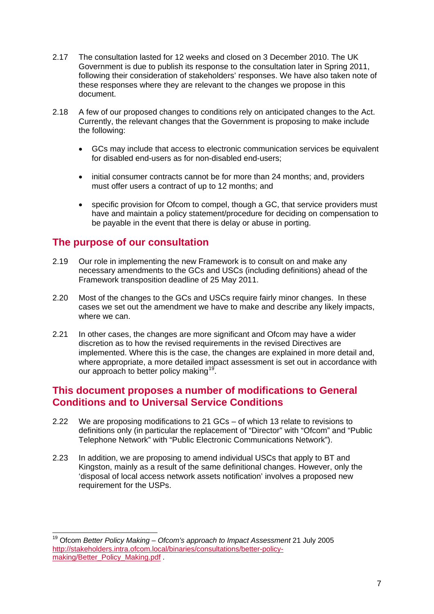- 2.17 The consultation lasted for 12 weeks and closed on 3 December 2010. The UK Government is due to publish its response to the consultation later in Spring 2011, following their consideration of stakeholders' responses. We have also taken note of these responses where they are relevant to the changes we propose in this document.
- 2.18 A few of our proposed changes to conditions rely on anticipated changes to the Act. Currently, the relevant changes that the Government is proposing to make include the following:
	- GCs may include that access to electronic communication services be equivalent for disabled end-users as for non-disabled end-users;
	- initial consumer contracts cannot be for more than 24 months; and, providers must offer users a contract of up to 12 months; and
	- specific provision for Ofcom to compel, though a GC, that service providers must have and maintain a policy statement/procedure for deciding on compensation to be payable in the event that there is delay or abuse in porting.

## **The purpose of our consultation**

- 2.19 Our role in implementing the new Framework is to consult on and make any necessary amendments to the GCs and USCs (including definitions) ahead of the Framework transposition deadline of 25 May 2011.
- 2.20 Most of the changes to the GCs and USCs require fairly minor changes. In these cases we set out the amendment we have to make and describe any likely impacts, where we can.
- 2.21 In other cases, the changes are more significant and Ofcom may have a wider discretion as to how the revised requirements in the revised Directives are implemented. Where this is the case, the changes are explained in more detail and, where appropriate, a more detailed impact assessment is set out in accordance with our approach to better policy making<sup>[19](#page-9-0)</sup>.

## **This document proposes a number of modifications to General Conditions and to Universal Service Conditions**

- 2.22 We are proposing modifications to 21 GCs of which 13 relate to revisions to definitions only (in particular the replacement of "Director" with "Ofcom" and "Public Telephone Network" with "Public Electronic Communications Network").
- 2.23 In addition, we are proposing to amend individual USCs that apply to BT and Kingston, mainly as a result of the same definitional changes. However, only the 'disposal of local access network assets notification' involves a proposed new requirement for the USPs.

<span id="page-9-0"></span> <sup>19</sup> Ofcom *Better Policy Making – Ofcom's approach to Impact Assessment* 21 July 2005 [http://stakeholders.intra.ofcom.local/binaries/consultations/better-policy](http://stakeholders.intra.ofcom.local/binaries/consultations/better-policy-making/Better_Policy_Making.pdf)[making/Better\\_Policy\\_Making.pdf](http://stakeholders.intra.ofcom.local/binaries/consultations/better-policy-making/Better_Policy_Making.pdf) .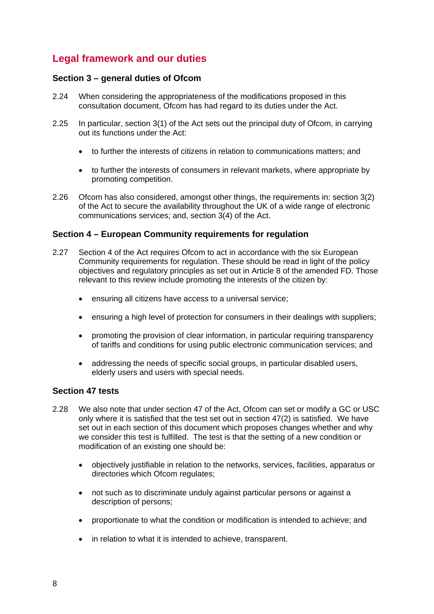# **Legal framework and our duties**

### **Section 3 – general duties of Ofcom**

- 2.24 When considering the appropriateness of the modifications proposed in this consultation document, Ofcom has had regard to its duties under the Act.
- 2.25 In particular, section 3(1) of the Act sets out the principal duty of Ofcom, in carrying out its functions under the Act:
	- to further the interests of citizens in relation to communications matters; and
	- to further the interests of consumers in relevant markets, where appropriate by promoting competition.
- 2.26 Ofcom has also considered, amongst other things, the requirements in: section 3(2) of the Act to secure the availability throughout the UK of a wide range of electronic communications services; and, section 3(4) of the Act.

## **Section 4 – European Community requirements for regulation**

- 2.27 Section 4 of the Act requires Ofcom to act in accordance with the six European Community requirements for regulation. These should be read in light of the policy objectives and regulatory principles as set out in Article 8 of the amended FD. Those relevant to this review include promoting the interests of the citizen by:
	- ensuring all citizens have access to a universal service;
	- ensuring a high level of protection for consumers in their dealings with suppliers;
	- promoting the provision of clear information, in particular requiring transparency of tariffs and conditions for using public electronic communication services; and
	- addressing the needs of specific social groups, in particular disabled users, elderly users and users with special needs.

## **Section 47 tests**

- 2.28 We also note that under section 47 of the Act, Ofcom can set or modify a GC or USC only where it is satisfied that the test set out in section 47(2) is satisfied. We have set out in each section of this document which proposes changes whether and why we consider this test is fulfilled. The test is that the setting of a new condition or modification of an existing one should be:
	- objectively justifiable in relation to the networks, services, facilities, apparatus or directories which Ofcom regulates;
	- not such as to discriminate unduly against particular persons or against a description of persons;
	- proportionate to what the condition or modification is intended to achieve; and
	- in relation to what it is intended to achieve, transparent.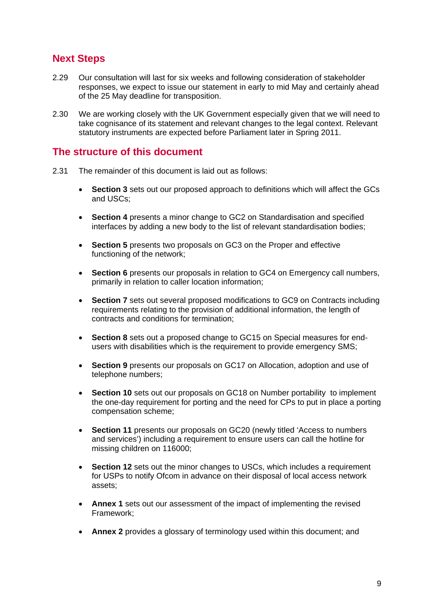## **Next Steps**

- 2.29 Our consultation will last for six weeks and following consideration of stakeholder responses, we expect to issue our statement in early to mid May and certainly ahead of the 25 May deadline for transposition.
- 2.30 We are working closely with the UK Government especially given that we will need to take cognisance of its statement and relevant changes to the legal context. Relevant statutory instruments are expected before Parliament later in Spring 2011.

## **The structure of this document**

- 2.31 The remainder of this document is laid out as follows:
	- **Section 3** sets out our proposed approach to definitions which will affect the GCs and USCs;
	- **Section 4** presents a minor change to GC2 on Standardisation and specified interfaces by adding a new body to the list of relevant standardisation bodies;
	- **Section 5** presents two proposals on GC3 on the Proper and effective functioning of the network;
	- **Section 6** presents our proposals in relation to GC4 on Emergency call numbers, primarily in relation to caller location information;
	- **Section 7** sets out several proposed modifications to GC9 on Contracts including requirements relating to the provision of additional information, the length of contracts and conditions for termination;
	- **Section 8** sets out a proposed change to GC15 on Special measures for endusers with disabilities which is the requirement to provide emergency SMS;
	- **Section 9** presents our proposals on GC17 on Allocation, adoption and use of telephone numbers;
	- **Section 10** sets out our proposals on GC18 on Number portability to implement the one-day requirement for porting and the need for CPs to put in place a porting compensation scheme;
	- **Section 11** presents our proposals on GC20 (newly titled 'Access to numbers and services') including a requirement to ensure users can call the hotline for missing children on 116000;
	- **Section 12** sets out the minor changes to USCs, which includes a requirement for USPs to notify Ofcom in advance on their disposal of local access network assets;
	- **Annex 1** sets out our assessment of the impact of implementing the revised Framework;
	- **Annex 2** provides a glossary of terminology used within this document; and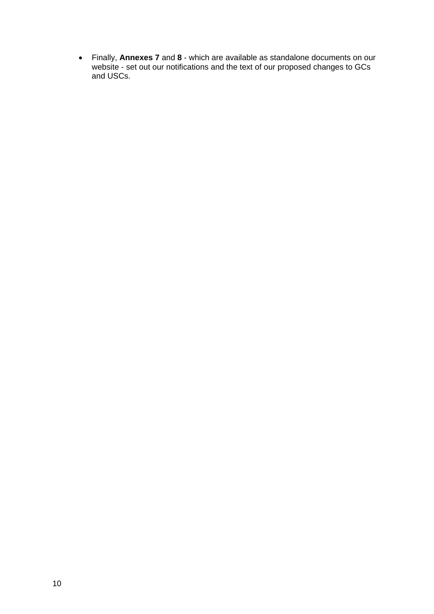• Finally, **Annexes 7** and **8** - which are available as standalone documents on our website - set out our notifications and the text of our proposed changes to GCs and USCs.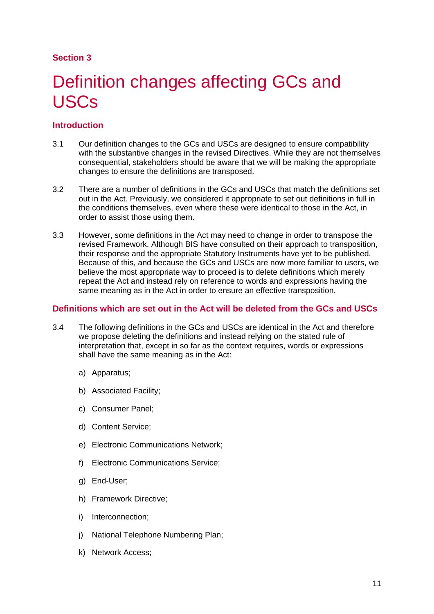## **Section 3**

# <span id="page-13-0"></span>Definition changes affecting GCs and USCs

## **Introduction**

- 3.1 Our definition changes to the GCs and USCs are designed to ensure compatibility with the substantive changes in the revised Directives. While they are not themselves consequential, stakeholders should be aware that we will be making the appropriate changes to ensure the definitions are transposed.
- 3.2 There are a number of definitions in the GCs and USCs that match the definitions set out in the Act. Previously, we considered it appropriate to set out definitions in full in the conditions themselves, even where these were identical to those in the Act, in order to assist those using them.
- 3.3 However, some definitions in the Act may need to change in order to transpose the revised Framework. Although BIS have consulted on their approach to transposition, their response and the appropriate Statutory Instruments have yet to be published. Because of this, and because the GCs and USCs are now more familiar to users, we believe the most appropriate way to proceed is to delete definitions which merely repeat the Act and instead rely on reference to words and expressions having the same meaning as in the Act in order to ensure an effective transposition.

### **Definitions which are set out in the Act will be deleted from the GCs and USCs**

- 3.4 The following definitions in the GCs and USCs are identical in the Act and therefore we propose deleting the definitions and instead relying on the stated rule of interpretation that, except in so far as the context requires, words or expressions shall have the same meaning as in the Act:
	- a) Apparatus;
	- b) Associated Facility;
	- c) Consumer Panel;
	- d) Content Service;
	- e) Electronic Communications Network;
	- f) Electronic Communications Service;
	- g) End-User;
	- h) Framework Directive;
	- i) Interconnection;
	- j) National Telephone Numbering Plan;
	- k) Network Access;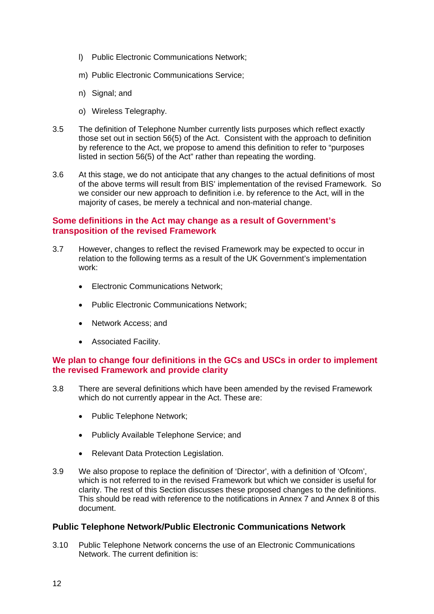- l) Public Electronic Communications Network;
- m) Public Electronic Communications Service;
- n) Signal; and
- o) Wireless Telegraphy.
- 3.5 The definition of Telephone Number currently lists purposes which reflect exactly those set out in section 56(5) of the Act. Consistent with the approach to definition by reference to the Act, we propose to amend this definition to refer to "purposes listed in section 56(5) of the Act" rather than repeating the wording.
- 3.6 At this stage, we do not anticipate that any changes to the actual definitions of most of the above terms will result from BIS' implementation of the revised Framework. So we consider our new approach to definition i.e. by reference to the Act, will in the majority of cases, be merely a technical and non-material change.

#### **Some definitions in the Act may change as a result of Government's transposition of the revised Framework**

- 3.7 However, changes to reflect the revised Framework may be expected to occur in relation to the following terms as a result of the UK Government's implementation work:
	- **Electronic Communications Network:**
	- Public Electronic Communications Network;
	- Network Access; and
	- Associated Facility.

## **We plan to change four definitions in the GCs and USCs in order to implement the revised Framework and provide clarity**

- 3.8 There are several definitions which have been amended by the revised Framework which do not currently appear in the Act. These are:
	- Public Telephone Network;
	- Publicly Available Telephone Service; and
	- Relevant Data Protection Legislation.
- 3.9 We also propose to replace the definition of 'Director', with a definition of 'Ofcom', which is not referred to in the revised Framework but which we consider is useful for clarity. The rest of this Section discusses these proposed changes to the definitions. This should be read with reference to the notifications in Annex 7 and Annex 8 of this document.

#### **Public Telephone Network/Public Electronic Communications Network**

3.10 Public Telephone Network concerns the use of an Electronic Communications Network. The current definition is: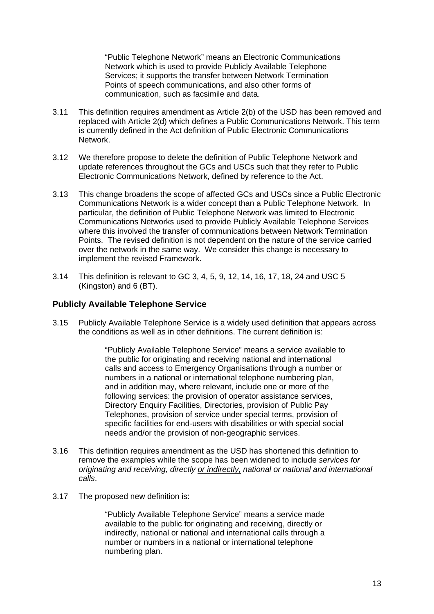"Public Telephone Network" means an Electronic Communications Network which is used to provide Publicly Available Telephone Services; it supports the transfer between Network Termination Points of speech communications, and also other forms of communication, such as facsimile and data.

- 3.11 This definition requires amendment as Article 2(b) of the USD has been removed and replaced with Article 2(d) which defines a Public Communications Network. This term is currently defined in the Act definition of Public Electronic Communications Network.
- 3.12 We therefore propose to delete the definition of Public Telephone Network and update references throughout the GCs and USCs such that they refer to Public Electronic Communications Network, defined by reference to the Act.
- 3.13 This change broadens the scope of affected GCs and USCs since a Public Electronic Communications Network is a wider concept than a Public Telephone Network. In particular, the definition of Public Telephone Network was limited to Electronic Communications Networks used to provide Publicly Available Telephone Services where this involved the transfer of communications between Network Termination Points. The revised definition is not dependent on the nature of the service carried over the network in the same way. We consider this change is necessary to implement the revised Framework.
- 3.14 This definition is relevant to GC 3, 4, 5, 9, 12, 14, 16, 17, 18, 24 and USC 5 (Kingston) and 6 (BT).

#### **Publicly Available Telephone Service**

3.15 Publicly Available Telephone Service is a widely used definition that appears across the conditions as well as in other definitions. The current definition is:

> "Publicly Available Telephone Service" means a service available to the public for originating and receiving national and international calls and access to Emergency Organisations through a number or numbers in a national or international telephone numbering plan, and in addition may, where relevant, include one or more of the following services: the provision of operator assistance services, Directory Enquiry Facilities, Directories, provision of Public Pay Telephones, provision of service under special terms, provision of specific facilities for end-users with disabilities or with special social needs and/or the provision of non-geographic services.

- 3.16 This definition requires amendment as the USD has shortened this definition to remove the examples while the scope has been widened to include *services for originating and receiving, directly or indirectly, national or national and international calls*.
- 3.17 The proposed new definition is:

"Publicly Available Telephone Service" means a service made available to the public for originating and receiving, directly or indirectly, national or national and international calls through a number or numbers in a national or international telephone numbering plan.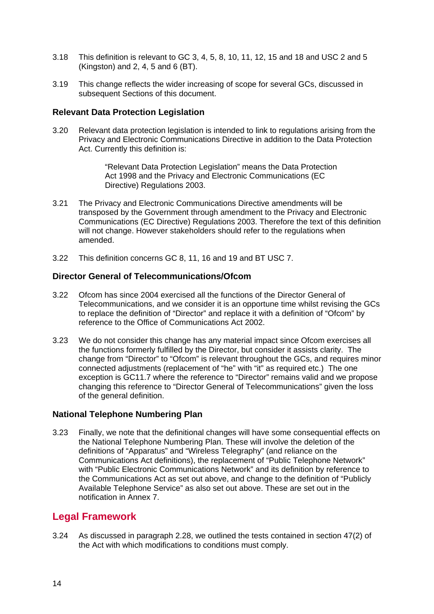- 3.18 This definition is relevant to GC 3, 4, 5, 8, 10, 11, 12, 15 and 18 and USC 2 and 5 (Kingston) and 2, 4, 5 and 6 (BT).
- 3.19 This change reflects the wider increasing of scope for several GCs, discussed in subsequent Sections of this document.

#### **Relevant Data Protection Legislation**

3.20 Relevant data protection legislation is intended to link to regulations arising from the Privacy and Electronic Communications Directive in addition to the Data Protection Act. Currently this definition is:

> "Relevant Data Protection Legislation" means the Data Protection Act 1998 and the Privacy and Electronic Communications (EC Directive) Regulations 2003.

- 3.21 The Privacy and Electronic Communications Directive amendments will be transposed by the Government through amendment to the Privacy and Electronic Communications (EC Directive) Regulations 2003. Therefore the text of this definition will not change. However stakeholders should refer to the regulations when amended.
- 3.22 This definition concerns GC 8, 11, 16 and 19 and BT USC 7.

#### **Director General of Telecommunications/Ofcom**

- 3.22 Ofcom has since 2004 exercised all the functions of the Director General of Telecommunications, and we consider it is an opportune time whilst revising the GCs to replace the definition of "Director" and replace it with a definition of "Ofcom" by reference to the Office of Communications Act 2002.
- 3.23 We do not consider this change has any material impact since Ofcom exercises all the functions formerly fulfilled by the Director, but consider it assists clarity. The change from "Director" to "Ofcom" is relevant throughout the GCs, and requires minor connected adjustments (replacement of "he" with "it" as required etc.) The one exception is GC11.7 where the reference to "Director" remains valid and we propose changing this reference to "Director General of Telecommunications" given the loss of the general definition.

#### **National Telephone Numbering Plan**

3.23 Finally, we note that the definitional changes will have some consequential effects on the National Telephone Numbering Plan. These will involve the deletion of the definitions of "Apparatus" and "Wireless Telegraphy" (and reliance on the Communications Act definitions), the replacement of "Public Telephone Network" with "Public Electronic Communications Network" and its definition by reference to the Communications Act as set out above, and change to the definition of "Publicly Available Telephone Service" as also set out above. These are set out in the notification in Annex 7.

## **Legal Framework**

3.24 As discussed in paragraph 2.28, we outlined the tests contained in section 47(2) of the Act with which modifications to conditions must comply.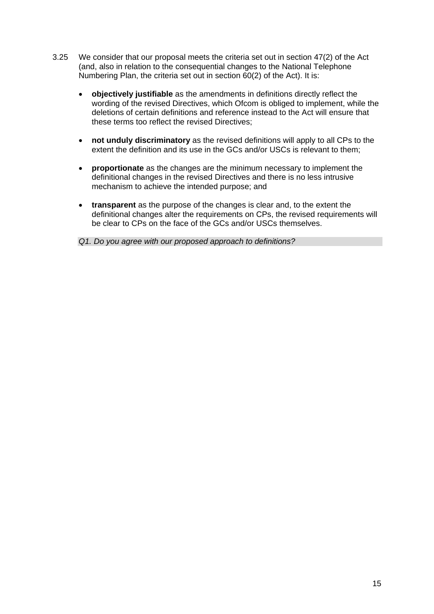- 3.25 We consider that our proposal meets the criteria set out in section 47(2) of the Act (and, also in relation to the consequential changes to the National Telephone Numbering Plan, the criteria set out in section 60(2) of the Act). It is:
	- **objectively justifiable** as the amendments in definitions directly reflect the wording of the revised Directives, which Ofcom is obliged to implement, while the deletions of certain definitions and reference instead to the Act will ensure that these terms too reflect the revised Directives;
	- **not unduly discriminatory** as the revised definitions will apply to all CPs to the extent the definition and its use in the GCs and/or USCs is relevant to them;
	- **proportionate** as the changes are the minimum necessary to implement the definitional changes in the revised Directives and there is no less intrusive mechanism to achieve the intended purpose; and
	- **transparent** as the purpose of the changes is clear and, to the extent the definitional changes alter the requirements on CPs, the revised requirements will be clear to CPs on the face of the GCs and/or USCs themselves.

*Q1. Do you agree with our proposed approach to definitions?*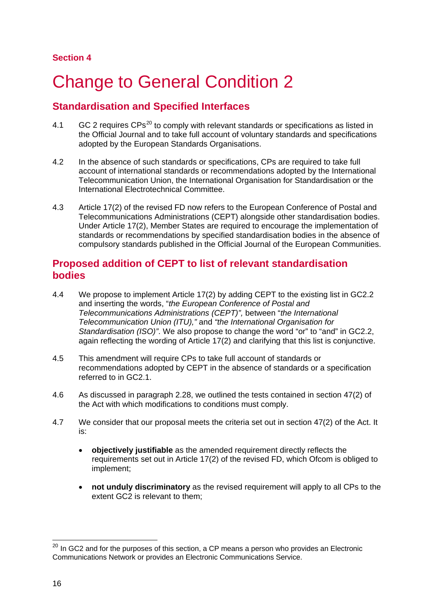# <span id="page-18-0"></span>**Change to General Condition 2**

# **Standardisation and Specified Interfaces**

- 4.1 GC 2 requires  $CPs^{20}$  $CPs^{20}$  $CPs^{20}$  to comply with relevant standards or specifications as listed in the Official Journal and to take full account of voluntary standards and specifications adopted by the European Standards Organisations.
- 4.2 In the absence of such standards or specifications, CPs are required to take full account of international standards or recommendations adopted by the International Telecommunication Union, the International Organisation for Standardisation or the International Electrotechnical Committee.
- 4.3 Article 17(2) of the revised FD now refers to the European Conference of Postal and Telecommunications Administrations (CEPT) alongside other standardisation bodies. Under Article 17(2), Member States are required to encourage the implementation of standards or recommendations by specified standardisation bodies in the absence of compulsory standards published in the Official Journal of the European Communities.

## **Proposed addition of CEPT to list of relevant standardisation bodies**

- 4.4 We propose to implement Article 17(2) by adding CEPT to the existing list in GC2.2 and inserting the words, "*the European Conference of Postal and Telecommunications Administrations (CEPT)",* between "*the International Telecommunication Union (ITU),"* and *"the International Organisation for Standardisation (ISO)"*. We also propose to change the word "or" to "and" in GC2.2, again reflecting the wording of Article 17(2) and clarifying that this list is conjunctive.
- 4.5 This amendment will require CPs to take full account of standards or recommendations adopted by CEPT in the absence of standards or a specification referred to in GC2.1.
- 4.6 As discussed in paragraph 2.28, we outlined the tests contained in section 47(2) of the Act with which modifications to conditions must comply.
- 4.7 We consider that our proposal meets the criteria set out in section 47(2) of the Act. It is:
	- **objectively justifiable** as the amended requirement directly reflects the requirements set out in Article 17(2) of the revised FD, which Ofcom is obliged to implement;
	- **not unduly discriminatory** as the revised requirement will apply to all CPs to the extent GC2 is relevant to them;

<span id="page-18-1"></span> $20$  In GC2 and for the purposes of this section, a CP means a person who provides an Electronic Communications Network or provides an Electronic Communications Service.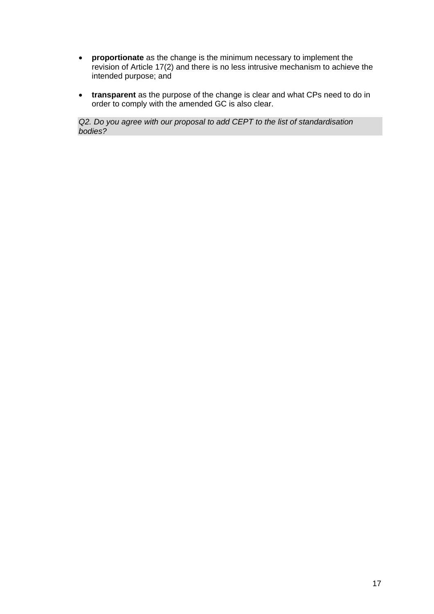- **proportionate** as the change is the minimum necessary to implement the revision of Article 17(2) and there is no less intrusive mechanism to achieve the intended purpose; and
- **transparent** as the purpose of the change is clear and what CPs need to do in order to comply with the amended GC is also clear.

*Q2. Do you agree with our proposal to add CEPT to the list of standardisation bodies?*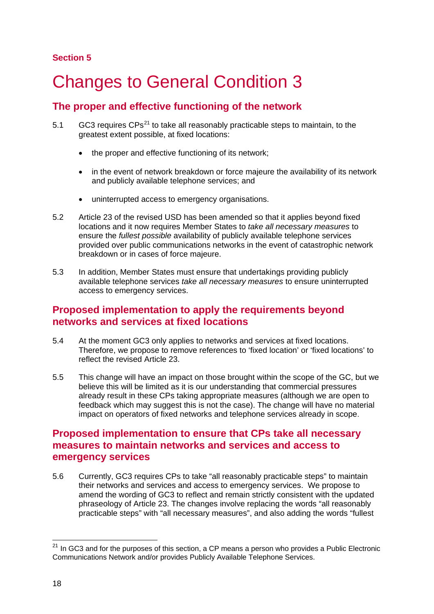## **Section 5**

# <span id="page-20-0"></span>5 Changes to General Condition 3

# **The proper and effective functioning of the network**

- 5.1  $GCS$  requires  $CPs^{21}$  $CPs^{21}$  $CPs^{21}$  to take all reasonably practicable steps to maintain, to the greatest extent possible, at fixed locations:
	- the proper and effective functioning of its network;
	- in the event of network breakdown or force majeure the availability of its network and publicly available telephone services; and
	- uninterrupted access to emergency organisations.
- 5.2 Article 23 of the revised USD has been amended so that it applies beyond fixed locations and it now requires Member States to *take all necessary measures* to ensure the *fullest possible* availability of publicly available telephone services provided over public communications networks in the event of catastrophic network breakdown or in cases of force majeure.
- 5.3 In addition, Member States must ensure that undertakings providing publicly available telephone services *take all necessary measures* to ensure uninterrupted access to emergency services.

# **Proposed implementation to apply the requirements beyond networks and services at fixed locations**

- 5.4 At the moment GC3 only applies to networks and services at fixed locations. Therefore, we propose to remove references to 'fixed location' or 'fixed locations' to reflect the revised Article 23.
- 5.5 This change will have an impact on those brought within the scope of the GC, but we believe this will be limited as it is our understanding that commercial pressures already result in these CPs taking appropriate measures (although we are open to feedback which may suggest this is not the case). The change will have no material impact on operators of fixed networks and telephone services already in scope.

## **Proposed implementation to ensure that CPs take all necessary measures to maintain networks and services and access to emergency services**

5.6 Currently, GC3 requires CPs to take "all reasonably practicable steps" to maintain their networks and services and access to emergency services. We propose to amend the wording of GC3 to reflect and remain strictly consistent with the updated phraseology of Article 23. The changes involve replacing the words "all reasonably practicable steps" with "all necessary measures", and also adding the words "fullest

<span id="page-20-1"></span> $21$  In GC3 and for the purposes of this section, a CP means a person who provides a Public Electronic Communications Network and/or provides Publicly Available Telephone Services.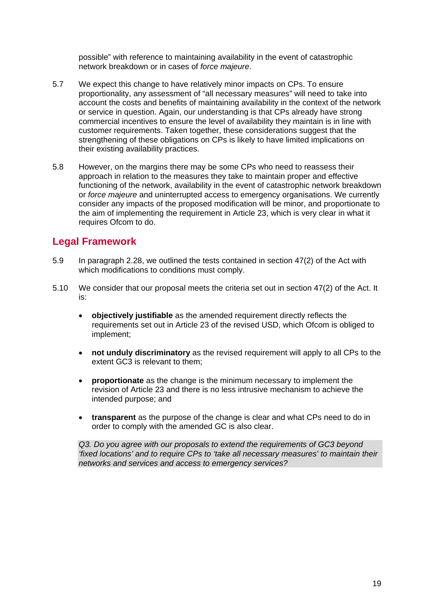possible" with reference to maintaining availability in the event of catastrophic network breakdown or in cases of *force majeure*.

- 5.7 We expect this change to have relatively minor impacts on CPs. To ensure proportionality, any assessment of "all necessary measures" will need to take into account the costs and benefits of maintaining availability in the context of the network or service in question. Again, our understanding is that CPs already have strong commercial incentives to ensure the level of availability they maintain is in line with customer requirements. Taken together, these considerations suggest that the strengthening of these obligations on CPs is likely to have limited implications on their existing availability practices.
- 5.8 However, on the margins there may be some CPs who need to reassess their approach in relation to the measures they take to maintain proper and effective functioning of the network, availability in the event of catastrophic network breakdown or *force majeure* and uninterrupted access to emergency organisations. We currently consider any impacts of the proposed modification will be minor, and proportionate to the aim of implementing the requirement in Article 23, which is very clear in what it requires Ofcom to do.

# **Legal Framework**

- 5.9 In paragraph 2.28, we outlined the tests contained in section 47(2) of the Act with which modifications to conditions must comply.
- 5.10 We consider that our proposal meets the criteria set out in section 47(2) of the Act. It is:
	- **objectively justifiable** as the amended requirement directly reflects the requirements set out in Article 23 of the revised USD, which Ofcom is obliged to implement;
	- **not unduly discriminatory** as the revised requirement will apply to all CPs to the extent GC3 is relevant to them;
	- **proportionate** as the change is the minimum necessary to implement the revision of Article 23 and there is no less intrusive mechanism to achieve the intended purpose; and
	- **transparent** as the purpose of the change is clear and what CPs need to do in order to comply with the amended GC is also clear.

*Q3. Do you agree with our proposals to extend the requirements of GC3 beyond 'fixed locations' and to require CPs to 'take all necessary measures' to maintain their networks and services and access to emergency services?*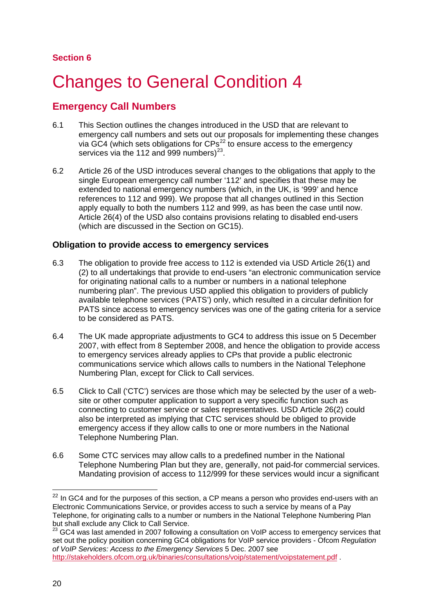# <span id="page-22-0"></span>6 Changes to General Condition 4

# **Emergency Call Numbers**

- 6.1 This Section outlines the changes introduced in the USD that are relevant to emergency call numbers and sets out our proposals for implementing these changes via GC4 (which sets obligations for  $CPs^{22}$  $CPs^{22}$  $CPs^{22}$  to ensure access to the emergency services via the 112 and 999 numbers) $^{23}$  $^{23}$  $^{23}$ .
- 6.2 Article 26 of the USD introduces several changes to the obligations that apply to the single European emergency call number '112' and specifies that these may be extended to national emergency numbers (which, in the UK, is '999' and hence references to 112 and 999). We propose that all changes outlined in this Section apply equally to both the numbers 112 and 999, as has been the case until now. Article 26(4) of the USD also contains provisions relating to disabled end-users (which are discussed in the Section on GC15).

## **Obligation to provide access to emergency services**

- 6.3 The obligation to provide free access to 112 is extended via USD Article 26(1) and (2) to all undertakings that provide to end-users "an electronic communication service for originating national calls to a number or numbers in a national telephone numbering plan". The previous USD applied this obligation to providers of publicly available telephone services ('PATS') only, which resulted in a circular definition for PATS since access to emergency services was one of the gating criteria for a service to be considered as PATS.
- 6.4 The UK made appropriate adjustments to GC4 to address this issue on 5 December 2007, with effect from 8 September 2008, and hence the obligation to provide access to emergency services already applies to CPs that provide a public electronic communications service which allows calls to numbers in the National Telephone Numbering Plan, except for Click to Call services.
- 6.5 Click to Call ('CTC') services are those which may be selected by the user of a website or other computer application to support a very specific function such as connecting to customer service or sales representatives. USD Article 26(2) could also be interpreted as implying that CTC services should be obliged to provide emergency access if they allow calls to one or more numbers in the National Telephone Numbering Plan.
- 6.6 Some CTC services may allow calls to a predefined number in the National Telephone Numbering Plan but they are, generally, not paid-for commercial services. Mandating provision of access to 112/999 for these services would incur a significant

<span id="page-22-1"></span> $22$  In GC4 and for the purposes of this section, a CP means a person who provides end-users with an Electronic Communications Service, or provides access to such a service by means of a Pay Telephone, for originating calls to a number or numbers in the National Telephone Numbering Plan but shall exclude any Click to Call Service.

<span id="page-22-2"></span><sup>&</sup>lt;sup>23</sup> GC4 was last amended in 2007 following a consultation on VoIP access to emergency services that set out the policy position concerning GC4 obligations for VoIP service providers - Ofcom *Regulation of VoIP Services: Access to the Emergency Services* 5 Dec. 2007 see <http://stakeholders.ofcom.org.uk/binaries/consultations/voip/statement/voipstatement.pdf> .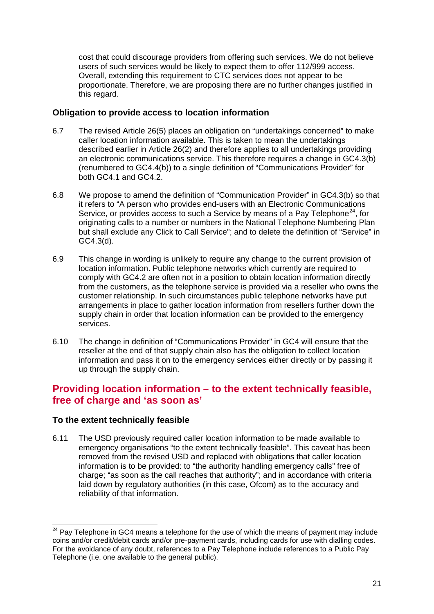cost that could discourage providers from offering such services. We do not believe users of such services would be likely to expect them to offer 112/999 access. Overall, extending this requirement to CTC services does not appear to be proportionate. Therefore, we are proposing there are no further changes justified in this regard.

### **Obligation to provide access to location information**

- 6.7 The revised Article 26(5) places an obligation on "undertakings concerned" to make caller location information available. This is taken to mean the undertakings described earlier in Article 26(2) and therefore applies to all undertakings providing an electronic communications service. This therefore requires a change in GC4.3(b) (renumbered to GC4.4(b)) to a single definition of "Communications Provider" for both GC4.1 and GC4.2.
- 6.8 We propose to amend the definition of "Communication Provider" in GC4.3(b) so that it refers to "A person who provides end-users with an Electronic Communications Service, or provides access to such a Service by means of a Pay Telephone<sup>[24](#page-23-0)</sup>, for originating calls to a number or numbers in the National Telephone Numbering Plan but shall exclude any Click to Call Service"; and to delete the definition of "Service" in GC4.3(d).
- 6.9 This change in wording is unlikely to require any change to the current provision of location information. Public telephone networks which currently are required to comply with GC4.2 are often not in a position to obtain location information directly from the customers, as the telephone service is provided via a reseller who owns the customer relationship. In such circumstances public telephone networks have put arrangements in place to gather location information from resellers further down the supply chain in order that location information can be provided to the emergency services.
- 6.10 The change in definition of "Communications Provider" in GC4 will ensure that the reseller at the end of that supply chain also has the obligation to collect location information and pass it on to the emergency services either directly or by passing it up through the supply chain.

# **Providing location information – to the extent technically feasible, free of charge and 'as soon as'**

## **To the extent technically feasible**

6.11 The USD previously required caller location information to be made available to emergency organisations "to the extent technically feasible". This caveat has been removed from the revised USD and replaced with obligations that caller location information is to be provided: to "the authority handling emergency calls" free of charge; "as soon as the call reaches that authority"; and in accordance with criteria laid down by regulatory authorities (in this case, Ofcom) as to the accuracy and reliability of that information.

<span id="page-23-0"></span> $24$  Pay Telephone in GC4 means a telephone for the use of which the means of payment may include coins and/or credit/debit cards and/or pre-payment cards, including cards for use with dialling codes. For the avoidance of any doubt, references to a Pay Telephone include references to a Public Pay Telephone (i.e. one available to the general public).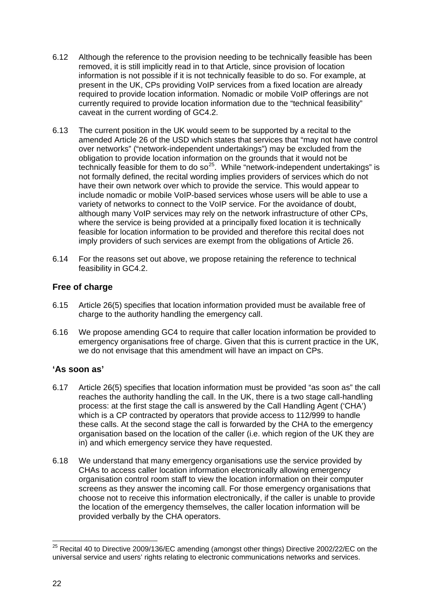- 6.12 Although the reference to the provision needing to be technically feasible has been removed, it is still implicitly read in to that Article, since provision of location information is not possible if it is not technically feasible to do so. For example, at present in the UK, CPs providing VoIP services from a fixed location are already required to provide location information. Nomadic or mobile VoIP offerings are not currently required to provide location information due to the "technical feasibility" caveat in the current wording of GC4.2.
- 6.13 The current position in the UK would seem to be supported by a recital to the amended Article 26 of the USD which states that services that "may not have control over networks" ("network-independent undertakings") may be excluded from the obligation to provide location information on the grounds that it would not be technically feasible for them to do so<sup>[25](#page-24-0)</sup>. While "network-independent undertakings" is not formally defined, the recital wording implies providers of services which do not have their own network over which to provide the service. This would appear to include nomadic or mobile VoIP-based services whose users will be able to use a variety of networks to connect to the VoIP service. For the avoidance of doubt, although many VoIP services may rely on the network infrastructure of other CPs, where the service is being provided at a principally fixed location it is technically feasible for location information to be provided and therefore this recital does not imply providers of such services are exempt from the obligations of Article 26.
- 6.14 For the reasons set out above, we propose retaining the reference to technical feasibility in GC4.2.

## **Free of charge**

- 6.15 Article 26(5) specifies that location information provided must be available free of charge to the authority handling the emergency call.
- 6.16 We propose amending GC4 to require that caller location information be provided to emergency organisations free of charge. Given that this is current practice in the UK, we do not envisage that this amendment will have an impact on CPs.

## **'As soon as'**

- 6.17 Article 26(5) specifies that location information must be provided "as soon as" the call reaches the authority handling the call. In the UK, there is a two stage call-handling process: at the first stage the call is answered by the Call Handling Agent ('CHA') which is a CP contracted by operators that provide access to 112/999 to handle these calls. At the second stage the call is forwarded by the CHA to the emergency organisation based on the location of the caller (i.e. which region of the UK they are in) and which emergency service they have requested.
- 6.18 We understand that many emergency organisations use the service provided by CHAs to access caller location information electronically allowing emergency organisation control room staff to view the location information on their computer screens as they answer the incoming call. For those emergency organisations that choose not to receive this information electronically, if the caller is unable to provide the location of the emergency themselves, the caller location information will be provided verbally by the CHA operators.

<span id="page-24-0"></span><sup>&</sup>lt;sup>25</sup> Recital 40 to Directive 2009/136/EC amending (amongst other things) Directive 2002/22/EC on the universal service and users' rights relating to electronic communications networks and services.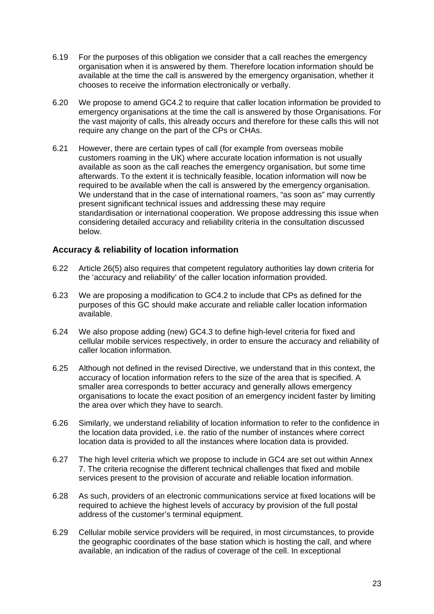- 6.19 For the purposes of this obligation we consider that a call reaches the emergency organisation when it is answered by them. Therefore location information should be available at the time the call is answered by the emergency organisation, whether it chooses to receive the information electronically or verbally.
- 6.20 We propose to amend GC4.2 to require that caller location information be provided to emergency organisations at the time the call is answered by those Organisations. For the vast majority of calls, this already occurs and therefore for these calls this will not require any change on the part of the CPs or CHAs.
- 6.21 However, there are certain types of call (for example from overseas mobile customers roaming in the UK) where accurate location information is not usually available as soon as the call reaches the emergency organisation, but some time afterwards. To the extent it is technically feasible, location information will now be required to be available when the call is answered by the emergency organisation. We understand that in the case of international roamers, "as soon as" may currently present significant technical issues and addressing these may require standardisation or international cooperation. We propose addressing this issue when considering detailed accuracy and reliability criteria in the consultation discussed below.

## **Accuracy & reliability of location information**

- 6.22 Article 26(5) also requires that competent regulatory authorities lay down criteria for the 'accuracy and reliability' of the caller location information provided.
- 6.23 We are proposing a modification to GC4.2 to include that CPs as defined for the purposes of this GC should make accurate and reliable caller location information available.
- 6.24 We also propose adding (new) GC4.3 to define high-level criteria for fixed and cellular mobile services respectively, in order to ensure the accuracy and reliability of caller location information.
- 6.25 Although not defined in the revised Directive, we understand that in this context, the accuracy of location information refers to the size of the area that is specified. A smaller area corresponds to better accuracy and generally allows emergency organisations to locate the exact position of an emergency incident faster by limiting the area over which they have to search.
- 6.26 Similarly, we understand reliability of location information to refer to the confidence in the location data provided, i.e. the ratio of the number of instances where correct location data is provided to all the instances where location data is provided.
- 6.27 The high level criteria which we propose to include in GC4 are set out within Annex 7. The criteria recognise the different technical challenges that fixed and mobile services present to the provision of accurate and reliable location information.
- 6.28 As such, providers of an electronic communications service at fixed locations will be required to achieve the highest levels of accuracy by provision of the full postal address of the customer's terminal equipment.
- 6.29 Cellular mobile service providers will be required, in most circumstances, to provide the geographic coordinates of the base station which is hosting the call, and where available, an indication of the radius of coverage of the cell. In exceptional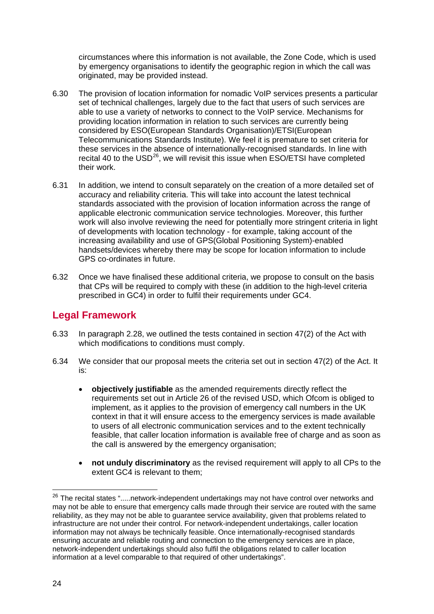circumstances where this information is not available, the Zone Code, which is used by emergency organisations to identify the geographic region in which the call was originated, may be provided instead.

- 6.30 The provision of location information for nomadic VoIP services presents a particular set of technical challenges, largely due to the fact that users of such services are able to use a variety of networks to connect to the VoIP service. Mechanisms for providing location information in relation to such services are currently being considered by ESO(European Standards Organisation)/ETSI(European Telecommunications Standards Institute). We feel it is premature to set criteria for these services in the absence of internationally-recognised standards. In line with recital 40 to the USD $^{26}$  $^{26}$  $^{26}$ , we will revisit this issue when ESO/ETSI have completed their work.
- 6.31 In addition, we intend to consult separately on the creation of a more detailed set of accuracy and reliability criteria. This will take into account the latest technical standards associated with the provision of location information across the range of applicable electronic communication service technologies. Moreover, this further work will also involve reviewing the need for potentially more stringent criteria in light of developments with location technology - for example, taking account of the increasing availability and use of GPS(Global Positioning System)-enabled handsets/devices whereby there may be scope for location information to include GPS co-ordinates in future.
- 6.32 Once we have finalised these additional criteria, we propose to consult on the basis that CPs will be required to comply with these (in addition to the high-level criteria prescribed in GC4) in order to fulfil their requirements under GC4.

## **Legal Framework**

- 6.33 In paragraph 2.28, we outlined the tests contained in section 47(2) of the Act with which modifications to conditions must comply.
- 6.34 We consider that our proposal meets the criteria set out in section 47(2) of the Act. It is:
	- **objectively justifiable** as the amended requirements directly reflect the requirements set out in Article 26 of the revised USD, which Ofcom is obliged to implement, as it applies to the provision of emergency call numbers in the UK context in that it will ensure access to the emergency services is made available to users of all electronic communication services and to the extent technically feasible, that caller location information is available free of charge and as soon as the call is answered by the emergency organisation;
	- **not unduly discriminatory** as the revised requirement will apply to all CPs to the extent GC4 is relevant to them;

<span id="page-26-0"></span><sup>&</sup>lt;sup>26</sup> The recital states ".....network-independent undertakings may not have control over networks and may not be able to ensure that emergency calls made through their service are routed with the same reliability, as they may not be able to guarantee service availability, given that problems related to infrastructure are not under their control. For network-independent undertakings, caller location information may not always be technically feasible. Once internationally-recognised standards ensuring accurate and reliable routing and connection to the emergency services are in place, network-independent undertakings should also fulfil the obligations related to caller location information at a level comparable to that required of other undertakings".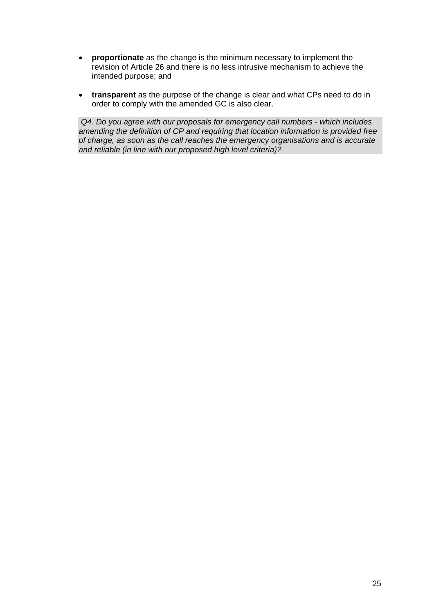- **proportionate** as the change is the minimum necessary to implement the revision of Article 26 and there is no less intrusive mechanism to achieve the intended purpose; and
- **transparent** as the purpose of the change is clear and what CPs need to do in order to comply with the amended GC is also clear.

*Q4. Do you agree with our proposals for emergency call numbers - which includes amending the definition of CP and requiring that location information is provided free of charge, as soon as the call reaches the emergency organisations and is accurate and reliable (in line with our proposed high level criteria)?*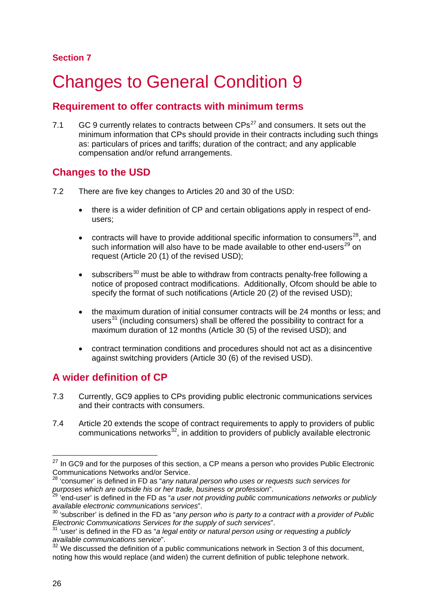## **Section 7**

# <span id="page-28-0"></span>**Changes to General Condition 9**

## **Requirement to offer contracts with minimum terms**

7.1 GC 9 currently relates to contracts between  $CPs^{27}$  $CPs^{27}$  $CPs^{27}$  and consumers. It sets out the minimum information that CPs should provide in their contracts including such things as: particulars of prices and tariffs; duration of the contract; and any applicable compensation and/or refund arrangements.

## **Changes to the USD**

- 7.2 There are five key changes to Articles 20 and 30 of the USD:
	- there is a wider definition of CP and certain obligations apply in respect of endusers;
	- contracts will have to provide additional specific information to consumers<sup>[28](#page-28-2)</sup>, and such information will also have to be made available to other end-users<sup>[29](#page-28-3)</sup> on request (Article 20 (1) of the revised USD);
	- $\bullet$  subscribers<sup>[30](#page-28-4)</sup> must be able to withdraw from contracts penalty-free following a notice of proposed contract modifications. Additionally, Ofcom should be able to specify the format of such notifications (Article 20 (2) of the revised USD);
	- the maximum duration of initial consumer contracts will be 24 months or less; and users<sup>[31](#page-28-5)</sup> (including consumers) shall be offered the possibility to contract for a maximum duration of 12 months (Article 30 (5) of the revised USD); and
	- contract termination conditions and procedures should not act as a disincentive against switching providers (Article 30 (6) of the revised USD).

# **A wider definition of CP**

- 7.3 Currently, GC9 applies to CPs providing public electronic communications services and their contracts with consumers.
- 7.4 Article 20 extends the scope of contract requirements to apply to providers of public communications networks $32$ , in addition to providers of publicly available electronic

<span id="page-28-1"></span> $27$  In GC9 and for the purposes of this section, a CP means a person who provides Public Electronic Communications Networks and/or Service. <sup>28</sup> 'consumer' is defined in FD as "*any natural person who uses or requests such services for* 

<span id="page-28-2"></span>*purposes which are outside his or her trade, business or profession*".

<span id="page-28-3"></span><sup>29</sup> 'end-user' is defined in the FD as "*a user not providing public communications networks or publicly available electronic communications services*".

<span id="page-28-4"></span><sup>30</sup> 'subscriber' is defined in the FD as "*any person who is party to a contract with a provider of Public Electronic Communications Services for the supply of such services*". <sup>31</sup> 'user' is defined in the FD as "*a legal entity or natural person using or requesting a publicly* 

<span id="page-28-5"></span>*available communications service*".

<span id="page-28-6"></span> $32$  We discussed the definition of a public communications network in Section 3 of this document, noting how this would replace (and widen) the current definition of public telephone network.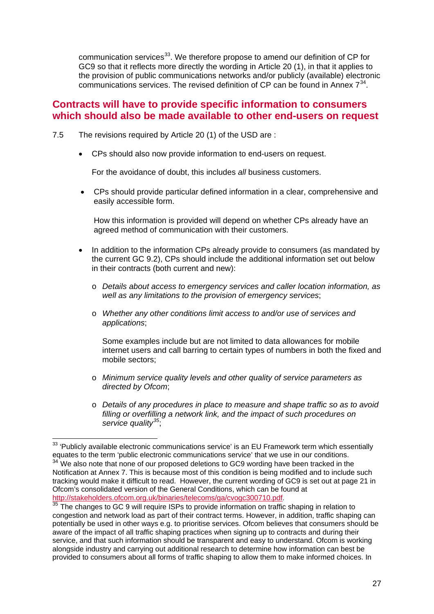communication services<sup>33</sup>. We therefore propose to amend our definition of CP for GC9 so that it reflects more directly the wording in Article 20 (1), in that it applies to the provision of public communications networks and/or publicly (available) electronic communications services. The revised definition of CP can be found in Annex  $7^{34}$  $7^{34}$  $7^{34}$ .

## **Contracts will have to provide specific information to consumers which should also be made available to other end-users on request**

- 7.5 The revisions required by Article 20 (1) of the USD are :
	- CPs should also now provide information to end-users on request.

For the avoidance of doubt, this includes *all* business customers.

• CPs should provide particular defined information in a clear, comprehensive and easily accessible form.

How this information is provided will depend on whether CPs already have an agreed method of communication with their customers.

- In addition to the information CPs already provide to consumers (as mandated by the current GC 9.2), CPs should include the additional information set out below in their contracts (both current and new):
	- o *Details about access to emergency services and caller location information, as well as any limitations to the provision of emergency services*;
	- o *Whether any other conditions limit access to and/or use of services and applications*;

Some examples include but are not limited to data allowances for mobile internet users and call barring to certain types of numbers in both the fixed and mobile sectors;

- o *Minimum service quality levels and other quality of service parameters as directed by Ofcom*;
- o *Details of any procedures in place to measure and shape traffic so as to avoid filling or overfilling a network link, and the impact of such procedures on service quality[35](#page-29-2)* ;

<span id="page-29-1"></span><span id="page-29-0"></span><sup>&</sup>lt;sup>33</sup> 'Publicly available electronic communications service' is an EU Framework term which essentially equates to the term 'public electronic communications service' that we use in our conditions.  $34$  We also note that none of our proposed deletions to GC9 wording have been tracked in the Notification at Annex 7. This is because most of this condition is being modified and to include such tracking would make it difficult to read. However, the current wording of GC9 is set out at page 21 in Ofcom's consolidated version of the General Conditions, which can be found at http://stakeholders.ofcom.org.uk/binaries/telecoms/ga/cvogc300710.pdf.

<span id="page-29-2"></span> $\frac{35}{35}$  The changes to GC 9 will require ISPs to provide information on traffic shaping in relation to congestion and network load as part of their contract terms. However, in addition, traffic shaping can potentially be used in other ways e.g. to prioritise services. Ofcom believes that consumers should be aware of the impact of all traffic shaping practices when signing up to contracts and during their service, and that such information should be transparent and easy to understand. Ofcom is working alongside industry and carrying out additional research to determine how information can best be provided to consumers about all forms of traffic shaping to allow them to make informed choices. In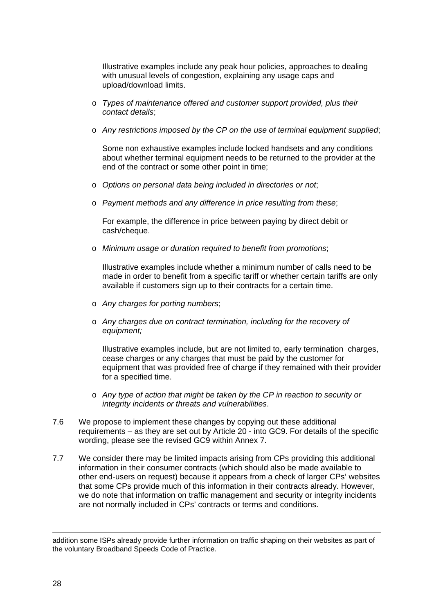Illustrative examples include any peak hour policies, approaches to dealing with unusual levels of congestion, explaining any usage caps and upload/download limits.

- o *Types of maintenance offered and customer support provided, plus their contact details*;
- o *Any restrictions imposed by the CP on the use of terminal equipment supplied*;

Some non exhaustive examples include locked handsets and any conditions about whether terminal equipment needs to be returned to the provider at the end of the contract or some other point in time;

- o *Options on personal data being included in directories or not*;
- o *Payment methods and any difference in price resulting from these*;

For example, the difference in price between paying by direct debit or cash/cheque.

o *Minimum usage or duration required to benefit from promotions*;

Illustrative examples include whether a minimum number of calls need to be made in order to benefit from a specific tariff or whether certain tariffs are only available if customers sign up to their contracts for a certain time.

- o *Any charges for porting numbers*;
- o *Any charges due on contract termination, including for the recovery of equipment;*

Illustrative examples include, but are not limited to, early termination charges, cease charges or any charges that must be paid by the customer for equipment that was provided free of charge if they remained with their provider for a specified time.

- o *Any type of action that might be taken by the CP in reaction to security or integrity incidents or threats and vulnerabilities*.
- 7.6 We propose to implement these changes by copying out these additional requirements – as they are set out by Article 20 - into GC9. For details of the specific wording, please see the revised GC9 within Annex 7.
- 7.7 We consider there may be limited impacts arising from CPs providing this additional information in their consumer contracts (which should also be made available to other end-users on request) because it appears from a check of larger CPs' websites that some CPs provide much of this information in their contracts already. However, we do note that information on traffic management and security or integrity incidents are not normally included in CPs' contracts or terms and conditions.

<sup>&</sup>lt;u>.</u> addition some ISPs already provide further information on traffic shaping on their websites as part of the voluntary Broadband Speeds Code of Practice.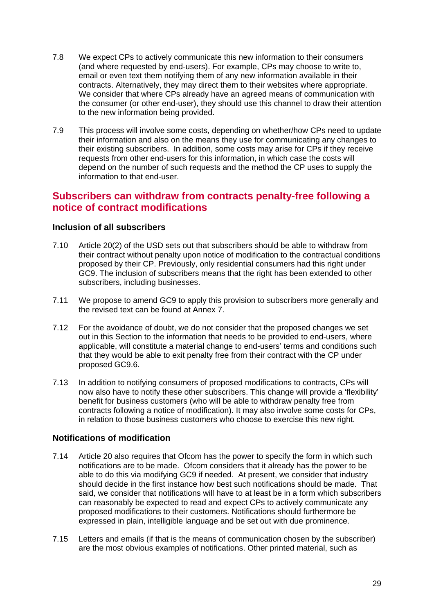- 7.8 We expect CPs to actively communicate this new information to their consumers (and where requested by end-users). For example, CPs may choose to write to, email or even text them notifying them of any new information available in their contracts. Alternatively, they may direct them to their websites where appropriate. We consider that where CPs already have an agreed means of communication with the consumer (or other end-user), they should use this channel to draw their attention to the new information being provided.
- 7.9 This process will involve some costs, depending on whether/how CPs need to update their information and also on the means they use for communicating any changes to their existing subscribers. In addition, some costs may arise for CPs if they receive requests from other end-users for this information, in which case the costs will depend on the number of such requests and the method the CP uses to supply the information to that end-user.

## **Subscribers can withdraw from contracts penalty-free following a notice of contract modifications**

#### **Inclusion of all subscribers**

- 7.10 Article 20(2) of the USD sets out that subscribers should be able to withdraw from their contract without penalty upon notice of modification to the contractual conditions proposed by their CP. Previously, only residential consumers had this right under GC9. The inclusion of subscribers means that the right has been extended to other subscribers, including businesses.
- 7.11 We propose to amend GC9 to apply this provision to subscribers more generally and the revised text can be found at Annex 7.
- 7.12 For the avoidance of doubt, we do not consider that the proposed changes we set out in this Section to the information that needs to be provided to end-users, where applicable, will constitute a material change to end-users' terms and conditions such that they would be able to exit penalty free from their contract with the CP under proposed GC9.6.
- 7.13 In addition to notifying consumers of proposed modifications to contracts, CPs will now also have to notify these other subscribers. This change will provide a 'flexibility' benefit for business customers (who will be able to withdraw penalty free from contracts following a notice of modification). It may also involve some costs for CPs, in relation to those business customers who choose to exercise this new right.

## **Notifications of modification**

- 7.14 Article 20 also requires that Ofcom has the power to specify the form in which such notifications are to be made. Ofcom considers that it already has the power to be able to do this via modifying GC9 if needed. At present, we consider that industry should decide in the first instance how best such notifications should be made. That said, we consider that notifications will have to at least be in a form which subscribers can reasonably be expected to read and expect CPs to actively communicate any proposed modifications to their customers. Notifications should furthermore be expressed in plain, intelligible language and be set out with due prominence.
- 7.15 Letters and emails (if that is the means of communication chosen by the subscriber) are the most obvious examples of notifications. Other printed material, such as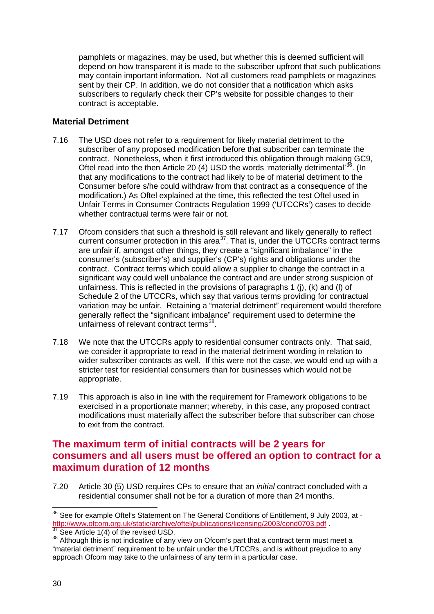pamphlets or magazines, may be used, but whether this is deemed sufficient will depend on how transparent it is made to the subscriber upfront that such publications may contain important information. Not all customers read pamphlets or magazines sent by their CP. In addition, we do not consider that a notification which asks subscribers to regularly check their CP's website for possible changes to their contract is acceptable.

## **Material Detriment**

- 7.16 The USD does not refer to a requirement for likely material detriment to the subscriber of any proposed modification before that subscriber can terminate the contract. Nonetheless, when it first introduced this obligation through making GC9, Oftel read into the then Article 20 (4) USD the words 'materially detrimental'<sup>[36](#page-32-0)</sup>. (In that any modifications to the contract had likely to be of material detriment to the Consumer before s/he could withdraw from that contract as a consequence of the modification.) As Oftel explained at the time, this reflected the test Oftel used in Unfair Terms in Consumer Contracts Regulation 1999 ('UTCCRs') cases to decide whether contractual terms were fair or not.
- 7.17 Ofcom considers that such a threshold is still relevant and likely generally to reflect current consumer protection in this area<sup>[37](#page-32-0)</sup>. That is, under the UTCCRs contract terms are unfair if, amongst other things, they create a "significant imbalance" in the consumer's (subscriber's) and supplier's (CP's) rights and obligations under the contract. Contract terms which could allow a supplier to change the contract in a significant way could well unbalance the contract and are under strong suspicion of unfairness. This is reflected in the provisions of paragraphs 1 (j), (k) and (l) of Schedule 2 of the UTCCRs, which say that various terms providing for contractual variation may be unfair. Retaining a "material detriment" requirement would therefore generally reflect the "significant imbalance" requirement used to determine the unfairness of relevant contract terms<sup>[38](#page-32-0)</sup>.
- 7.18 We note that the UTCCRs apply to residential consumer contracts only. That said, we consider it appropriate to read in the material detriment wording in relation to wider subscriber contracts as well. If this were not the case, we would end up with a stricter test for residential consumers than for businesses which would not be appropriate.
- 7.19 This approach is also in line with the requirement for Framework obligations to be exercised in a proportionate manner; whereby, in this case, any proposed contract modifications must materially affect the subscriber before that subscriber can chose to exit from the contract.

# **The maximum term of initial contracts will be 2 years for consumers and all users must be offered an option to contract for a maximum duration of 12 months**

7.20 Article 30 (5) USD requires CPs to ensure that an *initial* contract concluded with a residential consumer shall not be for a duration of more than 24 months.

<span id="page-32-0"></span><sup>&</sup>lt;sup>36</sup> See for example Oftel's Statement on The General Conditions of Entitlement, 9 July 2003, at -<br>http://www.ofcom.org.uk/static/archive/oftel/publications/licensing/2003/cond0703.pdf.

 $\frac{37}{38}$  See Article 1(4) of the revised USD.  $\frac{38}{38}$  Although this is not indicative of any view on Ofcom's part that a contract term must meet a "material detriment" requirement to be unfair under the UTCCRs, and is without prejudice to any approach Ofcom may take to the unfairness of any term in a particular case.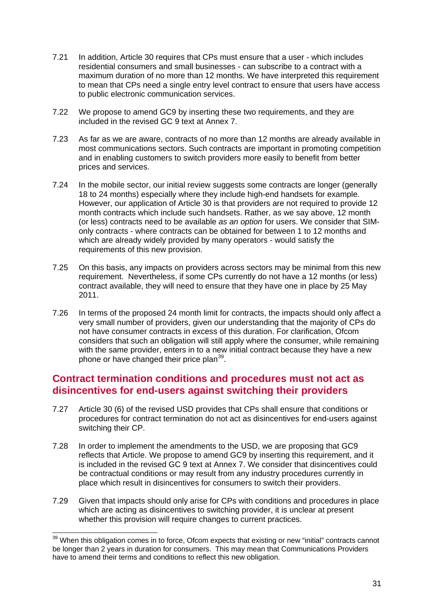- 7.21 In addition, Article 30 requires that CPs must ensure that a user which includes residential consumers and small businesses - can subscribe to a contract with a maximum duration of no more than 12 months. We have interpreted this requirement to mean that CPs need a single entry level contract to ensure that users have access to public electronic communication services.
- 7.22 We propose to amend GC9 by inserting these two requirements, and they are included in the revised GC 9 text at Annex 7.
- 7.23 As far as we are aware, contracts of no more than 12 months are already available in most communications sectors. Such contracts are important in promoting competition and in enabling customers to switch providers more easily to benefit from better prices and services.
- 7.24 In the mobile sector, our initial review suggests some contracts are longer (generally 18 to 24 months) especially where they include high-end handsets for example. However, our application of Article 30 is that providers are not required to provide 12 month contracts which include such handsets. Rather, as we say above, 12 month (or less) contracts need to be available *as an option* for users. We consider that SIMonly contracts - where contracts can be obtained for between 1 to 12 months and which are already widely provided by many operators - would satisfy the requirements of this new provision.
- 7.25 On this basis, any impacts on providers across sectors may be minimal from this new requirement. Nevertheless, if some CPs currently do not have a 12 months (or less) contract available, they will need to ensure that they have one in place by 25 May 2011.
- 7.26 In terms of the proposed 24 month limit for contracts, the impacts should only affect a very small number of providers, given our understanding that the majority of CPs do not have consumer contracts in excess of this duration. For clarification, Ofcom considers that such an obligation will still apply where the consumer, while remaining with the same provider, enters in to a new initial contract because they have a new phone or have changed their price plan<sup>[39](#page-33-0)</sup>.

## **Contract termination conditions and procedures must not act as disincentives for end-users against switching their providers**

- 7.27 Article 30 (6) of the revised USD provides that CPs shall ensure that conditions or procedures for contract termination do not act as disincentives for end-users against switching their CP.
- 7.28 In order to implement the amendments to the USD, we are proposing that GC9 reflects that Article. We propose to amend GC9 by inserting this requirement, and it is included in the revised GC 9 text at Annex 7. We consider that disincentives could be contractual conditions or may result from any industry procedures currently in place which result in disincentives for consumers to switch their providers.
- 7.29 Given that impacts should only arise for CPs with conditions and procedures in place which are acting as disincentives to switching provider, it is unclear at present whether this provision will require changes to current practices.

<span id="page-33-0"></span><sup>&</sup>lt;sup>39</sup> When this obligation comes in to force, Ofcom expects that existing or new "initial" contracts cannot be longer than 2 years in duration for consumers. This may mean that Communications Providers have to amend their terms and conditions to reflect this new obligation.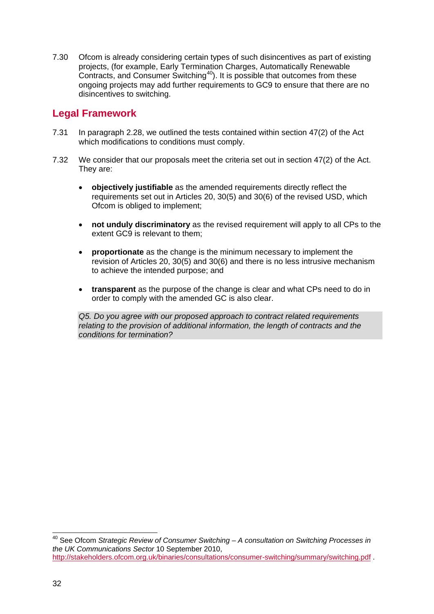7.30 Ofcom is already considering certain types of such disincentives as part of existing projects, (for example, Early Termination Charges, Automatically Renewable Contracts, and Consumer Switching<sup>[40](#page-34-0)</sup>). It is possible that outcomes from these ongoing projects may add further requirements to GC9 to ensure that there are no disincentives to switching.

## **Legal Framework**

- 7.31 In paragraph 2.28, we outlined the tests contained within section 47(2) of the Act which modifications to conditions must comply.
- 7.32 We consider that our proposals meet the criteria set out in section 47(2) of the Act. They are:
	- **objectively justifiable** as the amended requirements directly reflect the requirements set out in Articles 20, 30(5) and 30(6) of the revised USD, which Ofcom is obliged to implement;
	- **not unduly discriminatory** as the revised requirement will apply to all CPs to the extent GC9 is relevant to them;
	- **proportionate** as the change is the minimum necessary to implement the revision of Articles 20, 30(5) and 30(6) and there is no less intrusive mechanism to achieve the intended purpose; and
	- **transparent** as the purpose of the change is clear and what CPs need to do in order to comply with the amended GC is also clear.

*Q5. Do you agree with our proposed approach to contract related requirements relating to the provision of additional information, the length of contracts and the conditions for termination?*

<span id="page-34-0"></span> <sup>40</sup> See Ofcom *Strategic Review of Consumer Switching – A consultation on Switching Processes in the UK Communications Sector* 10 September 2010, <http://stakeholders.ofcom.org.uk/binaries/consultations/consumer-switching/summary/switching.pdf> .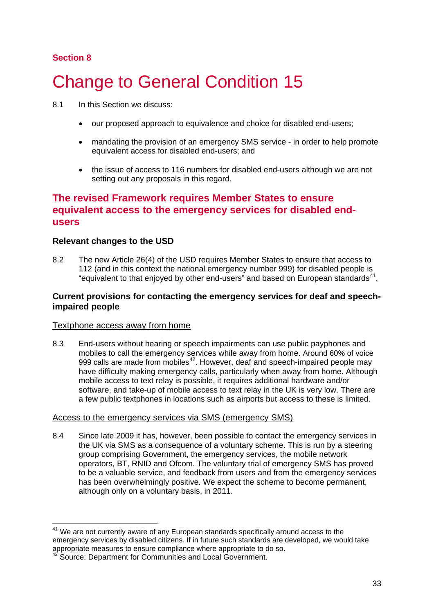## **Section 8**

# <span id="page-35-0"></span>**Change to General Condition 15**

- 8.1 In this Section we discuss:
	- our proposed approach to equivalence and choice for disabled end-users;
	- mandating the provision of an emergency SMS service in order to help promote equivalent access for disabled end-users; and
	- the issue of access to 116 numbers for disabled end-users although we are not setting out any proposals in this regard.

## **The revised Framework requires Member States to ensure equivalent access to the emergency services for disabled endusers**

## **Relevant changes to the USD**

8.2 The new Article 26(4) of the USD requires Member States to ensure that access to 112 (and in this context the national emergency number 999) for disabled people is "equivalent to that enjoyed by other end-users" and based on European standards $41$ .

#### **Current provisions for contacting the emergency services for deaf and speechimpaired people**

#### Textphone access away from home

8.3 End-users without hearing or speech impairments can use public payphones and mobiles to call the emergency services while away from home. Around 60% of voice 999 calls are made from mobiles<sup>[42](#page-35-2)</sup>. However, deaf and speech-impaired people may have difficulty making emergency calls, particularly when away from home. Although mobile access to text relay is possible, it requires additional hardware and/or software, and take-up of mobile access to text relay in the UK is very low. There are a few public textphones in locations such as airports but access to these is limited.

#### Access to the emergency services via SMS (emergency SMS)

8.4 Since late 2009 it has, however, been possible to contact the emergency services in the UK via SMS as a consequence of a voluntary scheme. This is run by a steering group comprising Government, the emergency services, the mobile network operators, BT, RNID and Ofcom. The voluntary trial of emergency SMS has proved to be a valuable service, and feedback from users and from the emergency services has been overwhelmingly positive. We expect the scheme to become permanent, although only on a voluntary basis, in 2011.

<span id="page-35-1"></span>We are not currently aware of any European standards specifically around access to the emergency services by disabled citizens. If in future such standards are developed, we would take appropriate measures to ensure compliance where appropriate to do so.

<span id="page-35-2"></span>Source: Department for Communities and Local Government.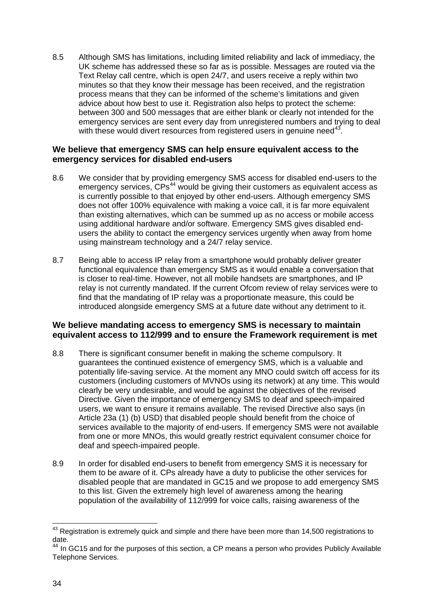8.5 Although SMS has limitations, including limited reliability and lack of immediacy, the UK scheme has addressed these so far as is possible. Messages are routed via the Text Relay call centre, which is open 24/7, and users receive a reply within two minutes so that they know their message has been received, and the registration process means that they can be informed of the scheme's limitations and given advice about how best to use it. Registration also helps to protect the scheme: between 300 and 500 messages that are either blank or clearly not intended for the emergency services are sent every day from unregistered numbers and trying to deal with these would divert resources from registered users in genuine need $^{43}$  $^{43}$  $^{43}$ .

#### **We believe that emergency SMS can help ensure equivalent access to the emergency services for disabled end-users**

- 8.6 We consider that by providing emergency SMS access for disabled end-users to the emergency services, CPs<sup>[44](#page-36-1)</sup> would be giving their customers as equivalent access as is currently possible to that enjoyed by other end-users. Although emergency SMS does not offer 100% equivalence with making a voice call, it is far more equivalent than existing alternatives, which can be summed up as no access or mobile access using additional hardware and/or software. Emergency SMS gives disabled endusers the ability to contact the emergency services urgently when away from home using mainstream technology and a 24/7 relay service.
- 8.7 Being able to access IP relay from a smartphone would probably deliver greater functional equivalence than emergency SMS as it would enable a conversation that is closer to real-time. However, not all mobile handsets are smartphones, and IP relay is not currently mandated. If the current Ofcom review of relay services were to find that the mandating of IP relay was a proportionate measure, this could be introduced alongside emergency SMS at a future date without any detriment to it.

## **We believe mandating access to emergency SMS is necessary to maintain equivalent access to 112/999 and to ensure the Framework requirement is met**

- 8.8 There is significant consumer benefit in making the scheme compulsory. It guarantees the continued existence of emergency SMS, which is a valuable and potentially life-saving service. At the moment any MNO could switch off access for its customers (including customers of MVNOs using its network) at any time. This would clearly be very undesirable, and would be against the objectives of the revised Directive. Given the importance of emergency SMS to deaf and speech-impaired users, we want to ensure it remains available. The revised Directive also says (in Article 23a (1) (b) USD) that disabled people should benefit from the choice of services available to the majority of end-users. If emergency SMS were not available from one or more MNOs, this would greatly restrict equivalent consumer choice for deaf and speech-impaired people.
- 8.9 In order for disabled end-users to benefit from emergency SMS it is necessary for them to be aware of it. CPs already have a duty to publicise the other services for disabled people that are mandated in GC15 and we propose to add emergency SMS to this list. Given the extremely high level of awareness among the hearing population of the availability of 112/999 for voice calls, raising awareness of the

<span id="page-36-0"></span> $43$  Registration is extremely quick and simple and there have been more than 14,500 registrations to date.

<span id="page-36-1"></span><sup>&</sup>lt;sup>44</sup> In GC15 and for the purposes of this section, a CP means a person who provides Publicly Available Telephone Services.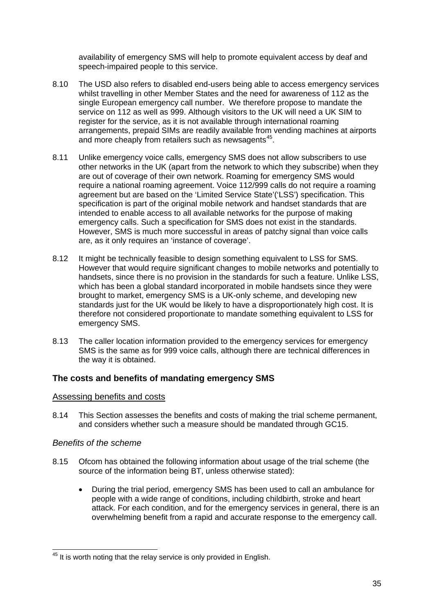availability of emergency SMS will help to promote equivalent access by deaf and speech-impaired people to this service.

- 8.10 The USD also refers to disabled end-users being able to access emergency services whilst travelling in other Member States and the need for awareness of 112 as the single European emergency call number. We therefore propose to mandate the service on 112 as well as 999. Although visitors to the UK will need a UK SIM to register for the service, as it is not available through international roaming arrangements, prepaid SIMs are readily available from vending machines at airports and more cheaply from retailers such as newsagents<sup>[45](#page-37-0)</sup>.
- 8.11 Unlike emergency voice calls, emergency SMS does not allow subscribers to use other networks in the UK (apart from the network to which they subscribe) when they are out of coverage of their own network. Roaming for emergency SMS would require a national roaming agreement. Voice 112/999 calls do not require a roaming agreement but are based on the 'Limited Service State'('LSS') specification. This specification is part of the original mobile network and handset standards that are intended to enable access to all available networks for the purpose of making emergency calls. Such a specification for SMS does not exist in the standards. However, SMS is much more successful in areas of patchy signal than voice calls are, as it only requires an 'instance of coverage'.
- 8.12 It might be technically feasible to design something equivalent to LSS for SMS. However that would require significant changes to mobile networks and potentially to handsets, since there is no provision in the standards for such a feature. Unlike LSS, which has been a global standard incorporated in mobile handsets since they were brought to market, emergency SMS is a UK-only scheme, and developing new standards just for the UK would be likely to have a disproportionately high cost. It is therefore not considered proportionate to mandate something equivalent to LSS for emergency SMS.
- 8.13 The caller location information provided to the emergency services for emergency SMS is the same as for 999 voice calls, although there are technical differences in the way it is obtained.

## **The costs and benefits of mandating emergency SMS**

#### Assessing benefits and costs

8.14 This Section assesses the benefits and costs of making the trial scheme permanent, and considers whether such a measure should be mandated through GC15.

## *Benefits of the scheme*

- 8.15 Ofcom has obtained the following information about usage of the trial scheme (the source of the information being BT, unless otherwise stated):
	- During the trial period, emergency SMS has been used to call an ambulance for people with a wide range of conditions, including childbirth, stroke and heart attack. For each condition, and for the emergency services in general, there is an overwhelming benefit from a rapid and accurate response to the emergency call.

<span id="page-37-0"></span><sup>&</sup>lt;sup>45</sup> It is worth noting that the relay service is only provided in English.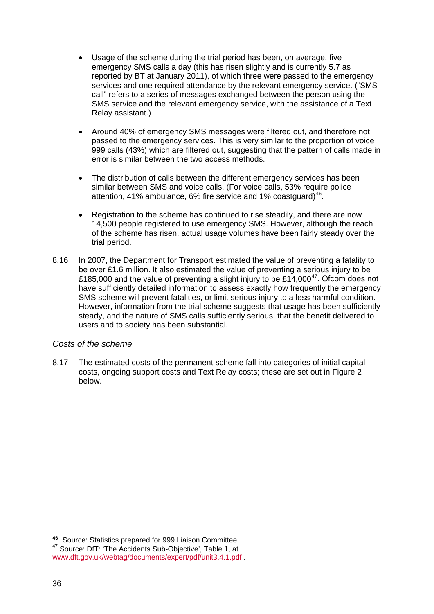- Usage of the scheme during the trial period has been, on average, five emergency SMS calls a day (this has risen slightly and is currently 5.7 as reported by BT at January 2011), of which three were passed to the emergency services and one required attendance by the relevant emergency service. ("SMS call" refers to a series of messages exchanged between the person using the SMS service and the relevant emergency service, with the assistance of a Text Relay assistant.)
- Around 40% of emergency SMS messages were filtered out, and therefore not passed to the emergency services. This is very similar to the proportion of voice 999 calls (43%) which are filtered out, suggesting that the pattern of calls made in error is similar between the two access methods.
- The distribution of calls between the different emergency services has been similar between SMS and voice calls. (For voice calls, 53% require police attention, 41% ambulance, 6% fire service and 1% coastguard)<sup>[46](#page-38-0)</sup>.
- Registration to the scheme has continued to rise steadily, and there are now 14,500 people registered to use emergency SMS. However, although the reach of the scheme has risen, actual usage volumes have been fairly steady over the trial period.
- 8.16 In 2007, the Department for Transport estimated the value of preventing a fatality to be over £1.6 million. It also estimated the value of preventing a serious injury to be £185,000 and the value of preventing a slight injury to be £14,000<sup>[47](#page-38-1)</sup>. Ofcom does not have sufficiently detailed information to assess exactly how frequently the emergency SMS scheme will prevent fatalities, or limit serious injury to a less harmful condition. However, information from the trial scheme suggests that usage has been sufficiently steady, and the nature of SMS calls sufficiently serious, that the benefit delivered to users and to society has been substantial.

## *Costs of the scheme*

8.17 The estimated costs of the permanent scheme fall into categories of initial capital costs, ongoing support costs and Text Relay costs; these are set out in [Figure 2](#page-39-0) below.

<sup>-</sup>**<sup>46</sup>** Source: Statistics prepared for 999 Liaison Committee.

<span id="page-38-1"></span><span id="page-38-0"></span><sup>47</sup> Source: DfT: 'The Accidents Sub-Objective', Table 1, at [www.dft.gov.uk/webtag/documents/expert/pdf/unit3.4.1.pdf](http://www.dft.gov.uk/webtag/documents/expert/pdf/unit3.4.1.pdf) .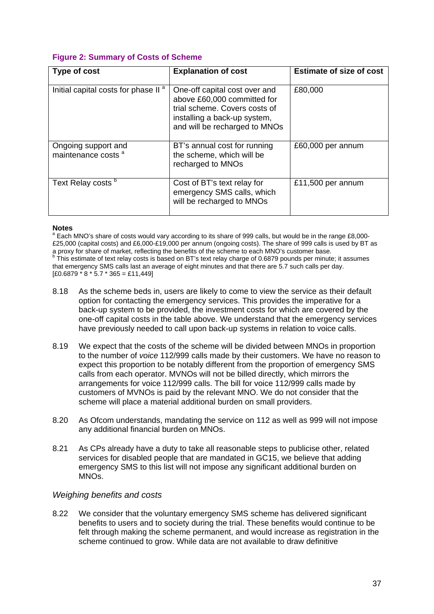## <span id="page-39-0"></span>**Figure 2: Summary of Costs of Scheme**

| Type of cost                                          | <b>Explanation of cost</b>                                                                                                                                     | <b>Estimate of size of cost</b> |
|-------------------------------------------------------|----------------------------------------------------------------------------------------------------------------------------------------------------------------|---------------------------------|
| Initial capital costs for phase II <sup>a</sup>       | One-off capital cost over and<br>above £60,000 committed for<br>trial scheme. Covers costs of<br>installing a back-up system,<br>and will be recharged to MNOs | £80,000                         |
| Ongoing support and<br>maintenance costs <sup>a</sup> | BT's annual cost for running<br>the scheme, which will be<br>recharged to MNOs                                                                                 | £60,000 per annum               |
| Text Relay costs b                                    | Cost of BT's text relay for<br>emergency SMS calls, which<br>will be recharged to MNOs                                                                         | £11,500 per annum               |

#### **Notes**

<sup>a</sup> Each MNO's share of costs would vary according to its share of 999 calls, but would be in the range £8,000-£25,000 (capital costs) and £6,000-£19,000 per annum (ongoing costs). The share of 999 calls is used by BT as a proxy for share of market, reflecting the benefits of the scheme to each MNO's customer base. This estimate of text relay costs is based on BT's text relay charge of 0.6879 pounds per minute; it assumes that emergency SMS calls last an average of eight minutes and that there are 5.7 such calls per day.  $[£0.6879 \times 8 \times 5.7 \times 365 = £11,449]$ 

- 8.18 As the scheme beds in, users are likely to come to view the service as their default option for contacting the emergency services. This provides the imperative for a back-up system to be provided, the investment costs for which are covered by the one-off capital costs in the table above. We understand that the emergency services have previously needed to call upon back-up systems in relation to voice calls.
- 8.19 We expect that the costs of the scheme will be divided between MNOs in proportion to the number of *voice* 112/999 calls made by their customers. We have no reason to expect this proportion to be notably different from the proportion of emergency SMS calls from each operator. MVNOs will not be billed directly, which mirrors the arrangements for voice 112/999 calls. The bill for voice 112/999 calls made by customers of MVNOs is paid by the relevant MNO. We do not consider that the scheme will place a material additional burden on small providers.
- 8.20 As Ofcom understands, mandating the service on 112 as well as 999 will not impose any additional financial burden on MNOs.
- 8.21 As CPs already have a duty to take all reasonable steps to publicise other, related services for disabled people that are mandated in GC15, we believe that adding emergency SMS to this list will not impose any significant additional burden on MNOs.

#### *Weighing benefits and costs*

8.22 We consider that the voluntary emergency SMS scheme has delivered significant benefits to users and to society during the trial. These benefits would continue to be felt through making the scheme permanent, and would increase as registration in the scheme continued to grow. While data are not available to draw definitive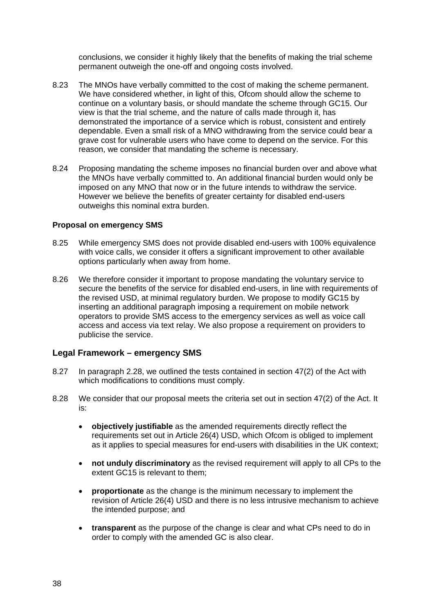conclusions, we consider it highly likely that the benefits of making the trial scheme permanent outweigh the one-off and ongoing costs involved.

- 8.23 The MNOs have verbally committed to the cost of making the scheme permanent. We have considered whether, in light of this, Ofcom should allow the scheme to continue on a voluntary basis, or should mandate the scheme through GC15. Our view is that the trial scheme, and the nature of calls made through it, has demonstrated the importance of a service which is robust, consistent and entirely dependable. Even a small risk of a MNO withdrawing from the service could bear a grave cost for vulnerable users who have come to depend on the service. For this reason, we consider that mandating the scheme is necessary.
- 8.24 Proposing mandating the scheme imposes no financial burden over and above what the MNOs have verbally committed to. An additional financial burden would only be imposed on any MNO that now or in the future intends to withdraw the service. However we believe the benefits of greater certainty for disabled end-users outweighs this nominal extra burden.

#### **Proposal on emergency SMS**

- 8.25 While emergency SMS does not provide disabled end-users with 100% equivalence with voice calls, we consider it offers a significant improvement to other available options particularly when away from home.
- 8.26 We therefore consider it important to propose mandating the voluntary service to secure the benefits of the service for disabled end-users, in line with requirements of the revised USD, at minimal regulatory burden. We propose to modify GC15 by inserting an additional paragraph imposing a requirement on mobile network operators to provide SMS access to the emergency services as well as voice call access and access via text relay. We also propose a requirement on providers to publicise the service.

#### **Legal Framework – emergency SMS**

- 8.27 In paragraph 2.28, we outlined the tests contained in section 47(2) of the Act with which modifications to conditions must comply.
- 8.28 We consider that our proposal meets the criteria set out in section 47(2) of the Act. It is:
	- **objectively justifiable** as the amended requirements directly reflect the requirements set out in Article 26(4) USD, which Ofcom is obliged to implement as it applies to special measures for end-users with disabilities in the UK context;
	- **not unduly discriminatory** as the revised requirement will apply to all CPs to the extent GC15 is relevant to them;
	- **proportionate** as the change is the minimum necessary to implement the revision of Article 26(4) USD and there is no less intrusive mechanism to achieve the intended purpose; and
	- **transparent** as the purpose of the change is clear and what CPs need to do in order to comply with the amended GC is also clear.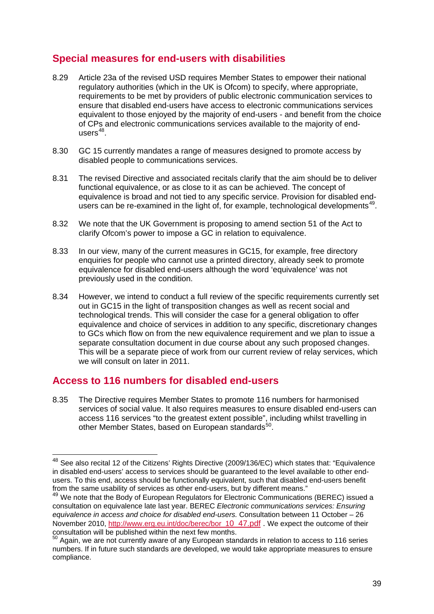# **Special measures for end-users with disabilities**

- 8.29 Article 23a of the revised USD requires Member States to empower their national regulatory authorities (which in the UK is Ofcom) to specify, where appropriate, requirements to be met by providers of public electronic communication services to ensure that disabled end-users have access to electronic communications services equivalent to those enjoyed by the majority of end-users - and benefit from the choice of CPs and electronic communications services available to the majority of endusers $^{48}$  $^{48}$  $^{48}$ .
- 8.30 GC 15 currently mandates a range of measures designed to promote access by disabled people to communications services.
- 8.31 The revised Directive and associated recitals clarify that the aim should be to deliver functional equivalence, or as close to it as can be achieved. The concept of equivalence is broad and not tied to any specific service. Provision for disabled end-users can be re-examined in the light of, for example, technological developments<sup>[49](#page-41-1)</sup>.
- 8.32 We note that the UK Government is proposing to amend section 51 of the Act to clarify Ofcom's power to impose a GC in relation to equivalence.
- 8.33 In our view, many of the current measures in GC15, for example, free directory enquiries for people who cannot use a printed directory, already seek to promote equivalence for disabled end-users although the word 'equivalence' was not previously used in the condition.
- 8.34 However, we intend to conduct a full review of the specific requirements currently set out in GC15 in the light of transposition changes as well as recent social and technological trends. This will consider the case for a general obligation to offer equivalence and choice of services in addition to any specific, discretionary changes to GCs which flow on from the new equivalence requirement and we plan to issue a separate consultation document in due course about any such proposed changes. This will be a separate piece of work from our current review of relay services, which we will consult on later in 2011.

# **Access to 116 numbers for disabled end-users**

8.35 The Directive requires Member States to promote 116 numbers for harmonised services of social value. It also requires measures to ensure disabled end-users can access 116 services "to the greatest extent possible", including whilst travelling in other Member States, based on European standards<sup>[50](#page-41-2)</sup>.

<span id="page-41-0"></span><sup>&</sup>lt;sup>48</sup> See also recital 12 of the Citizens' Rights Directive (2009/136/EC) which states that: "Equivalence in disabled end-users' access to services should be guaranteed to the level available to other endusers. To this end, access should be functionally equivalent, such that disabled end-users benefit from the same usability of services as other end-users, but by different means."

<span id="page-41-1"></span><sup>&</sup>lt;sup>49</sup> We note that the Body of European Regulators for Electronic Communications (BEREC) issued a consultation on equivalence late last year. BEREC *Electronic communications services: Ensuring equivalence in access and choice for disabled end-users.* Consultation between 11 October – 26 November 2010, [http://www.erg.eu.int/doc/berec/bor\\_10\\_47.pdf](http://www.erg.eu.int/doc/berec/bor_10_47.pdf) . We expect the outcome of their consultation will be published within the next few months.

<span id="page-41-2"></span><sup>50</sup> Again. we are not currently aware of any European standards in relation to access to 116 series numbers. If in future such standards are developed, we would take appropriate measures to ensure compliance.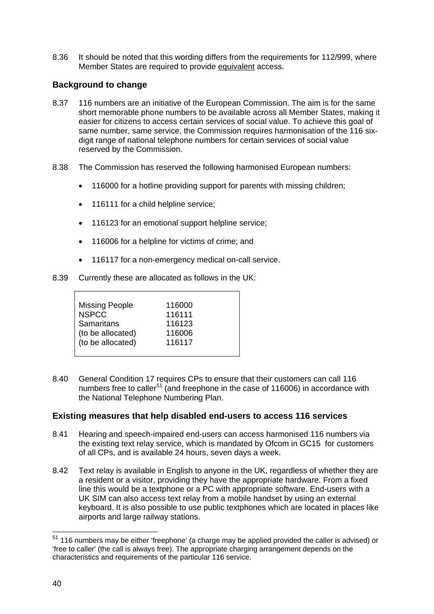8.36 It should be noted that this wording differs from the requirements for 112/999, where Member States are required to provide equivalent access.

## **Background to change**

- 8.37 116 numbers are an initiative of the European Commission. The aim is for the same short memorable phone numbers to be available across all Member States, making it easier for citizens to access certain services of social value. To achieve this goal of same number, same service, the Commission requires harmonisation of the 116 sixdigit range of national telephone numbers for certain services of social value reserved by the Commission.
- 8.38 The Commission has reserved the following harmonised European numbers:
	- 116000 for a hotline providing support for parents with missing children;
	- 116111 for a child helpline service;
	- 116123 for an emotional support helpline service;
	- 116006 for a helpline for victims of crime; and
	- 116117 for a non-emergency medical on-call service.
- 8.39 Currently these are allocated as follows in the UK:

| <b>Missing People</b> | 116000 |
|-----------------------|--------|
| <b>NSPCC</b>          | 116111 |
| Samaritans            | 116123 |
| (to be allocated)     | 116006 |
| (to be allocated)     | 116117 |

8.40 General Condition 17 requires CPs to ensure that their customers can call 116 numbers free to caller<sup>[51](#page-42-0)</sup> (and freephone in the case of 116006) in accordance with the National Telephone Numbering Plan.

## **Existing measures that help disabled end-users to access 116 services**

- 8.41 Hearing and speech-impaired end-users can access harmonised 116 numbers via the existing text relay service, which is mandated by Ofcom in GC15 for customers of all CPs, and is available 24 hours, seven days a week.
- 8.42 Text relay is available in English to anyone in the UK, regardless of whether they are a resident or a visitor, providing they have the appropriate hardware. From a fixed line this would be a textphone or a PC with appropriate software. End-users with a UK SIM can also access text relay from a mobile handset by using an external keyboard. It is also possible to use public textphones which are located in places like airports and large railway stations.

<span id="page-42-0"></span> $51$  116 numbers may be either 'freephone' (a charge may be applied provided the caller is advised) or 'free to caller' (the call is always free). The appropriate charging arrangement depends on the characteristics and requirements of the particular 116 service.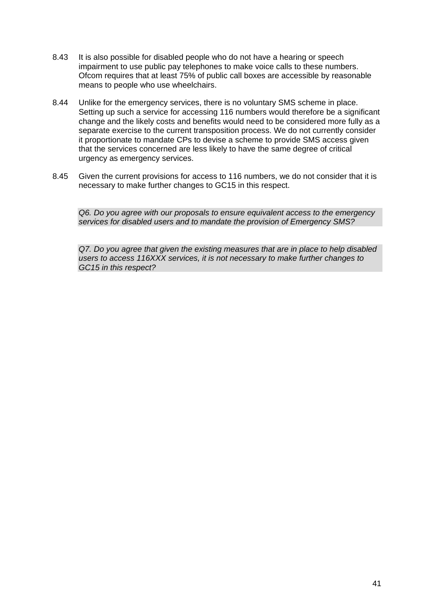- 8.43 It is also possible for disabled people who do not have a hearing or speech impairment to use public pay telephones to make voice calls to these numbers. Ofcom requires that at least 75% of public call boxes are accessible by reasonable means to people who use wheelchairs.
- 8.44 Unlike for the emergency services, there is no voluntary SMS scheme in place. Setting up such a service for accessing 116 numbers would therefore be a significant change and the likely costs and benefits would need to be considered more fully as a separate exercise to the current transposition process. We do not currently consider it proportionate to mandate CPs to devise a scheme to provide SMS access given that the services concerned are less likely to have the same degree of critical urgency as emergency services.
- 8.45 Given the current provisions for access to 116 numbers, we do not consider that it is necessary to make further changes to GC15 in this respect.

*Q6. Do you agree with our proposals to ensure equivalent access to the emergency services for disabled users and to mandate the provision of Emergency SMS?*

*Q7. Do you agree that given the existing measures that are in place to help disabled users to access 116XXX services, it is not necessary to make further changes to GC15 in this respect?*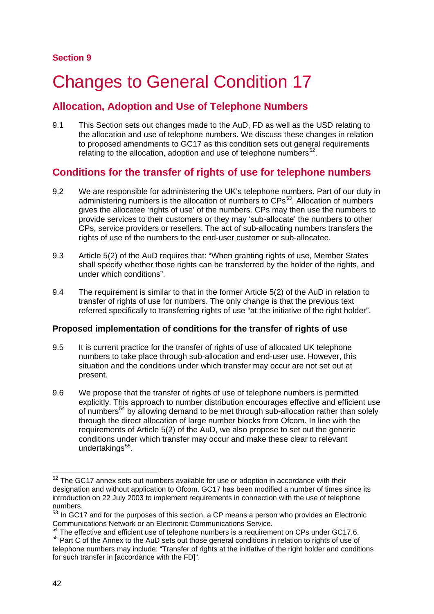# **Changes to General Condition 17**

# **Allocation, Adoption and Use of Telephone Numbers**

9.1 This Section sets out changes made to the AuD, FD as well as the USD relating to the allocation and use of telephone numbers. We discuss these changes in relation to proposed amendments to GC17 as this condition sets out general requirements relating to the allocation, adoption and use of telephone numbers $52$ .

# **Conditions for the transfer of rights of use for telephone numbers**

- 9.2 We are responsible for administering the UK's telephone numbers. Part of our duty in administering numbers is the allocation of numbers to CPs<sup>[53](#page-44-1)</sup>. Allocation of numbers gives the allocatee 'rights of use' of the numbers. CPs may then use the numbers to provide services to their customers or they may 'sub-allocate' the numbers to other CPs, service providers or resellers. The act of sub-allocating numbers transfers the rights of use of the numbers to the end-user customer or sub-allocatee.
- 9.3 Article 5(2) of the AuD requires that: "When granting rights of use, Member States shall specify whether those rights can be transferred by the holder of the rights, and under which conditions".
- 9.4 The requirement is similar to that in the former Article 5(2) of the AuD in relation to transfer of rights of use for numbers. The only change is that the previous text referred specifically to transferring rights of use "at the initiative of the right holder".

## **Proposed implementation of conditions for the transfer of rights of use**

- 9.5 It is current practice for the transfer of rights of use of allocated UK telephone numbers to take place through sub-allocation and end-user use. However, this situation and the conditions under which transfer may occur are not set out at present.
- 9.6 We propose that the transfer of rights of use of telephone numbers is permitted explicitly. This approach to number distribution encourages effective and efficient use of numbers<sup>[54](#page-44-2)</sup> by allowing demand to be met through sub-allocation rather than solely through the direct allocation of large number blocks from Ofcom. In line with the requirements of Article 5(2) of the AuD, we also propose to set out the generic conditions under which transfer may occur and make these clear to relevant undertakings<sup>[55](#page-44-3)</sup>.

<span id="page-44-0"></span> <sup>52</sup> The GC17 annex sets out numbers available for use or adoption in accordance with their designation and without application to Ofcom. GC17 has been modified a number of times since its introduction on 22 July 2003 to implement requirements in connection with the use of telephone numbers.

<span id="page-44-1"></span><sup>53</sup> In GC17 and for the purposes of this section, a CP means a person who provides an Electronic Communications Network or an Electronic Communications Service.

<span id="page-44-3"></span><span id="page-44-2"></span>The effective and efficient use of telephone numbers is a requirement on CPs under GC17.6. <sup>55</sup> Part C of the Annex to the AuD sets out those general conditions in relation to rights of use of telephone numbers may include: "Transfer of rights at the initiative of the right holder and conditions for such transfer in [accordance with the FD]".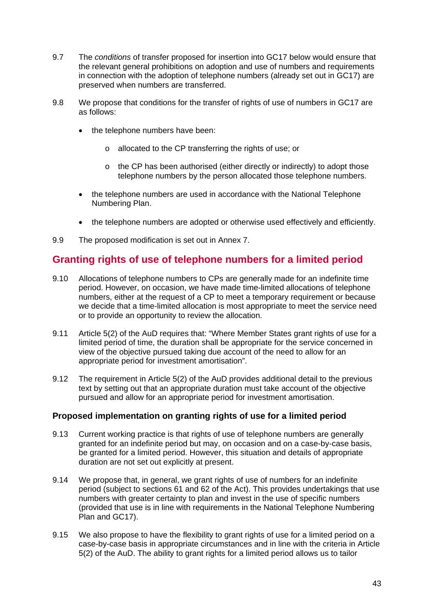- 9.7 The *conditions* of transfer proposed for insertion into GC17 below would ensure that the relevant general prohibitions on adoption and use of numbers and requirements in connection with the adoption of telephone numbers (already set out in GC17) are preserved when numbers are transferred.
- 9.8 We propose that conditions for the transfer of rights of use of numbers in GC17 are as follows:
	- the telephone numbers have been:
		- o allocated to the CP transferring the rights of use; or
		- o the CP has been authorised (either directly or indirectly) to adopt those telephone numbers by the person allocated those telephone numbers.
	- the telephone numbers are used in accordance with the National Telephone Numbering Plan.
	- the telephone numbers are adopted or otherwise used effectively and efficiently.
- 9.9 The proposed modification is set out in Annex 7.

# **Granting rights of use of telephone numbers for a limited period**

- 9.10 Allocations of telephone numbers to CPs are generally made for an indefinite time period. However, on occasion, we have made time-limited allocations of telephone numbers, either at the request of a CP to meet a temporary requirement or because we decide that a time-limited allocation is most appropriate to meet the service need or to provide an opportunity to review the allocation.
- 9.11 Article 5(2) of the AuD requires that: "Where Member States grant rights of use for a limited period of time, the duration shall be appropriate for the service concerned in view of the objective pursued taking due account of the need to allow for an appropriate period for investment amortisation".
- 9.12 The requirement in Article 5(2) of the AuD provides additional detail to the previous text by setting out that an appropriate duration must take account of the objective pursued and allow for an appropriate period for investment amortisation.

## **Proposed implementation on granting rights of use for a limited period**

- 9.13 Current working practice is that rights of use of telephone numbers are generally granted for an indefinite period but may, on occasion and on a case-by-case basis, be granted for a limited period. However, this situation and details of appropriate duration are not set out explicitly at present.
- 9.14 We propose that, in general, we grant rights of use of numbers for an indefinite period (subject to sections 61 and 62 of the Act). This provides undertakings that use numbers with greater certainty to plan and invest in the use of specific numbers (provided that use is in line with requirements in the National Telephone Numbering Plan and GC17).
- 9.15 We also propose to have the flexibility to grant rights of use for a limited period on a case-by-case basis in appropriate circumstances and in line with the criteria in Article 5(2) of the AuD. The ability to grant rights for a limited period allows us to tailor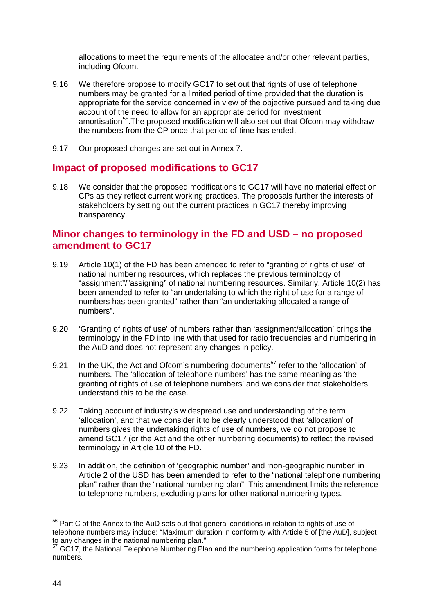allocations to meet the requirements of the allocatee and/or other relevant parties, including Ofcom.

- 9.16 We therefore propose to modify GC17 to set out that rights of use of telephone numbers may be granted for a limited period of time provided that the duration is appropriate for the service concerned in view of the objective pursued and taking due account of the need to allow for an appropriate period for investment amortisation<sup>[56](#page-46-0)</sup>. The proposed modification will also set out that Ofcom may withdraw the numbers from the CP once that period of time has ended.
- 9.17 Our proposed changes are set out in Annex 7.

## **Impact of proposed modifications to GC17**

9.18 We consider that the proposed modifications to GC17 will have no material effect on CPs as they reflect current working practices. The proposals further the interests of stakeholders by setting out the current practices in GC17 thereby improving transparency.

# **Minor changes to terminology in the FD and USD – no proposed amendment to GC17**

- 9.19 Article 10(1) of the FD has been amended to refer to "granting of rights of use" of national numbering resources, which replaces the previous terminology of "assignment"/"assigning" of national numbering resources. Similarly, Article 10(2) has been amended to refer to "an undertaking to which the right of use for a range of numbers has been granted" rather than "an undertaking allocated a range of numbers".
- 9.20 'Granting of rights of use' of numbers rather than 'assignment/allocation' brings the terminology in the FD into line with that used for radio frequencies and numbering in the AuD and does not represent any changes in policy.
- 9.21 In the UK, the Act and Ofcom's numbering documents<sup>[57](#page-46-1)</sup> refer to the 'allocation' of numbers. The 'allocation of telephone numbers' has the same meaning as 'the granting of rights of use of telephone numbers' and we consider that stakeholders understand this to be the case.
- 9.22 Taking account of industry's widespread use and understanding of the term 'allocation', and that we consider it to be clearly understood that 'allocation' of numbers gives the undertaking rights of use of numbers, we do not propose to amend GC17 (or the Act and the other numbering documents) to reflect the revised terminology in Article 10 of the FD.
- 9.23 In addition, the definition of 'geographic number' and 'non-geographic number' in Article 2 of the USD has been amended to refer to the "national telephone numbering plan" rather than the "national numbering plan". This amendment limits the reference to telephone numbers, excluding plans for other national numbering types.

<span id="page-46-0"></span><sup>&</sup>lt;sup>56</sup> Part C of the Annex to the AuD sets out that general conditions in relation to rights of use of telephone numbers may include: "Maximum duration in conformity with Article 5 of [the AuD], subject to any changes in the national numbering plan."

<span id="page-46-1"></span>to any changes in the national numbering plan."<br><sup>57</sup> GC17, the National Telephone Numbering Plan and the numbering application forms for telephone numbers.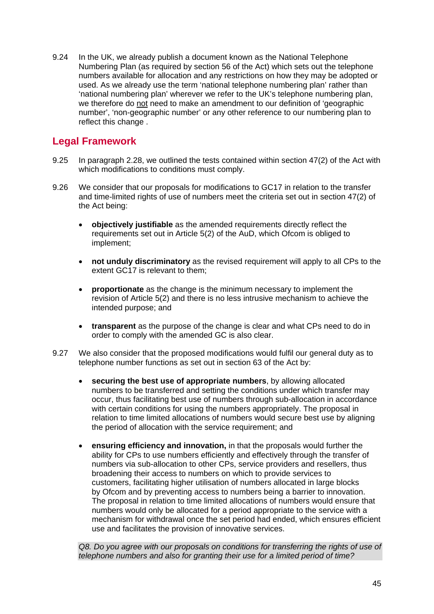9.24 In the UK, we already publish a document known as the National Telephone Numbering Plan (as required by section 56 of the Act) which sets out the telephone numbers available for allocation and any restrictions on how they may be adopted or used. As we already use the term 'national telephone numbering plan' rather than 'national numbering plan' wherever we refer to the UK's telephone numbering plan, we therefore do <u>not</u> need to make an amendment to our definition of 'geographic number', 'non-geographic number' or any other reference to our numbering plan to reflect this change .

# **Legal Framework**

- 9.25 In paragraph 2.28, we outlined the tests contained within section 47(2) of the Act with which modifications to conditions must comply.
- 9.26 We consider that our proposals for modifications to GC17 in relation to the transfer and time-limited rights of use of numbers meet the criteria set out in section 47(2) of the Act being:
	- **objectively justifiable** as the amended requirements directly reflect the requirements set out in Article 5(2) of the AuD, which Ofcom is obliged to implement;
	- **not unduly discriminatory** as the revised requirement will apply to all CPs to the extent GC17 is relevant to them;
	- **proportionate** as the change is the minimum necessary to implement the revision of Article 5(2) and there is no less intrusive mechanism to achieve the intended purpose; and
	- **transparent** as the purpose of the change is clear and what CPs need to do in order to comply with the amended GC is also clear.
- 9.27 We also consider that the proposed modifications would fulfil our general duty as to telephone number functions as set out in section 63 of the Act by:
	- **securing the best use of appropriate numbers**, by allowing allocated numbers to be transferred and setting the conditions under which transfer may occur, thus facilitating best use of numbers through sub-allocation in accordance with certain conditions for using the numbers appropriately. The proposal in relation to time limited allocations of numbers would secure best use by aligning the period of allocation with the service requirement; and
	- **ensuring efficiency and innovation,** in that the proposals would further the ability for CPs to use numbers efficiently and effectively through the transfer of numbers via sub-allocation to other CPs, service providers and resellers, thus broadening their access to numbers on which to provide services to customers, facilitating higher utilisation of numbers allocated in large blocks by Ofcom and by preventing access to numbers being a barrier to innovation. The proposal in relation to time limited allocations of numbers would ensure that numbers would only be allocated for a period appropriate to the service with a mechanism for withdrawal once the set period had ended, which ensures efficient use and facilitates the provision of innovative services.

*Q8. Do you agree with our proposals on conditions for transferring the rights of use of telephone numbers and also for granting their use for a limited period of time?*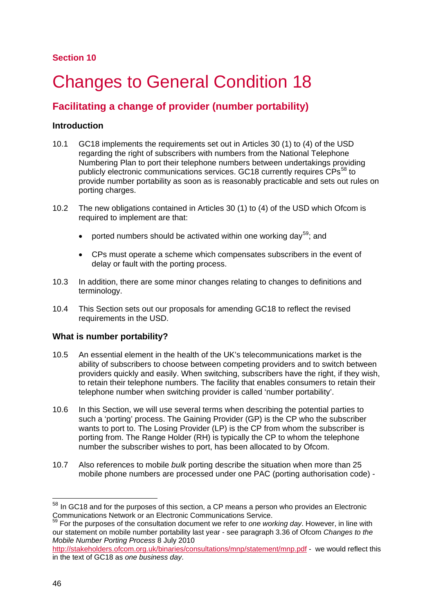## **Section 10**

# **Changes to General Condition 18**

# **Facilitating a change of provider (number portability)**

## **Introduction**

- 10.1 GC18 implements the requirements set out in Articles 30 (1) to (4) of the USD regarding the right of subscribers with numbers from the National Telephone Numbering Plan to port their telephone numbers between undertakings providing publicly electronic communications services. GC18 currently requires CPs<sup>[58](#page-48-0)</sup> to provide number portability as soon as is reasonably practicable and sets out rules on porting charges.
- 10.2 The new obligations contained in Articles 30 (1) to (4) of the USD which Ofcom is required to implement are that:
	- ported numbers should be activated within one working day<sup>[59](#page-48-1)</sup>; and
	- CPs must operate a scheme which compensates subscribers in the event of delay or fault with the porting process.
- 10.3 In addition, there are some minor changes relating to changes to definitions and terminology.
- 10.4 This Section sets out our proposals for amending GC18 to reflect the revised requirements in the USD.

## **What is number portability?**

- 10.5 An essential element in the health of the UK's telecommunications market is the ability of subscribers to choose between competing providers and to switch between providers quickly and easily. When switching, subscribers have the right, if they wish, to retain their telephone numbers. The facility that enables consumers to retain their telephone number when switching provider is called 'number portability'.
- 10.6 In this Section, we will use several terms when describing the potential parties to such a 'porting' process. The Gaining Provider (GP) is the CP who the subscriber wants to port to. The Losing Provider (LP) is the CP from whom the subscriber is porting from. The Range Holder (RH) is typically the CP to whom the telephone number the subscriber wishes to port, has been allocated to by Ofcom.
- 10.7 Also references to mobile *bulk* porting describe the situation when more than 25 mobile phone numbers are processed under one PAC (porting authorisation code) -

<span id="page-48-0"></span> $58$  In GC18 and for the purposes of this section, a CP means a person who provides an Electronic Communications Network or an Electronic Communications Service.

<span id="page-48-1"></span><sup>59</sup> For the purposes of the consultation document we refer to *one working day*. However, in line with our statement on mobile number portability last year - see paragraph 3.36 of Ofcom *Changes to the Mobile Number Porting Process* 8 July 2010

<http://stakeholders.ofcom.org.uk/binaries/consultations/mnp/statement/mnp.pdf> - we would reflect this in the text of GC18 as *one business day*.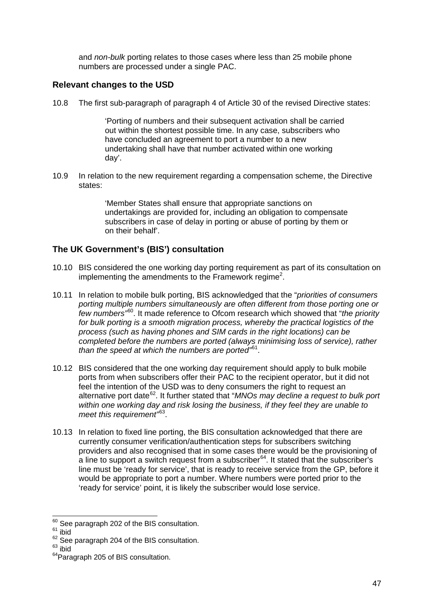and *non-bulk* porting relates to those cases where less than 25 mobile phone numbers are processed under a single PAC.

## **Relevant changes to the USD**

10.8 The first sub-paragraph of paragraph 4 of Article 30 of the revised Directive states:

'Porting of numbers and their subsequent activation shall be carried out within the shortest possible time. In any case, subscribers who have concluded an agreement to port a number to a new undertaking shall have that number activated within one working day'.

10.9 In relation to the new requirement regarding a compensation scheme, the Directive states:

> 'Member States shall ensure that appropriate sanctions on undertakings are provided for, including an obligation to compensate subscribers in case of delay in porting or abuse of porting by them or on their behalf'.

## **The UK Government's (BIS') consultation**

- 10.10 BIS considered the one working day porting requirement as part of its consultation on impl[e](#page-3-0)menting the amendments to the Framework regime<sup>2</sup>.
- 10.11 In relation to mobile bulk porting, BIS acknowledged that the "*priorities of consumers porting multiple numbers simultaneously are often different from those porting one or few numbers"*[60.](#page-49-0) It made reference to Ofcom research which showed that "*the priority for bulk porting is a smooth migration process, whereby the practical logistics of the process (such as having phones and SIM cards in the right locations) can be completed before the numbers are ported (always minimising loss of service), rather than the speed at which the numbers are ported"*[61](#page-49-1) .
- 10.12 BIS considered that the one working day requirement should apply to bulk mobile ports from when subscribers offer their PAC to the recipient operator, but it did not feel the intention of the USD was to deny consumers the right to request an alternative port date [62.](#page-49-2) It further stated that "*MNOs may decline a request to bulk port within one working day and risk losing the business, if they feel they are unable to meet this requirement"* [63](#page-49-3) .
- 10.13 In relation to fixed line porting, the BIS consultation acknowledged that there are currently consumer verification/authentication steps for subscribers switching providers and also recognised that in some cases there would be the provisioning of a line to support a switch request from a subscriber<sup>[64](#page-49-4)</sup>. It stated that the subscriber's line must be 'ready for service', that is ready to receive service from the GP, before it would be appropriate to port a number. Where numbers were ported prior to the 'ready for service' point, it is likely the subscriber would lose service.

<span id="page-49-0"></span> $60$  See paragraph 202 of the BIS consultation.<br> $61$  ibid

<span id="page-49-2"></span><span id="page-49-1"></span> $62$  See paragraph 204 of the BIS consultation.<br> $63$  ibid

<span id="page-49-4"></span><span id="page-49-3"></span><sup>&</sup>lt;sup>64</sup>Paragraph 205 of BIS consultation.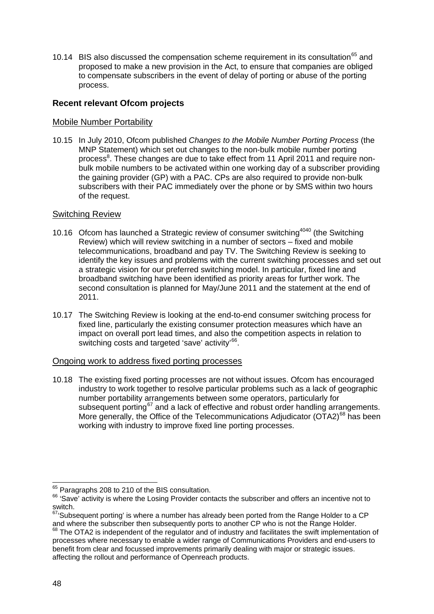10.14 BIS also discussed the compensation scheme requirement in its consultation<sup>[65](#page-50-0)</sup> and proposed to make a new provision in the Act, to ensure that companies are obliged to compensate subscribers in the event of delay of porting or abuse of the porting process.

## **Recent relevant Ofcom projects**

## Mobile Number Portability

10.15 In July 2010, Ofcom published *Changes to the Mobile Number Porting Process* (the MNP Statement) which set out changes to the non-bulk mobile number porting proce[s](#page-4-0)s<sup>8</sup>. These changes are due to take effect from 11 April 2011 and require nonbulk mobile numbers to be activated within one working day of a subscriber providing the gaining provider (GP) with a PAC. CPs are also required to provide non-bulk subscribers with their PAC immediately over the phone or by SMS within two hours of the request.

## Switching Review

- 10.16 Ofcom has launched a Strate[g](#page-34-0)ic review of consumer switching<sup>[4040](#page-34-0)</sup> (the Switching Review) which will review switching in a number of sectors – fixed and mobile telecommunications, broadband and pay TV. The Switching Review is seeking to identify the key issues and problems with the current switching processes and set out a strategic vision for our preferred switching model. In particular, fixed line and broadband switching have been identified as priority areas for further work. The second consultation is planned for May/June 2011 and the statement at the end of 2011.
- 10.17 The Switching Review is looking at the end-to-end consumer switching process for fixed line, particularly the existing consumer protection measures which have an impact on overall port lead times, and also the competition aspects in relation to switching costs and targeted 'save' activity'<sup>[66](#page-50-1)</sup>.

#### Ongoing work to address fixed porting processes

10.18 The existing fixed porting processes are not without issues. Ofcom has encouraged industry to work together to resolve particular problems such as a lack of geographic number portability arrangements between some operators, particularly for subsequent porting<sup>[67](#page-50-2)</sup> and a lack of effective and robust order handling arrangements. More generally, the Office of the Telecommunications Adjudicator ( $\text{OTA2}$ )<sup>[68](#page-50-3)</sup> has been working with industry to improve fixed line porting processes.

<span id="page-50-1"></span><span id="page-50-0"></span> $65$  Paragraphs 208 to 210 of the BIS consultation.<br> $66$  'Save' activity is where the Losing Provider contacts the subscriber and offers an incentive not to switch.

<span id="page-50-2"></span> $67/5$ ubsequent porting' is where a number has already been ported from the Range Holder to a CP and where the subscriber then subsequently ports to another CP who is not the Range Holder.

<span id="page-50-3"></span> $\frac{68}{6}$  The OTA2 is independent of the regulator and of industry and facilitates the swift implementation of processes where necessary to enable a wider range of Communications Providers and end-users to benefit from clear and focussed improvements primarily dealing with major or strategic issues. affecting the rollout and performance of Openreach products.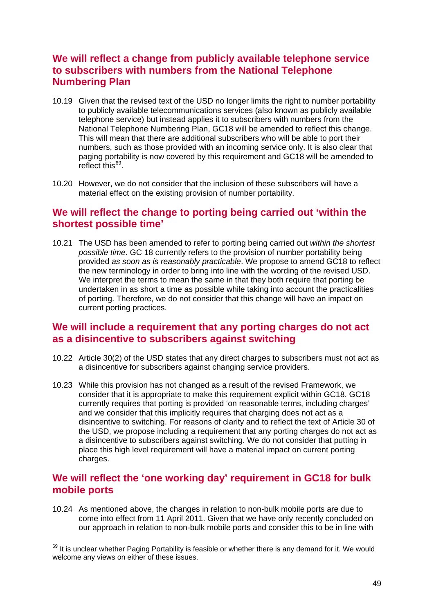# **We will reflect a change from publicly available telephone service to subscribers with numbers from the National Telephone Numbering Plan**

- 10.19 Given that the revised text of the USD no longer limits the right to number portability to publicly available telecommunications services (also known as publicly available telephone service) but instead applies it to subscribers with numbers from the National Telephone Numbering Plan, GC18 will be amended to reflect this change. This will mean that there are additional subscribers who will be able to port their numbers, such as those provided with an incoming service only. It is also clear that paging portability is now covered by this requirement and GC18 will be amended to reflect this<sup>[69](#page-51-0)</sup>.
- 10.20 However, we do not consider that the inclusion of these subscribers will have a material effect on the existing provision of number portability.

# **We will reflect the change to porting being carried out 'within the shortest possible time'**

10.21 The USD has been amended to refer to porting being carried out *within the shortest possible time*. GC 18 currently refers to the provision of number portability being provided *as soon as is reasonably practicable*. We propose to amend GC18 to reflect the new terminology in order to bring into line with the wording of the revised USD. We interpret the terms to mean the same in that they both require that porting be undertaken in as short a time as possible while taking into account the practicalities of porting. Therefore, we do not consider that this change will have an impact on current porting practices.

## **We will include a requirement that any porting charges do not act as a disincentive to subscribers against switching**

- 10.22 Article 30(2) of the USD states that any direct charges to subscribers must not act as a disincentive for subscribers against changing service providers.
- 10.23 While this provision has not changed as a result of the revised Framework, we consider that it is appropriate to make this requirement explicit within GC18. GC18 currently requires that porting is provided 'on reasonable terms, including charges' and we consider that this implicitly requires that charging does not act as a disincentive to switching. For reasons of clarity and to reflect the text of Article 30 of the USD, we propose including a requirement that any porting charges do not act as a disincentive to subscribers against switching. We do not consider that putting in place this high level requirement will have a material impact on current porting charges.

# **We will reflect the 'one working day' requirement in GC18 for bulk mobile ports**

10.24 As mentioned above, the changes in relation to non-bulk mobile ports are due to come into effect from 11 April 2011. Given that we have only recently concluded on our approach in relation to non-bulk mobile ports and consider this to be in line with

<span id="page-51-0"></span><sup>&</sup>lt;sup>69</sup> It is unclear whether Paging Portability is feasible or whether there is any demand for it. We would welcome any views on either of these issues.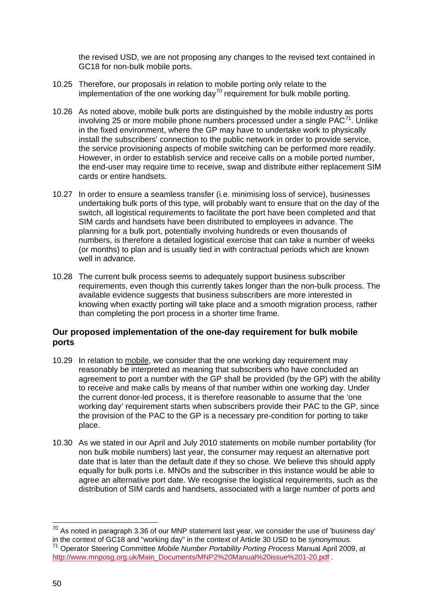the revised USD, we are not proposing any changes to the revised text contained in GC18 for non-bulk mobile ports.

- 10.25 Therefore, our proposals in relation to mobile porting only relate to the implementation of the one working day<sup>[70](#page-52-0)</sup> requirement for bulk mobile porting.
- 10.26 As noted above, mobile bulk ports are distinguished by the mobile industry as ports involving 25 or more mobile phone numbers processed under a single  $PAC^{71}$  $PAC^{71}$  $PAC^{71}$ . Unlike in the fixed environment, where the GP may have to undertake work to physically install the subscribers' connection to the public network in order to provide service, the service provisioning aspects of mobile switching can be performed more readily. However, in order to establish service and receive calls on a mobile ported number, the end-user may require time to receive, swap and distribute either replacement SIM cards or entire handsets.
- 10.27 In order to ensure a seamless transfer (i.e. minimising loss of service), businesses undertaking bulk ports of this type, will probably want to ensure that on the day of the switch, all logistical requirements to facilitate the port have been completed and that SIM cards and handsets have been distributed to employees in advance. The planning for a bulk port, potentially involving hundreds or even thousands of numbers, is therefore a detailed logistical exercise that can take a number of weeks (or months) to plan and is usually tied in with contractual periods which are known well in advance.
- 10.28 The current bulk process seems to adequately support business subscriber requirements, even though this currently takes longer than the non-bulk process. The available evidence suggests that business subscribers are more interested in knowing when exactly porting will take place and a smooth migration process, rather than completing the port process in a shorter time frame.

## **Our proposed implementation of the one-day requirement for bulk mobile ports**

- 10.29 In relation to mobile, we consider that the one working day requirement may reasonably be interpreted as meaning that subscribers who have concluded an agreement to port a number with the GP shall be provided (by the GP) with the ability to receive and make calls by means of that number within one working day. Under the current donor-led process, it is therefore reasonable to assume that the 'one working day' requirement starts when subscribers provide their PAC to the GP, since the provision of the PAC to the GP is a necessary pre-condition for porting to take place.
- 10.30 As we stated in our April and July 2010 statements on mobile number portability (for non bulk mobile numbers) last year, the consumer may request an alternative port date that is later than the default date if they so chose. We believe this should apply equally for bulk ports i.e. MNOs and the subscriber in this instance would be able to agree an alternative port date. We recognise the logistical requirements, such as the distribution of SIM cards and handsets, associated with a large number of ports and

<span id="page-52-1"></span><span id="page-52-0"></span> $70$  As noted in paragraph 3.36 of our MNP statement last year, we consider the use of 'business day' in the context of GC18 and "working day" in the context of Article 30 USD to be *synonymous*. <sup>71</sup> Operator Steering Committee Mobile Number Portability Porting Process Manual April 2009, at [http://www.mnposg.org.uk/Main\\_Documents/MNP2%20Manual%20issue%201-20.pdf](http://www.mnposg.org.uk/Main_Documents/MNP2%20Manual%20issue%201-20.pdf) .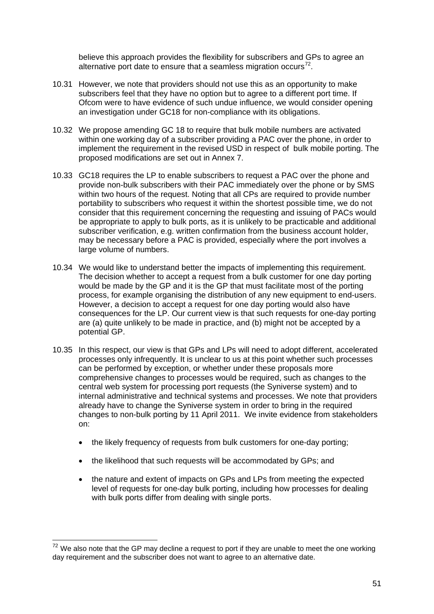believe this approach provides the flexibility for subscribers and GPs to agree an alternative port date to ensure that a seamless migration occurs<sup>[72](#page-53-0)</sup>.

- 10.31 However, we note that providers should not use this as an opportunity to make subscribers feel that they have no option but to agree to a different port time. If Ofcom were to have evidence of such undue influence, we would consider opening an investigation under GC18 for non-compliance with its obligations.
- 10.32 We propose amending GC 18 to require that bulk mobile numbers are activated within one working day of a subscriber providing a PAC over the phone, in order to implement the requirement in the revised USD in respect of bulk mobile porting. The proposed modifications are set out in Annex 7.
- 10.33 GC18 requires the LP to enable subscribers to request a PAC over the phone and provide non-bulk subscribers with their PAC immediately over the phone or by SMS within two hours of the request. Noting that all CPs are required to provide number portability to subscribers who request it within the shortest possible time, we do not consider that this requirement concerning the requesting and issuing of PACs would be appropriate to apply to bulk ports, as it is unlikely to be practicable and additional subscriber verification, e.g. written confirmation from the business account holder, may be necessary before a PAC is provided, especially where the port involves a large volume of numbers.
- 10.34 We would like to understand better the impacts of implementing this requirement. The decision whether to accept a request from a bulk customer for one day porting would be made by the GP and it is the GP that must facilitate most of the porting process, for example organising the distribution of any new equipment to end-users. However, a decision to accept a request for one day porting would also have consequences for the LP. Our current view is that such requests for one-day porting are (a) quite unlikely to be made in practice, and (b) might not be accepted by a potential GP.
- 10.35 In this respect, our view is that GPs and LPs will need to adopt different, accelerated processes only infrequently. It is unclear to us at this point whether such processes can be performed by exception, or whether under these proposals more comprehensive changes to processes would be required, such as changes to the central web system for processing port requests (the Syniverse system) and to internal administrative and technical systems and processes. We note that providers already have to change the Syniverse system in order to bring in the required changes to non-bulk porting by 11 April 2011. We invite evidence from stakeholders on:
	- the likely frequency of requests from bulk customers for one-day porting;
	- the likelihood that such requests will be accommodated by GPs; and
	- the nature and extent of impacts on GPs and LPs from meeting the expected level of requests for one-day bulk porting, including how processes for dealing with bulk ports differ from dealing with single ports.

<span id="page-53-0"></span> $72$  We also note that the GP may decline a request to port if they are unable to meet the one working day requirement and the subscriber does not want to agree to an alternative date.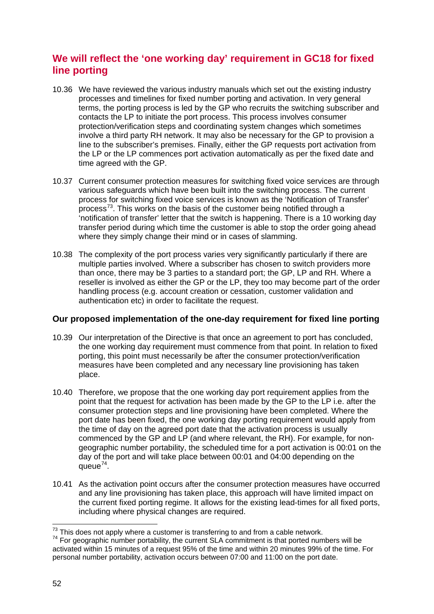# **We will reflect the 'one working day' requirement in GC18 for fixed line porting**

- 10.36 We have reviewed the various industry manuals which set out the existing industry processes and timelines for fixed number porting and activation. In very general terms, the porting process is led by the GP who recruits the switching subscriber and contacts the LP to initiate the port process. This process involves consumer protection/verification steps and coordinating system changes which sometimes involve a third party RH network. It may also be necessary for the GP to provision a line to the subscriber's premises. Finally, either the GP requests port activation from the LP or the LP commences port activation automatically as per the fixed date and time agreed with the GP.
- 10.37 Current consumer protection measures for switching fixed voice services are through various safeguards which have been built into the switching process. The current process for switching fixed voice services is known as the 'Notification of Transfer' process<sup>[73](#page-54-0)</sup>. This works on the basis of the customer being notified through a 'notification of transfer' letter that the switch is happening. There is a 10 working day transfer period during which time the customer is able to stop the order going ahead where they simply change their mind or in cases of slamming.
- 10.38 The complexity of the port process varies very significantly particularly if there are multiple parties involved. Where a subscriber has chosen to switch providers more than once, there may be 3 parties to a standard port; the GP, LP and RH. Where a reseller is involved as either the GP or the LP, they too may become part of the order handling process (e.g. account creation or cessation, customer validation and authentication etc) in order to facilitate the request.

## **Our proposed implementation of the one-day requirement for fixed line porting**

- 10.39 Our interpretation of the Directive is that once an agreement to port has concluded, the one working day requirement must commence from that point. In relation to fixed porting, this point must necessarily be after the consumer protection/verification measures have been completed and any necessary line provisioning has taken place.
- 10.40 Therefore, we propose that the one working day port requirement applies from the point that the request for activation has been made by the GP to the LP i.e. after the consumer protection steps and line provisioning have been completed. Where the port date has been fixed, the one working day porting requirement would apply from the time of day on the agreed port date that the activation process is usually commenced by the GP and LP (and where relevant, the RH). For example, for nongeographic number portability, the scheduled time for a port activation is 00:01 on the day of the port and will take place between 00:01 and 04:00 depending on the queue<sup>[74](#page-54-0)</sup>.
- 10.41 As the activation point occurs after the consumer protection measures have occurred and any line provisioning has taken place, this approach will have limited impact on the current fixed porting regime. It allows for the existing lead-times for all fixed ports, including where physical changes are required.

<span id="page-54-0"></span><sup>&</sup>lt;sup>73</sup> This does not apply where a customer is transferring to and from a cable network.<br><sup>74</sup> For geographic number portability, the current SLA commitment is that ported numbers will be activated within 15 minutes of a request 95% of the time and within 20 minutes 99% of the time. For personal number portability, activation occurs between 07:00 and 11:00 on the port date.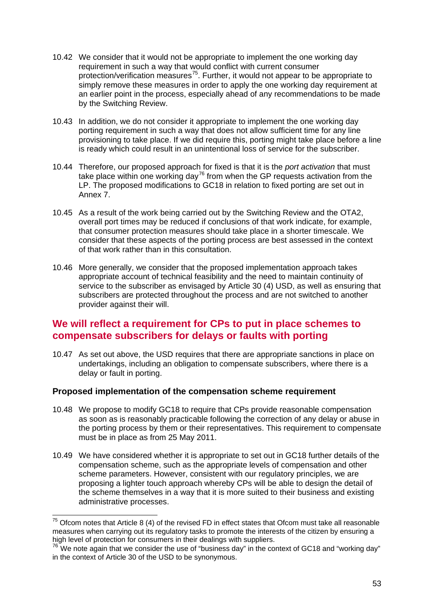- 10.42 We consider that it would not be appropriate to implement the one working day requirement in such a way that would conflict with current consumer protection/verification measures<sup>[75](#page-55-0)</sup>. Further, it would not appear to be appropriate to simply remove these measures in order to apply the one working day requirement at an earlier point in the process, especially ahead of any recommendations to be made by the Switching Review.
- 10.43 In addition, we do not consider it appropriate to implement the one working day porting requirement in such a way that does not allow sufficient time for any line provisioning to take place. If we did require this, porting might take place before a line is ready which could result in an unintentional loss of service for the subscriber.
- 10.44 Therefore, our proposed approach for fixed is that it is the *port activation* that must take place within one working day<sup>[76](#page-55-0)</sup> from when the GP requests activation from the LP. The proposed modifications to GC18 in relation to fixed porting are set out in Annex 7.
- 10.45 As a result of the work being carried out by the Switching Review and the OTA2, overall port times may be reduced if conclusions of that work indicate, for example, that consumer protection measures should take place in a shorter timescale. We consider that these aspects of the porting process are best assessed in the context of that work rather than in this consultation.
- 10.46 More generally, we consider that the proposed implementation approach takes appropriate account of technical feasibility and the need to maintain continuity of service to the subscriber as envisaged by Article 30 (4) USD, as well as ensuring that subscribers are protected throughout the process and are not switched to another provider against their will.

# **We will reflect a requirement for CPs to put in place schemes to compensate subscribers for delays or faults with porting**

10.47 As set out above, the USD requires that there are appropriate sanctions in place on undertakings, including an obligation to compensate subscribers, where there is a delay or fault in porting.

## **Proposed implementation of the compensation scheme requirement**

- 10.48 We propose to modify GC18 to require that CPs provide reasonable compensation as soon as is reasonably practicable following the correction of any delay or abuse in the porting process by them or their representatives. This requirement to compensate must be in place as from 25 May 2011.
- 10.49 We have considered whether it is appropriate to set out in GC18 further details of the compensation scheme, such as the appropriate levels of compensation and other scheme parameters. However, consistent with our regulatory principles, we are proposing a lighter touch approach whereby CPs will be able to design the detail of the scheme themselves in a way that it is more suited to their business and existing administrative processes.

<span id="page-55-0"></span> $75$  Ofcom notes that Article 8 (4) of the revised FD in effect states that Ofcom must take all reasonable measures when carrying out its regulatory tasks to promote the interests of the citizen by ensuring a high level of protection for consumers in their dealings with suppliers.

 $76$  We note again that we consider the use of "business day" in the context of GC18 and "working day" in the context of Article 30 of the USD to be synonymous.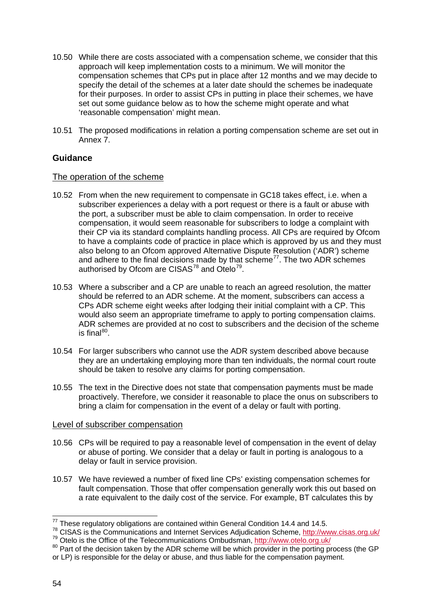- 10.50 While there are costs associated with a compensation scheme, we consider that this approach will keep implementation costs to a minimum. We will monitor the compensation schemes that CPs put in place after 12 months and we may decide to specify the detail of the schemes at a later date should the schemes be inadequate for their purposes. In order to assist CPs in putting in place their schemes, we have set out some guidance below as to how the scheme might operate and what 'reasonable compensation' might mean.
- 10.51 The proposed modifications in relation a porting compensation scheme are set out in Annex 7.

## **Guidance**

#### The operation of the scheme

- 10.52 From when the new requirement to compensate in GC18 takes effect, i.e. when a subscriber experiences a delay with a port request or there is a fault or abuse with the port, a subscriber must be able to claim compensation. In order to receive compensation, it would seem reasonable for subscribers to lodge a complaint with their CP via its standard complaints handling process. All CPs are required by Ofcom to have a complaints code of practice in place which is approved by us and they must also belong to an Ofcom approved Alternative Dispute Resolution ('ADR') scheme and adhere to the final decisions made by that scheme<sup>77</sup>. The two ADR schemes authorised by Ofcom are CISAS $^{78}$  $^{78}$  $^{78}$  and Otelo $^{79}$  $^{79}$  $^{79}$ .
- 10.53 Where a subscriber and a CP are unable to reach an agreed resolution, the matter should be referred to an ADR scheme. At the moment, subscribers can access a CPs ADR scheme eight weeks after lodging their initial complaint with a CP. This would also seem an appropriate timeframe to apply to porting compensation claims. ADR schemes are provided at no cost to subscribers and the decision of the scheme is final<sup>[80](#page-56-3)</sup>.
- 10.54 For larger subscribers who cannot use the ADR system described above because they are an undertaking employing more than ten individuals, the normal court route should be taken to resolve any claims for porting compensation.
- 10.55 The text in the Directive does not state that compensation payments must be made proactively. Therefore, we consider it reasonable to place the onus on subscribers to bring a claim for compensation in the event of a delay or fault with porting.

#### Level of subscriber compensation

- 10.56 CPs will be required to pay a reasonable level of compensation in the event of delay or abuse of porting. We consider that a delay or fault in porting is analogous to a delay or fault in service provision.
- 10.57 We have reviewed a number of fixed line CPs' existing compensation schemes for fault compensation. Those that offer compensation generally work this out based on a rate equivalent to the daily cost of the service. For example, BT calculates this by

<span id="page-56-1"></span><span id="page-56-0"></span><sup>&</sup>lt;sup>77</sup> These regulatory obligations are contained within General Condition 14.4 and 14.5.<br><sup>78</sup> CISAS is the Communications and Internet Services Adjudication Scheme, http://www.cisas.org.uk/ <sup>79</sup> Otelo is the Office of the Telecommunications Ombudsman,<http://www.otelo.org.uk/><br><sup>80</sup> Part of the decision taken by the ADR scheme will be which provider in the porting process (the GP

<span id="page-56-3"></span><span id="page-56-2"></span>or LP) is responsible for the delay or abuse, and thus liable for the compensation payment.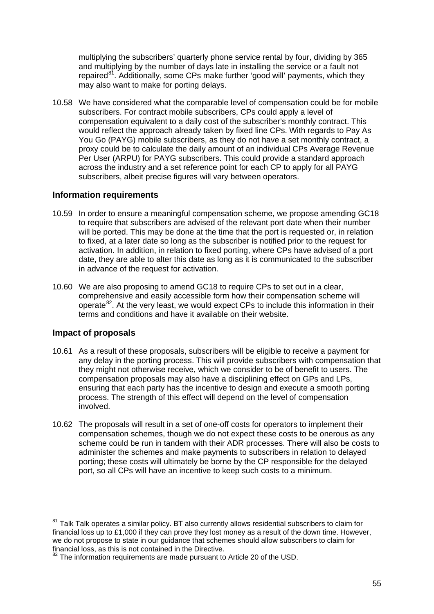multiplying the subscribers' quarterly phone service rental by four, dividing by 365 and multiplying by the number of days late in installing the service or a fault not repaired<sup>[81](#page-57-0)</sup>. Additionally, some CPs make further 'good will' payments, which they may also want to make for porting delays.

10.58 We have considered what the comparable level of compensation could be for mobile subscribers. For contract mobile subscribers, CPs could apply a level of compensation equivalent to a daily cost of the subscriber's monthly contract. This would reflect the approach already taken by fixed line CPs. With regards to Pay As You Go (PAYG) mobile subscribers, as they do not have a set monthly contract, a proxy could be to calculate the daily amount of an individual CPs Average Revenue Per User (ARPU) for PAYG subscribers. This could provide a standard approach across the industry and a set reference point for each CP to apply for all PAYG subscribers, albeit precise figures will vary between operators.

## **Information requirements**

- 10.59 In order to ensure a meaningful compensation scheme, we propose amending GC18 to require that subscribers are advised of the relevant port date when their number will be ported. This may be done at the time that the port is requested or, in relation to fixed, at a later date so long as the subscriber is notified prior to the request for activation. In addition, in relation to fixed porting, where CPs have advised of a port date, they are able to alter this date as long as it is communicated to the subscriber in advance of the request for activation.
- 10.60 We are also proposing to amend GC18 to require CPs to set out in a clear, comprehensive and easily accessible form how their compensation scheme will operate<sup>[82](#page-57-1)</sup>. At the very least, we would expect CPs to include this information in their terms and conditions and have it available on their website.

## **Impact of proposals**

- 10.61 As a result of these proposals, subscribers will be eligible to receive a payment for any delay in the porting process. This will provide subscribers with compensation that they might not otherwise receive, which we consider to be of benefit to users. The compensation proposals may also have a disciplining effect on GPs and LPs, ensuring that each party has the incentive to design and execute a smooth porting process. The strength of this effect will depend on the level of compensation involved.
- 10.62 The proposals will result in a set of one-off costs for operators to implement their compensation schemes, though we do not expect these costs to be onerous as any scheme could be run in tandem with their ADR processes. There will also be costs to administer the schemes and make payments to subscribers in relation to delayed porting; these costs will ultimately be borne by the CP responsible for the delayed port, so all CPs will have an incentive to keep such costs to a minimum.

<span id="page-57-0"></span> $81$  Talk Talk operates a similar policy. BT also currently allows residential subscribers to claim for financial loss up to £1,000 if they can prove they lost money as a result of the down time. However, we do not propose to state in our guidance that schemes should allow subscribers to claim for financial loss, as this is not contained in the Directive.

<span id="page-57-1"></span> $82$  The information requirements are made pursuant to Article 20 of the USD.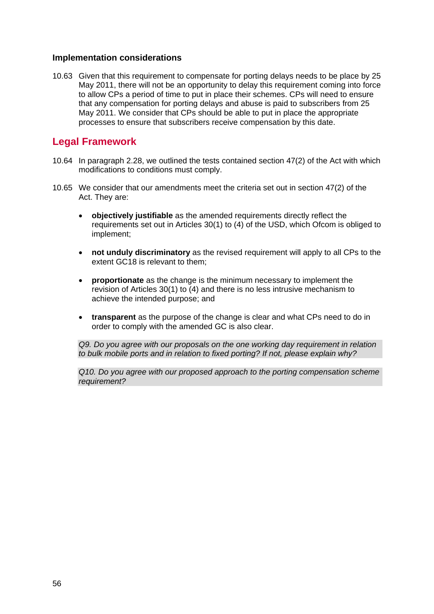#### **Implementation considerations**

10.63 Given that this requirement to compensate for porting delays needs to be place by 25 May 2011, there will not be an opportunity to delay this requirement coming into force to allow CPs a period of time to put in place their schemes. CPs will need to ensure that any compensation for porting delays and abuse is paid to subscribers from 25 May 2011. We consider that CPs should be able to put in place the appropriate processes to ensure that subscribers receive compensation by this date.

## **Legal Framework**

- 10.64 In paragraph 2.28, we outlined the tests contained section 47(2) of the Act with which modifications to conditions must comply.
- 10.65 We consider that our amendments meet the criteria set out in section 47(2) of the Act. They are:
	- **objectively justifiable** as the amended requirements directly reflect the requirements set out in Articles 30(1) to (4) of the USD, which Ofcom is obliged to implement;
	- **not unduly discriminatory** as the revised requirement will apply to all CPs to the extent GC18 is relevant to them;
	- **proportionate** as the change is the minimum necessary to implement the revision of Articles 30(1) to (4) and there is no less intrusive mechanism to achieve the intended purpose; and
	- **transparent** as the purpose of the change is clear and what CPs need to do in order to comply with the amended GC is also clear.

*Q9. Do you agree with our proposals on the one working day requirement in relation to bulk mobile ports and in relation to fixed porting? If not, please explain why?*

*Q10. Do you agree with our proposed approach to the porting compensation scheme requirement?*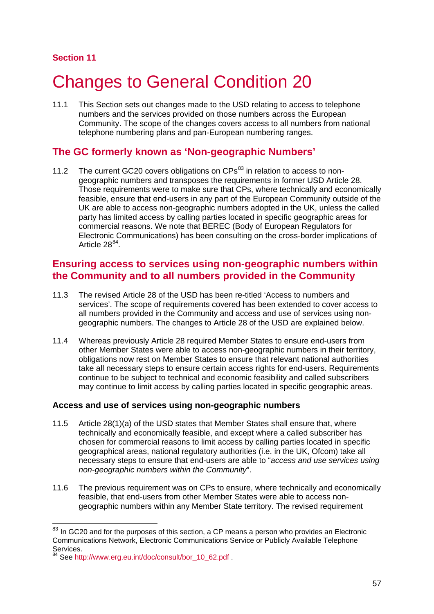## **Section 11**

# **Changes to General Condition 20**

11.1 This Section sets out changes made to the USD relating to access to telephone numbers and the services provided on those numbers across the European Community. The scope of the changes covers access to all numbers from national telephone numbering plans and pan-European numbering ranges.

# **The GC formerly known as 'Non-geographic Numbers'**

11.2 The current GC20 covers obligations on  $CPs<sup>83</sup>$  $CPs<sup>83</sup>$  $CPs<sup>83</sup>$  in relation to access to nongeographic numbers and transposes the requirements in former USD Article 28. Those requirements were to make sure that CPs, where technically and economically feasible, ensure that end-users in any part of the European Community outside of the UK are able to access non-geographic numbers adopted in the UK, unless the called party has limited access by calling parties located in specific geographic areas for commercial reasons. We note that BEREC (Body of European Regulators for Electronic Communications) has been consulting on the cross-border implications of Article  $28^{84}$  $28^{84}$  $28^{84}$ .

# **Ensuring access to services using non-geographic numbers within the Community and to all numbers provided in the Community**

- 11.3 The revised Article 28 of the USD has been re-titled 'Access to numbers and services'. The scope of requirements covered has been extended to cover access to all numbers provided in the Community and access and use of services using nongeographic numbers. The changes to Article 28 of the USD are explained below.
- 11.4 Whereas previously Article 28 required Member States to ensure end-users from other Member States were able to access non-geographic numbers in their territory, obligations now rest on Member States to ensure that relevant national authorities take all necessary steps to ensure certain access rights for end-users. Requirements continue to be subject to technical and economic feasibility and called subscribers may continue to limit access by calling parties located in specific geographic areas.

## **Access and use of services using non-geographic numbers**

- 11.5 Article 28(1)(a) of the USD states that Member States shall ensure that, where technically and economically feasible, and except where a called subscriber has chosen for commercial reasons to limit access by calling parties located in specific geographical areas, national regulatory authorities (i.e. in the UK, Ofcom) take all necessary steps to ensure that end-users are able to "*access and use services using non-geographic numbers within the Community*".
- 11.6 The previous requirement was on CPs to ensure, where technically and economically feasible, that end-users from other Member States were able to access nongeographic numbers within any Member State territory. The revised requirement

<span id="page-59-0"></span> $83$  In GC20 and for the purposes of this section, a CP means a person who provides an Electronic Communications Network, Electronic Communications Service or Publicly Available Telephone Services.<br><sup>84</sup> See http

<span id="page-59-1"></span>See [http://www.erg.eu.int/doc/consult/bor\\_10\\_62.pdf](http://www.erg.eu.int/doc/consult/bor_10_62.pdf) .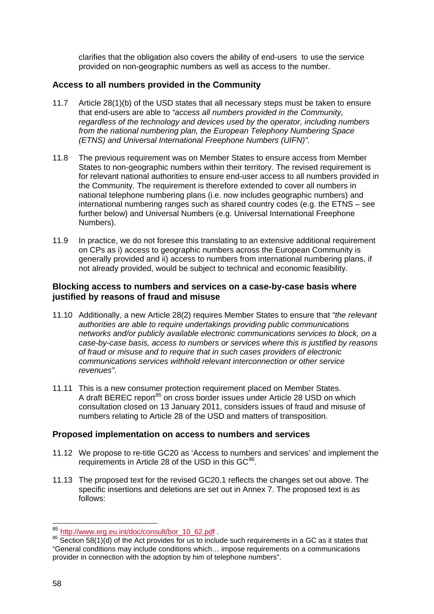clarifies that the obligation also covers the ability of end-users to use the service provided on non-geographic numbers as well as access to the number.

## **Access to all numbers provided in the Community**

- 11.7 Article 28(1)(b) of the USD states that all necessary steps must be taken to ensure that end-users are able to *"access all numbers provided in the Community, regardless of the technology and devices used by the operator, including numbers from the national numbering plan, the European Telephony Numbering Space (ETNS) and Universal International Freephone Numbers (UIFN)".*
- 11.8 The previous requirement was on Member States to ensure access from Member States to non-geographic numbers within their territory. The revised requirement is for relevant national authorities to ensure end-user access to all numbers provided in the Community. The requirement is therefore extended to cover all numbers in national telephone numbering plans (i.e. now includes geographic numbers) and international numbering ranges such as shared country codes (e.g. the ETNS – see further below) and Universal Numbers (e.g. Universal International Freephone Numbers).
- 11.9 In practice, we do not foresee this translating to an extensive additional requirement on CPs as i) access to geographic numbers across the European Community is generally provided and ii) access to numbers from international numbering plans, if not already provided, would be subject to technical and economic feasibility.

## **Blocking access to numbers and services on a case-by-case basis where justified by reasons of fraud and misuse**

- 11.10 Additionally, a new Article 28(2) requires Member States to ensure that *"the relevant authorities are able to require undertakings providing public communications networks and/or publicly available electronic communications services to block, on a case-by-case basis, access to numbers or services where this is justified by reasons of fraud or misuse and to require that in such cases providers of electronic communications services withhold relevant interconnection or other service revenues"*.
- 11.11 This is a new consumer protection requirement placed on Member States. A draft BEREC report<sup>[85](#page-60-0)</sup> on cross border issues under Article 28 USD on which consultation closed on 13 January 2011, considers issues of fraud and misuse of numbers relating to Article 28 of the USD and matters of transposition.

## **Proposed implementation on access to numbers and services**

- 11.12 We propose to re-title GC20 as 'Access to numbers and services' and implement the requirements in Article 28 of the USD in this  $GC^{86}$  $GC^{86}$  $GC^{86}$ .
- 11.13 The proposed text for the revised GC20.1 reflects the changes set out above. The specific insertions and deletions are set out in Annex 7. The proposed text is as follows:

<span id="page-60-1"></span><span id="page-60-0"></span><sup>&</sup>lt;sup>85</sup> [http://www.erg.eu.int/doc/consult/bor\\_10\\_62.pdf](http://www.erg.eu.int/doc/consult/bor_10_62.pdf) .<br><sup>86</sup> Section 58(1)(d) of the Act provides for us to include such requirements in a GC as it states that "General conditions may include conditions which… impose requirements on a communications provider in connection with the adoption by him of telephone numbers".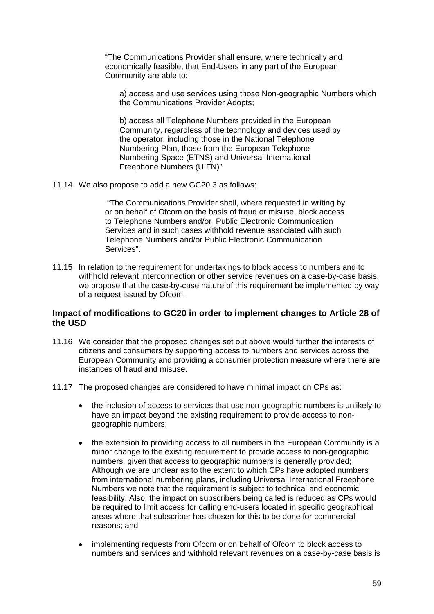"The Communications Provider shall ensure, where technically and economically feasible, that End-Users in any part of the European Community are able to:

a) access and use services using those Non-geographic Numbers which the Communications Provider Adopts;

b) access all Telephone Numbers provided in the European Community, regardless of the technology and devices used by the operator, including those in the National Telephone Numbering Plan, those from the European Telephone Numbering Space (ETNS) and Universal International Freephone Numbers (UIFN)"

11.14 We also propose to add a new GC20.3 as follows:

"The Communications Provider shall, where requested in writing by or on behalf of Ofcom on the basis of fraud or misuse, block access to Telephone Numbers and/or Public Electronic Communication Services and in such cases withhold revenue associated with such Telephone Numbers and/or Public Electronic Communication Services".

11.15 In relation to the requirement for undertakings to block access to numbers and to withhold relevant interconnection or other service revenues on a case-by-case basis, we propose that the case-by-case nature of this requirement be implemented by way of a request issued by Ofcom.

## **Impact of modifications to GC20 in order to implement changes to Article 28 of the USD**

- 11.16 We consider that the proposed changes set out above would further the interests of citizens and consumers by supporting access to numbers and services across the European Community and providing a consumer protection measure where there are instances of fraud and misuse.
- 11.17 The proposed changes are considered to have minimal impact on CPs as:
	- the inclusion of access to services that use non-geographic numbers is unlikely to have an impact beyond the existing requirement to provide access to nongeographic numbers;
	- the extension to providing access to all numbers in the European Community is a minor change to the existing requirement to provide access to non-geographic numbers, given that access to geographic numbers is generally provided; Although we are unclear as to the extent to which CPs have adopted numbers from international numbering plans, including Universal International Freephone Numbers we note that the requirement is subject to technical and economic feasibility. Also, the impact on subscribers being called is reduced as CPs would be required to limit access for calling end-users located in specific geographical areas where that subscriber has chosen for this to be done for commercial reasons; and
	- implementing requests from Ofcom or on behalf of Ofcom to block access to numbers and services and withhold relevant revenues on a case-by-case basis is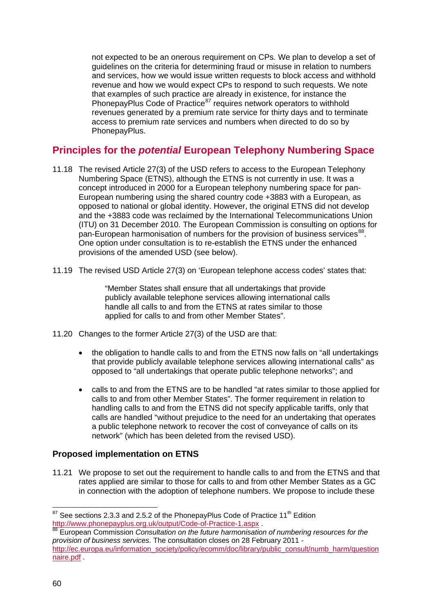not expected to be an onerous requirement on CPs. We plan to develop a set of guidelines on the criteria for determining fraud or misuse in relation to numbers and services, how we would issue written requests to block access and withhold revenue and how we would expect CPs to respond to such requests. We note that examples of such practice are already in existence, for instance the PhonepayPlus Code of Practice<sup>[87](#page-62-0)</sup> requires network operators to withhold revenues generated by a premium rate service for thirty days and to terminate access to premium rate services and numbers when directed to do so by PhonepayPlus.

# **Principles for the** *potential* **European Telephony Numbering Space**

- 11.18 The revised Article 27(3) of the USD refers to access to the European Telephony Numbering Space (ETNS), although the ETNS is not currently in use. It was a concept introduced in 2000 for a European telephony numbering space for pan-European numbering using the shared country code +3883 with a European, as opposed to national or global identity. However, the original ETNS did not develop and the +3883 code was reclaimed by the International Telecommunications Union (ITU) on 31 December 2010. The European Commission is consulting on options for pan-European harmonisation of numbers for the provision of business services<sup>[88](#page-62-1)</sup>. One option under consultation is to re-establish the ETNS under the enhanced provisions of the amended USD (see below).
- 11.19 The revised USD Article 27(3) on 'European telephone access codes' states that:

"Member States shall ensure that all undertakings that provide publicly available telephone services allowing international calls handle all calls to and from the ETNS at rates similar to those applied for calls to and from other Member States".

- 11.20 Changes to the former Article 27(3) of the USD are that:
	- the obligation to handle calls to and from the ETNS now falls on "all undertakings that provide publicly available telephone services allowing international calls" as opposed to "all undertakings that operate public telephone networks"; and
	- calls to and from the ETNS are to be handled "at rates similar to those applied for calls to and from other Member States". The former requirement in relation to handling calls to and from the ETNS did not specify applicable tariffs, only that calls are handled "without prejudice to the need for an undertaking that operates a public telephone network to recover the cost of conveyance of calls on its network" (which has been deleted from the revised USD).

## **Proposed implementation on ETNS**

11.21 We propose to set out the requirement to handle calls to and from the ETNS and that rates applied are similar to those for calls to and from other Member States as a GC in connection with the adoption of telephone numbers. We propose to include these

<span id="page-62-0"></span> $87$  See sections 2.3.3 and 2.5.2 of the PhonepayPlus Code of Practice 11<sup>th</sup> Edition <http://www.phonepayplus.org.uk/output/Code-of-Practice-1.aspx> .<br><sup>88</sup> European Commission *Consultation on the future harmonisation of numbering resources for the* 

<span id="page-62-1"></span>*[provision of business services](http://ec.europa.eu/information_society/policy/ecomm/library/public_consult/numbering_harmonisation/index_en.htm)*. The consultation closes on 28 February 2011 [http://ec.europa.eu/information\\_society/policy/ecomm/doc/library/public\\_consult/numb\\_harm/question](http://ec.europa.eu/information_society/policy/ecomm/doc/library/public_consult/numb_harm/questionnaire.pdf) [naire.pdf](http://ec.europa.eu/information_society/policy/ecomm/doc/library/public_consult/numb_harm/questionnaire.pdf) .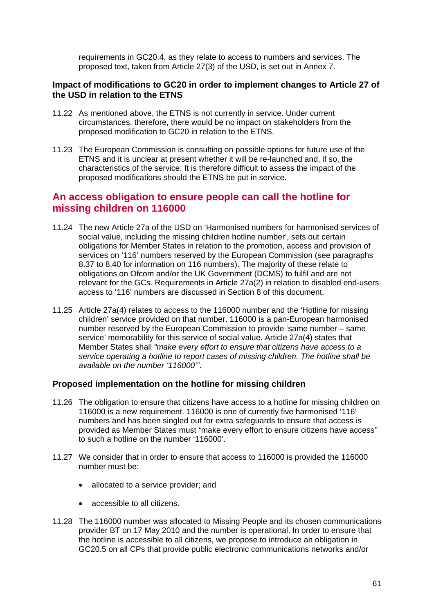requirements in GC20.4, as they relate to access to numbers and services. The proposed text, taken from Article 27(3) of the USD, is set out in Annex 7.

### **Impact of modifications to GC20 in order to implement changes to Article 27 of the USD in relation to the ETNS**

- 11.22 As mentioned above, the ETNS is not currently in service. Under current circumstances, therefore, there would be no impact on stakeholders from the proposed modification to GC20 in relation to the ETNS.
- 11.23 The European Commission is consulting on possible options for future use of the ETNS and it is unclear at present whether it will be re-launched and, if so, the characteristics of the service. It is therefore difficult to assess the impact of the proposed modifications should the ETNS be put in service.

# **An access obligation to ensure people can call the hotline for missing children on 116000**

- 11.24 The new Article 27a of the USD on 'Harmonised numbers for harmonised services of social value, including the missing children hotline number', sets out certain obligations for Member States in relation to the promotion, access and provision of services on '116' numbers reserved by the European Commission (see paragraphs 8.37 to 8.40 for information on 116 numbers). The majority of these relate to obligations on Ofcom and/or the UK Government (DCMS) to fulfil and are not relevant for the GCs. Requirements in Article 27a(2) in relation to disabled end-users access to '116' numbers are discussed in Section 8 of this document.
- 11.25 Article 27a(4) relates to access to the 116000 number and the 'Hotline for missing children' service provided on that number. 116000 is a pan-European harmonised number reserved by the European Commission to provide 'same number – same service' memorability for this service of social value. Article 27a(4) states that Member States shall *"make every effort to ensure that citizens have access to a service operating a hotline to report cases of missing children. The hotline shall be available on the number '116000'"*.

#### **Proposed implementation on the hotline for missing children**

- 11.26 The obligation to ensure that citizens have access to a hotline for missing children on 116000 is a new requirement. 116000 is one of currently five harmonised '116' numbers and has been singled out for extra safeguards to ensure that access is provided as Member States must *"*make every effort to ensure citizens have access*"*  to such a hotline on the number '116000'.
- 11.27 We consider that in order to ensure that access to 116000 is provided the 116000 number must be:
	- allocated to a service provider; and
	- accessible to all citizens.
- 11.28 The 116000 number was allocated to Missing People and its chosen communications provider BT on 17 May 2010 and the number is operational. In order to ensure that the hotline is accessible to all citizens, we propose to introduce an obligation in GC20.5 on all CPs that provide public electronic communications networks and/or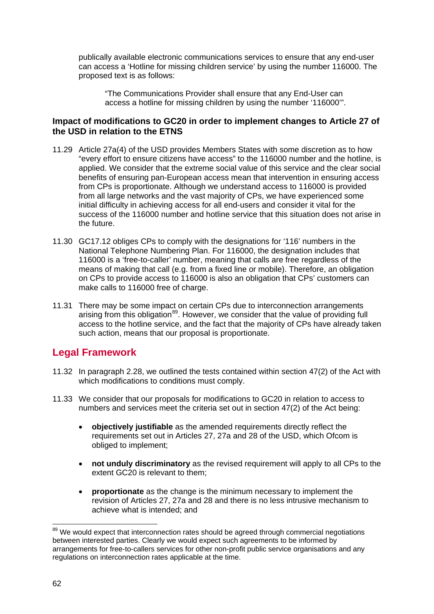publically available electronic communications services to ensure that any end-user can access a 'Hotline for missing children service' by using the number 116000. The proposed text is as follows:

"The Communications Provider shall ensure that any End-User can access a hotline for missing children by using the number '116000'".

## **Impact of modifications to GC20 in order to implement changes to Article 27 of the USD in relation to the ETNS**

- 11.29 Article 27a(4) of the USD provides Members States with some discretion as to how "every effort to ensure citizens have access" to the 116000 number and the hotline, is applied. We consider that the extreme social value of this service and the clear social benefits of ensuring pan-European access mean that intervention in ensuring access from CPs is proportionate. Although we understand access to 116000 is provided from all large networks and the vast majority of CPs, we have experienced some initial difficulty in achieving access for all end-users and consider it vital for the success of the 116000 number and hotline service that this situation does not arise in the future.
- 11.30 GC17.12 obliges CPs to comply with the designations for '116' numbers in the National Telephone Numbering Plan. For 116000, the designation includes that 116000 is a 'free-to-caller' number, meaning that calls are free regardless of the means of making that call (e.g. from a fixed line or mobile). Therefore, an obligation on CPs to provide access to 116000 is also an obligation that CPs' customers can make calls to 116000 free of charge.
- 11.31 There may be some impact on certain CPs due to interconnection arrangements arising from this obligation<sup>[89](#page-64-0)</sup>. However, we consider that the value of providing full access to the hotline service, and the fact that the majority of CPs have already taken such action, means that our proposal is proportionate.

# **Legal Framework**

- 11.32 In paragraph 2.28, we outlined the tests contained within section 47(2) of the Act with which modifications to conditions must comply.
- 11.33 We consider that our proposals for modifications to GC20 in relation to access to numbers and services meet the criteria set out in section 47(2) of the Act being:
	- **objectively justifiable** as the amended requirements directly reflect the requirements set out in Articles 27, 27a and 28 of the USD, which Ofcom is obliged to implement;
	- **not unduly discriminatory** as the revised requirement will apply to all CPs to the extent GC20 is relevant to them;
	- **proportionate** as the change is the minimum necessary to implement the revision of Articles 27, 27a and 28 and there is no less intrusive mechanism to achieve what is intended; and

<span id="page-64-0"></span><sup>&</sup>lt;sup>89</sup> We would expect that interconnection rates should be agreed through commercial negotiations between interested parties. Clearly we would expect such agreements to be informed by arrangements for free-to-callers services for other non-profit public service organisations and any regulations on interconnection rates applicable at the time.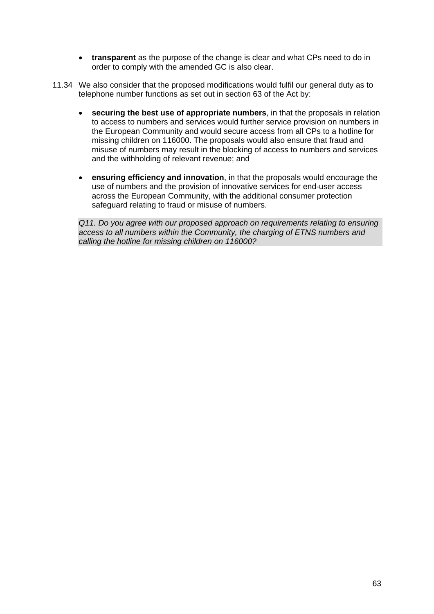- **transparent** as the purpose of the change is clear and what CPs need to do in order to comply with the amended GC is also clear.
- 11.34 We also consider that the proposed modifications would fulfil our general duty as to telephone number functions as set out in section 63 of the Act by:
	- **securing the best use of appropriate numbers**, in that the proposals in relation to access to numbers and services would further service provision on numbers in the European Community and would secure access from all CPs to a hotline for missing children on 116000. The proposals would also ensure that fraud and misuse of numbers may result in the blocking of access to numbers and services and the withholding of relevant revenue; and
	- **ensuring efficiency and innovation**, in that the proposals would encourage the use of numbers and the provision of innovative services for end-user access across the European Community, with the additional consumer protection safeguard relating to fraud or misuse of numbers.

*Q11. Do you agree with our proposed approach on requirements relating to ensuring access to all numbers within the Community, the charging of ETNS numbers and calling the hotline for missing children on 116000?*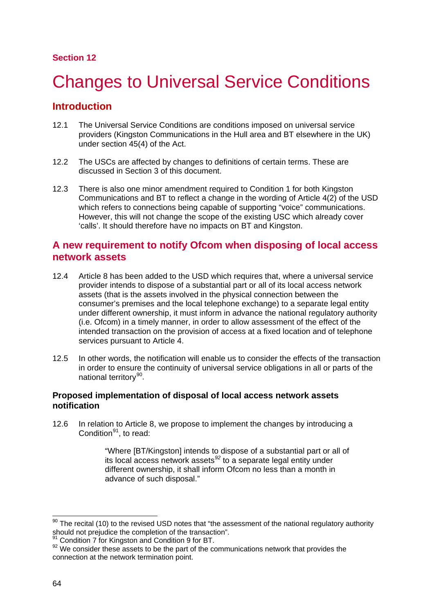## **Section 12**

# **Changes to Universal Service Conditions**

# **Introduction**

- 12.1 The Universal Service Conditions are conditions imposed on universal service providers (Kingston Communications in the Hull area and BT elsewhere in the UK) under section 45(4) of the Act.
- 12.2 The USCs are affected by changes to definitions of certain terms. These are discussed in Section 3 of this document.
- 12.3 There is also one minor amendment required to Condition 1 for both Kingston Communications and BT to reflect a change in the wording of Article 4(2) of the USD which refers to connections being capable of supporting "voice" communications. However, this will not change the scope of the existing USC which already cover 'calls'. It should therefore have no impacts on BT and Kingston.

# **A new requirement to notify Ofcom when disposing of local access network assets**

- 12.4 Article 8 has been added to the USD which requires that, where a universal service provider intends to dispose of a substantial part or all of its local access network assets (that is the assets involved in the physical connection between the consumer's premises and the local telephone exchange) to a separate legal entity under different ownership, it must inform in advance the national regulatory authority (i.e. Ofcom) in a timely manner, in order to allow assessment of the effect of the intended transaction on the provision of access at a fixed location and of telephone services pursuant to Article 4.
- 12.5 In other words, the notification will enable us to consider the effects of the transaction in order to ensure the continuity of universal service obligations in all or parts of the national territory<sup>[90](#page-66-0)</sup>.

## **Proposed implementation of disposal of local access network assets notification**

12.6 In relation to Article 8, we propose to implement the changes by introducing a Condition<sup>[91](#page-66-1)</sup>, to read:

> "Where [BT/Kingston] intends to dispose of a substantial part or all of its local access network assets *[92](#page-66-2)* to a separate legal entity under different ownership, it shall inform Ofcom no less than a month in advance of such disposal."

<span id="page-66-0"></span> $90$  The recital (10) to the revised USD notes that "the assessment of the national regulatory authority should not prejudice the completion of the transaction".

<sup>&</sup>lt;sup>91</sup> Condition 7 for Kingston and Condition 9 for BT.

<span id="page-66-2"></span><span id="page-66-1"></span><sup>92</sup> We consider these assets to be the part of the communications network that provides the connection at the network termination point.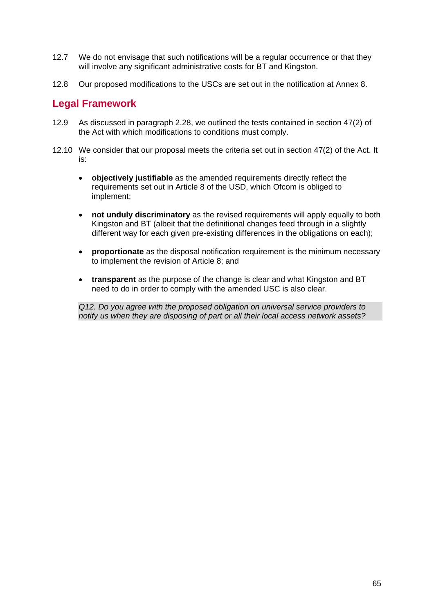- 12.7 We do not envisage that such notifications will be a regular occurrence or that they will involve any significant administrative costs for BT and Kingston.
- 12.8 Our proposed modifications to the USCs are set out in the notification at Annex 8.

## **Legal Framework**

- 12.9 As discussed in paragraph 2.28, we outlined the tests contained in section 47(2) of the Act with which modifications to conditions must comply.
- 12.10 We consider that our proposal meets the criteria set out in section 47(2) of the Act. It is:
	- **objectively justifiable** as the amended requirements directly reflect the requirements set out in Article 8 of the USD, which Ofcom is obliged to implement;
	- **not unduly discriminatory** as the revised requirements will apply equally to both Kingston and BT (albeit that the definitional changes feed through in a slightly different way for each given pre-existing differences in the obligations on each);
	- **proportionate** as the disposal notification requirement is the minimum necessary to implement the revision of Article 8; and
	- **transparent** as the purpose of the change is clear and what Kingston and BT need to do in order to comply with the amended USC is also clear.

*Q12. Do you agree with the proposed obligation on universal service providers to notify us when they are disposing of part or all their local access network assets?*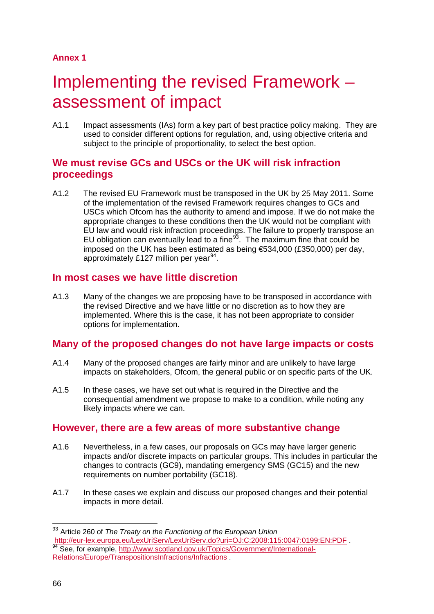## **Annex 1**

# Implementing the revised Framework assessment of impact

A1.1 Impact assessments (IAs) form a key part of best practice policy making. They are used to consider different options for regulation, and, using objective criteria and subject to the principle of proportionality, to select the best option.

# **We must revise GCs and USCs or the UK will risk infraction proceedings**

A1.2 The revised EU Framework must be transposed in the UK by 25 May 2011. Some of the implementation of the revised Framework requires changes to GCs and USCs which Ofcom has the authority to amend and impose. If we do not make the appropriate changes to these conditions then the UK would not be compliant with EU law and would risk infraction proceedings. The failure to properly transpose an EU obligation can eventually lead to a fine $93$ . The maximum fine that could be imposed on the UK has been estimated as being €534,000 (£350,000) per day, approximately £127 million per year<sup>[94](#page-68-1)</sup>.

# **In most cases we have little discretion**

A1.3 Many of the changes we are proposing have to be transposed in accordance with the revised Directive and we have little or no discretion as to how they are implemented. Where this is the case, it has not been appropriate to consider options for implementation.

# **Many of the proposed changes do not have large impacts or costs**

- A1.4 Many of the proposed changes are fairly minor and are unlikely to have large impacts on stakeholders, Ofcom, the general public or on specific parts of the UK.
- A1.5 In these cases, we have set out what is required in the Directive and the consequential amendment we propose to make to a condition, while noting any likely impacts where we can.

# **However, there are a few areas of more substantive change**

- A1.6 Nevertheless, in a few cases, our proposals on GCs may have larger generic impacts and/or discrete impacts on particular groups. This includes in particular the changes to contracts (GC9), mandating emergency SMS (GC15) and the new requirements on number portability (GC18).
- A1.7 In these cases we explain and discuss our proposed changes and their potential impacts in more detail.

<span id="page-68-1"></span><span id="page-68-0"></span><sup>&</sup>lt;sup>93</sup> Article 260 of *The Treaty on the Functioning of the European Union*<br>http://eur-lex.europa.eu/LexUriServ/LexUriServ.do?uri=OJ:C:2008:115:0047:0199:EN:PDF ga.eur.com/lext.europa.europa.europa.europa.europa.europa.europa.europa.europa.europa.europa.europa.europa.eu [Relations/Europe/TranspositionsInfractions/Infractions](http://www.scotland.gov.uk/Topics/Government/International-Relations/Europe/TranspositionsInfractions/Infractions) .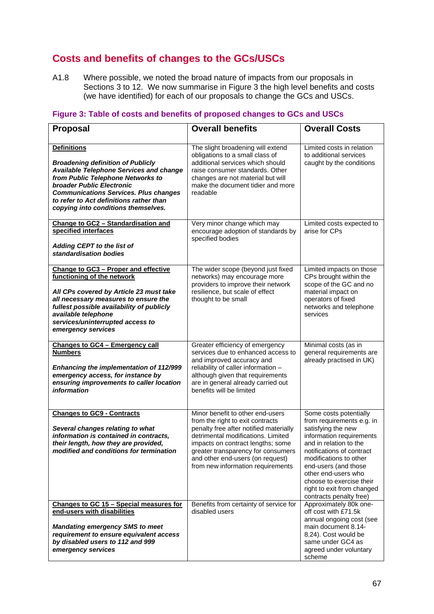# **Costs and benefits of changes to the GCs/USCs**

A1.8 Where possible, we noted the broad nature of impacts from our proposals in Sections 3 to 12. We now summarise in [Figure 3](#page-69-0) the high level benefits and costs (we have identified) for each of our proposals to change the GCs and USCs.

| <b>Proposal</b>                                                                                                                                                                                                                                                                                                      | <b>Overall benefits</b>                                                                                                                                                                                                                                                                                  | <b>Overall Costs</b>                                                                                                                                                                                                                                                                                                       |
|----------------------------------------------------------------------------------------------------------------------------------------------------------------------------------------------------------------------------------------------------------------------------------------------------------------------|----------------------------------------------------------------------------------------------------------------------------------------------------------------------------------------------------------------------------------------------------------------------------------------------------------|----------------------------------------------------------------------------------------------------------------------------------------------------------------------------------------------------------------------------------------------------------------------------------------------------------------------------|
| <b>Definitions</b><br><b>Broadening definition of Publicly</b><br><b>Available Telephone Services and change</b><br>from Public Telephone Networks to<br>broader Public Electronic<br><b>Communications Services. Plus changes</b><br>to refer to Act definitions rather than<br>copying into conditions themselves. | The slight broadening will extend<br>obligations to a small class of<br>additional services which should<br>raise consumer standards. Other<br>changes are not material but will<br>make the document tidier and more<br>readable                                                                        | Limited costs in relation<br>to additional services<br>caught by the conditions                                                                                                                                                                                                                                            |
| Change to GC2 - Standardisation and<br>specified interfaces<br><b>Adding CEPT to the list of</b><br>standardisation bodies                                                                                                                                                                                           | Very minor change which may<br>encourage adoption of standards by<br>specified bodies                                                                                                                                                                                                                    | Limited costs expected to<br>arise for CPs                                                                                                                                                                                                                                                                                 |
| Change to GC3 - Proper and effective<br>functioning of the network<br>All CPs covered by Article 23 must take<br>all necessary measures to ensure the<br>fullest possible availability of publicly<br>available telephone<br>services/uninterrupted access to<br>emergency services                                  | The wider scope (beyond just fixed<br>networks) may encourage more<br>providers to improve their network<br>resilience, but scale of effect<br>thought to be small                                                                                                                                       | Limited impacts on those<br>CPs brought within the<br>scope of the GC and no<br>material impact on<br>operators of fixed<br>networks and telephone<br>services                                                                                                                                                             |
| <b>Changes to GC4 - Emergency call</b><br><b>Numbers</b><br>Enhancing the implementation of 112/999<br>emergency access, for instance by<br>ensuring improvements to caller location<br>information                                                                                                                  | Greater efficiency of emergency<br>services due to enhanced access to<br>and improved accuracy and<br>reliability of caller information -<br>although given that requirements<br>are in general already carried out<br>benefits will be limited                                                          | Minimal costs (as in<br>general requirements are<br>already practised in UK)                                                                                                                                                                                                                                               |
| <b>Changes to GC9 - Contracts</b><br>Several changes relating to what<br>information is contained in contracts,<br>their length, how they are provided,<br>modified and conditions for termination                                                                                                                   | Minor benefit to other end-users<br>from the right to exit contracts<br>penalty free after notified materially<br>detrimental modifications. Limited<br>impacts on contract lengths; some<br>greater transparency for consumers<br>and other end-users (on request)<br>from new information requirements | Some costs potentially<br>from requirements e.g. in<br>satisfying the new<br>information requirements<br>and in relation to the<br>notifications of contract<br>modifications to other<br>end-users (and those<br>other end-users who<br>choose to exercise their<br>right to exit from changed<br>contracts penalty free) |
| Changes to GC 15 - Special measures for<br>end-users with disabilities<br><b>Mandating emergency SMS to meet</b><br>requirement to ensure equivalent access<br>by disabled users to 112 and 999<br>emergency services                                                                                                | Benefits from certainty of service for<br>disabled users                                                                                                                                                                                                                                                 | Approximately 80k one-<br>off cost with £71.5k<br>annual ongoing cost (see<br>main document 8.14-<br>8.24). Cost would be<br>same under GC4 as<br>agreed under voluntary<br>scheme                                                                                                                                         |

## <span id="page-69-0"></span>**Figure 3: Table of costs and benefits of proposed changes to GCs and USCs**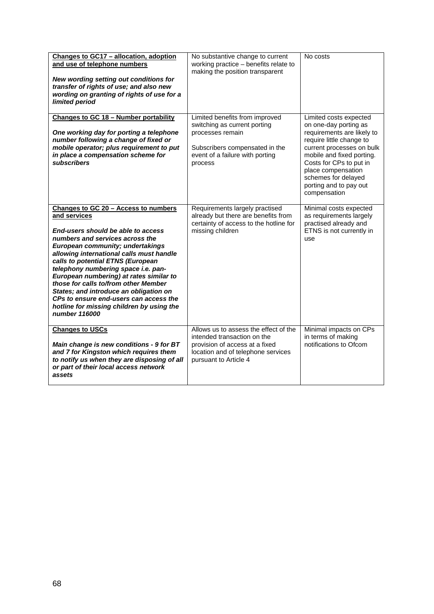| Changes to GC17 - allocation, adoption<br>and use of telephone numbers<br>New wording setting out conditions for<br>transfer of rights of use; and also new<br>wording on granting of rights of use for a<br>limited period                                                                                                                                                                                                                                                                                                           | No substantive change to current<br>working practice - benefits relate to<br>making the position transparent                                                          | No costs                                                                                                                                                                                                                                                                              |
|---------------------------------------------------------------------------------------------------------------------------------------------------------------------------------------------------------------------------------------------------------------------------------------------------------------------------------------------------------------------------------------------------------------------------------------------------------------------------------------------------------------------------------------|-----------------------------------------------------------------------------------------------------------------------------------------------------------------------|---------------------------------------------------------------------------------------------------------------------------------------------------------------------------------------------------------------------------------------------------------------------------------------|
| Changes to GC 18 - Number portability<br>One working day for porting a telephone<br>number following a change of fixed or<br>mobile operator; plus requirement to put<br>in place a compensation scheme for<br><b>subscribers</b>                                                                                                                                                                                                                                                                                                     | Limited benefits from improved<br>switching as current porting<br>processes remain<br>Subscribers compensated in the<br>event of a failure with porting<br>process    | Limited costs expected<br>on one-day porting as<br>requirements are likely to<br>require little change to<br>current processes on bulk<br>mobile and fixed porting.<br>Costs for CPs to put in<br>place compensation<br>schemes for delayed<br>porting and to pay out<br>compensation |
| Changes to GC 20 - Access to numbers<br>and services<br>End-users should be able to access<br>numbers and services across the<br><b>European community; undertakings</b><br>allowing international calls must handle<br>calls to potential ETNS (European<br>telephony numbering space i.e. pan-<br>European numbering) at rates similar to<br>those for calls to/from other Member<br>States; and introduce an obligation on<br>CPs to ensure end-users can access the<br>hotline for missing children by using the<br>number 116000 | Requirements largely practised<br>already but there are benefits from<br>certainty of access to the hotline for<br>missing children                                   | Minimal costs expected<br>as requirements largely<br>practised already and<br>ETNS is not currently in<br>use                                                                                                                                                                         |
| <b>Changes to USCs</b><br>Main change is new conditions - 9 for BT<br>and 7 for Kingston which requires them<br>to notify us when they are disposing of all<br>or part of their local access network<br>assets                                                                                                                                                                                                                                                                                                                        | Allows us to assess the effect of the<br>intended transaction on the<br>provision of access at a fixed<br>location and of telephone services<br>pursuant to Article 4 | Minimal impacts on CPs<br>in terms of making<br>notifications to Ofcom                                                                                                                                                                                                                |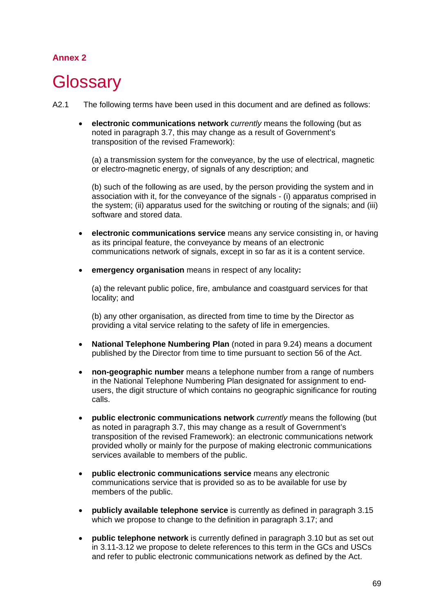# **Annex 2**

# **Glossary**

- A2.1 The following terms have been used in this document and are defined as follows:
	- **electronic communications network** *currently* means the following (but as noted in paragraph 3.7, this may change as a result of Government's transposition of the revised Framework):

(a) a transmission system for the conveyance, by the use of electrical, magnetic or electro-magnetic energy, of signals of any description; and

(b) such of the following as are used, by the person providing the system and in association with it, for the conveyance of the signals - (i) apparatus comprised in the system; (ii) apparatus used for the switching or routing of the signals; and (iii) software and stored data.

- **electronic communications service** means any service consisting in, or having as its principal feature, the conveyance by means of an electronic communications network of signals, except in so far as it is a content service.
- **emergency organisation** means in respect of any locality**:**

(a) the relevant public police, fire, ambulance and coastguard services for that locality; and

(b) any other organisation, as directed from time to time by the Director as providing a vital service relating to the safety of life in emergencies.

- **National Telephone Numbering Plan** (noted in para 9.24) means a document published by the Director from time to time pursuant to section 56 of the Act.
- **non-geographic number** means a telephone number from a range of numbers in the National Telephone Numbering Plan designated for assignment to endusers, the digit structure of which contains no geographic significance for routing calls.
- **public electronic communications network** *currently* means the following (but as noted in paragraph 3.7, this may change as a result of Government's transposition of the revised Framework): an electronic communications network provided wholly or mainly for the purpose of making electronic communications services available to members of the public.
- **public electronic communications service** means any electronic communications service that is provided so as to be available for use by members of the public.
- **publicly available telephone service** is currently as defined in paragraph 3.15 which we propose to change to the definition in paragraph 3.17; and
- **public telephone network** is currently defined in paragraph 3.10 but as set out in 3.11-3.12 we propose to delete references to this term in the GCs and USCs and refer to public electronic communications network as defined by the Act.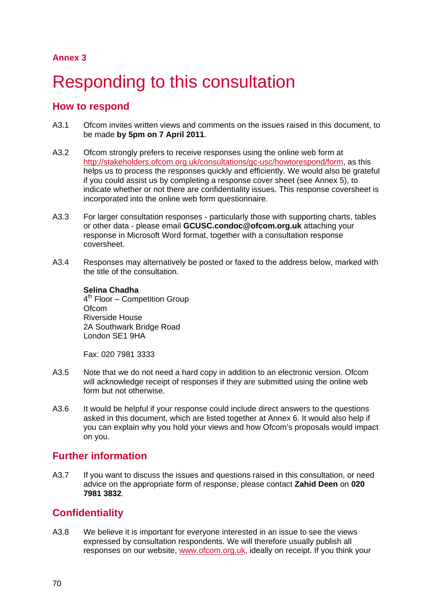# Responding to this consultation

### **How to respond**

- A3.1 Ofcom invites written views and comments on the issues raised in this document, to be made **by 5pm on 7 April 2011**.
- A3.2 Ofcom strongly prefers to receive responses using the online web form at [http://stakeholders.ofcom.org.uk/consultations/gc-usc/howtorespond/form,](http://stakeholders.ofcom.org.uk/consultations/gc-usc/howtorespond/form) as this helps us to process the responses quickly and efficiently. We would also be grateful if you could assist us by completing a response cover sheet (see Annex 5), to indicate whether or not there are confidentiality issues. This response coversheet is incorporated into the online web form questionnaire.
- A3.3 For larger consultation responses particularly those with supporting charts, tables or other data - please email **GCUSC.condoc@ofcom.org.uk** attaching your response in Microsoft Word format, together with a consultation response coversheet.
- A3.4 Responses may alternatively be posted or faxed to the address below, marked with the title of the consultation.

#### **Selina Chadha** 4<sup>th</sup> Floor – Competition Group **Ofcom** Riverside House 2A Southwark Bridge Road London SE1 9HA

Fax: 020 7981 3333

- A3.5 Note that we do not need a hard copy in addition to an electronic version. Ofcom will acknowledge receipt of responses if they are submitted using the online web form but not otherwise.
- A3.6 It would be helpful if your response could include direct answers to the questions asked in this document, which are listed together at Annex 6. It would also help if you can explain why you hold your views and how Ofcom's proposals would impact on you.

## **Further information**

A3.7 If you want to discuss the issues and questions raised in this consultation, or need advice on the appropriate form of response, please contact **Zahid Deen** on **020 7981 3832**.

## **Confidentiality**

A3.8 We believe it is important for everyone interested in an issue to see the views expressed by consultation respondents. We will therefore usually publish all responses on our website, [www.ofcom.org.uk,](http://www.ofcom.org.uk/) ideally on receipt. If you think your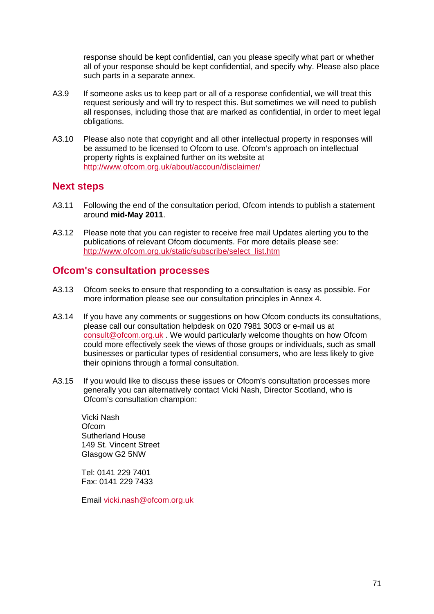response should be kept confidential, can you please specify what part or whether all of your response should be kept confidential, and specify why. Please also place such parts in a separate annex.

- A3.9 If someone asks us to keep part or all of a response confidential, we will treat this request seriously and will try to respect this. But sometimes we will need to publish all responses, including those that are marked as confidential, in order to meet legal obligations.
- A3.10 Please also note that copyright and all other intellectual property in responses will be assumed to be licensed to Ofcom to use. Ofcom's approach on intellectual property rights is explained further on its website at <http://www.ofcom.org.uk/about/accoun/disclaimer/>

### **Next steps**

- A3.11 Following the end of the consultation period, Ofcom intends to publish a statement around **mid-May 2011**.
- A3.12 Please note that you can register to receive free mail Updates alerting you to the publications of relevant Ofcom documents. For more details please see: [http://www.ofcom.org.uk/static/subscribe/select\\_list.htm](http://www.ofcom.org.uk/static/subscribe/select_list.htm)

### **Ofcom's consultation processes**

- A3.13 Ofcom seeks to ensure that responding to a consultation is easy as possible. For more information please see our consultation principles in Annex 4.
- A3.14 If you have any comments or suggestions on how Ofcom conducts its consultations, please call our consultation helpdesk on 020 7981 3003 or e-mail us at [consult@ofcom.org.uk](mailto:consult@ofcom.org.uk) . We would particularly welcome thoughts on how Ofcom could more effectively seek the views of those groups or individuals, such as small businesses or particular types of residential consumers, who are less likely to give their opinions through a formal consultation.
- A3.15 If you would like to discuss these issues or Ofcom's consultation processes more generally you can alternatively contact Vicki Nash, Director Scotland, who is Ofcom's consultation champion:

Vicki Nash **Ofcom** Sutherland House 149 St. Vincent Street Glasgow G2 5NW

Tel: 0141 229 7401 Fax: 0141 229 7433

Email [vicki.nash@ofcom.org.uk](mailto:vicki.nash@ofcom.org.uk)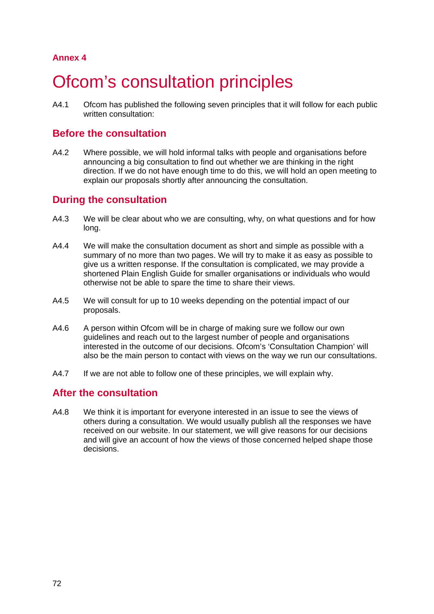# **Ofcom's consultation principles**

A4.1 Ofcom has published the following seven principles that it will follow for each public written consultation:

## **Before the consultation**

A4.2 Where possible, we will hold informal talks with people and organisations before announcing a big consultation to find out whether we are thinking in the right direction. If we do not have enough time to do this, we will hold an open meeting to explain our proposals shortly after announcing the consultation.

## **During the consultation**

- A4.3 We will be clear about who we are consulting, why, on what questions and for how long.
- A4.4 We will make the consultation document as short and simple as possible with a summary of no more than two pages. We will try to make it as easy as possible to give us a written response. If the consultation is complicated, we may provide a shortened Plain English Guide for smaller organisations or individuals who would otherwise not be able to spare the time to share their views.
- A4.5 We will consult for up to 10 weeks depending on the potential impact of our proposals.
- A4.6 A person within Ofcom will be in charge of making sure we follow our own guidelines and reach out to the largest number of people and organisations interested in the outcome of our decisions. Ofcom's 'Consultation Champion' will also be the main person to contact with views on the way we run our consultations.
- A4.7 If we are not able to follow one of these principles, we will explain why.

## **After the consultation**

A4.8 We think it is important for everyone interested in an issue to see the views of others during a consultation. We would usually publish all the responses we have received on our website. In our statement, we will give reasons for our decisions and will give an account of how the views of those concerned helped shape those decisions.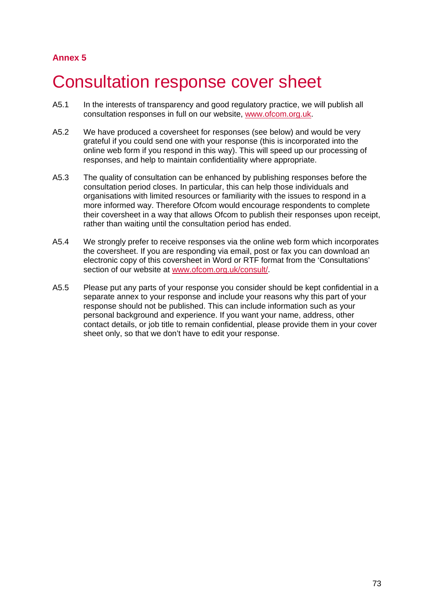## 5 Consultation response cover sheet

- A5.1 In the interests of transparency and good regulatory practice, we will publish all consultation responses in full on our website, [www.ofcom.org.uk.](http://www.ofcom.org.uk/)
- A5.2 We have produced a coversheet for responses (see below) and would be very grateful if you could send one with your response (this is incorporated into the online web form if you respond in this way). This will speed up our processing of responses, and help to maintain confidentiality where appropriate.
- A5.3 The quality of consultation can be enhanced by publishing responses before the consultation period closes. In particular, this can help those individuals and organisations with limited resources or familiarity with the issues to respond in a more informed way. Therefore Ofcom would encourage respondents to complete their coversheet in a way that allows Ofcom to publish their responses upon receipt, rather than waiting until the consultation period has ended.
- A5.4 We strongly prefer to receive responses via the online web form which incorporates the coversheet. If you are responding via email, post or fax you can download an electronic copy of this coversheet in Word or RTF format from the 'Consultations' section of our website at [www.ofcom.org.uk/consult/.](http://www.ofcom.org.uk/consult/)
- A5.5 Please put any parts of your response you consider should be kept confidential in a separate annex to your response and include your reasons why this part of your response should not be published. This can include information such as your personal background and experience. If you want your name, address, other contact details, or job title to remain confidential, please provide them in your cover sheet only, so that we don't have to edit your response.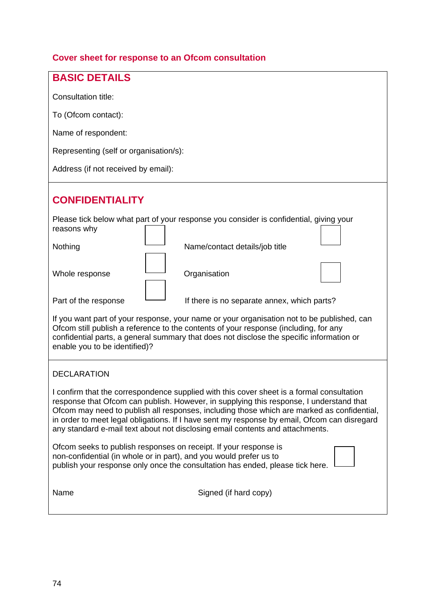## **Cover sheet for response to an Ofcom consultation**

| <b>BASIC DETAILS</b>                                                                                                                                                                                                                                                                                                                                                                                                                                                |
|---------------------------------------------------------------------------------------------------------------------------------------------------------------------------------------------------------------------------------------------------------------------------------------------------------------------------------------------------------------------------------------------------------------------------------------------------------------------|
| Consultation title:                                                                                                                                                                                                                                                                                                                                                                                                                                                 |
| To (Ofcom contact):                                                                                                                                                                                                                                                                                                                                                                                                                                                 |
| Name of respondent:                                                                                                                                                                                                                                                                                                                                                                                                                                                 |
| Representing (self or organisation/s):                                                                                                                                                                                                                                                                                                                                                                                                                              |
| Address (if not received by email):                                                                                                                                                                                                                                                                                                                                                                                                                                 |
|                                                                                                                                                                                                                                                                                                                                                                                                                                                                     |
| <b>CONFIDENTIALITY</b>                                                                                                                                                                                                                                                                                                                                                                                                                                              |
| Please tick below what part of your response you consider is confidential, giving your<br>reasons why                                                                                                                                                                                                                                                                                                                                                               |
| Nothing<br>Name/contact details/job title                                                                                                                                                                                                                                                                                                                                                                                                                           |
| Whole response<br>Organisation                                                                                                                                                                                                                                                                                                                                                                                                                                      |
| Part of the response<br>If there is no separate annex, which parts?                                                                                                                                                                                                                                                                                                                                                                                                 |
| If you want part of your response, your name or your organisation not to be published, can<br>Ofcom still publish a reference to the contents of your response (including, for any<br>confidential parts, a general summary that does not disclose the specific information or<br>enable you to be identified)?                                                                                                                                                     |
| <b>DECLARATION</b>                                                                                                                                                                                                                                                                                                                                                                                                                                                  |
| I confirm that the correspondence supplied with this cover sheet is a formal consultation<br>response that Ofcom can publish. However, in supplying this response, I understand that<br>Ofcom may need to publish all responses, including those which are marked as confidential,<br>in order to meet legal obligations. If I have sent my response by email, Ofcom can disregard<br>any standard e-mail text about not disclosing email contents and attachments. |
| Ofcom seeks to publish responses on receipt. If your response is<br>non-confidential (in whole or in part), and you would prefer us to<br>publish your response only once the consultation has ended, please tick here.                                                                                                                                                                                                                                             |
| Name<br>Signed (if hard copy)                                                                                                                                                                                                                                                                                                                                                                                                                                       |